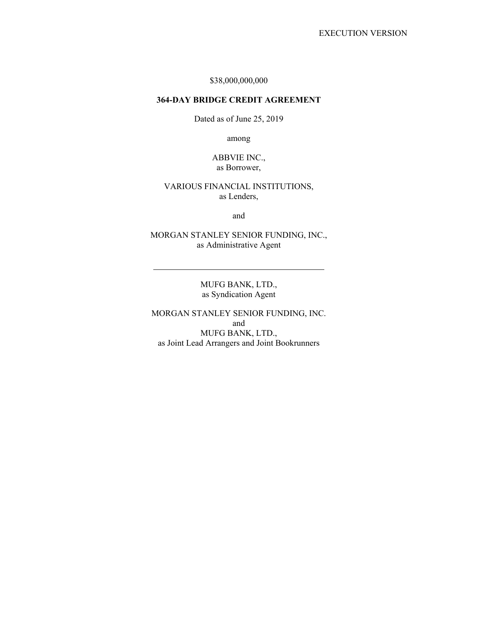### \$38,000,000,000

# **364-DAY BRIDGE CREDIT AGREEMENT**

Dated as of June 25, 2019

among

### ABBVIE INC., as Borrower,

# VARIOUS FINANCIAL INSTITUTIONS, as Lenders,

and

MORGAN STANLEY SENIOR FUNDING, INC., as Administrative Agent

> MUFG BANK, LTD., as Syndication Agent

MORGAN STANLEY SENIOR FUNDING, INC. and MUFG BANK, LTD., as Joint Lead Arrangers and Joint Bookrunners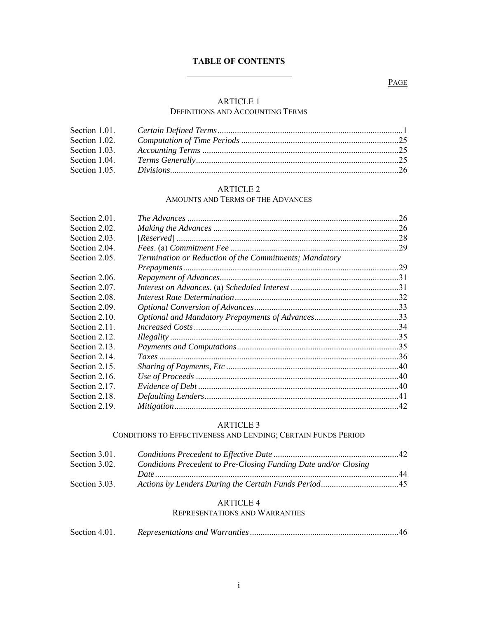# **TABLE OF CONTENTS**

### PAGE

## ARTICLE 1

### DEFINITIONS AND ACCOUNTING TERMS

# ARTICLE 2

## AMOUNTS AND TERMS OF THE ADVANCES

| Section 2.01. |                                                        |  |
|---------------|--------------------------------------------------------|--|
| Section 2.02. |                                                        |  |
| Section 2.03. | $[Reserved]\hspace{1cm}\hspace{1cm}\hspace{1cm} 28$    |  |
| Section 2.04. |                                                        |  |
| Section 2.05. | Termination or Reduction of the Commitments; Mandatory |  |
|               |                                                        |  |
| Section 2.06. |                                                        |  |
| Section 2.07. |                                                        |  |
| Section 2.08. |                                                        |  |
| Section 2.09. |                                                        |  |
| Section 2.10. |                                                        |  |
| Section 2.11. |                                                        |  |
| Section 2.12. |                                                        |  |
| Section 2.13. |                                                        |  |
| Section 2.14. |                                                        |  |
| Section 2.15. |                                                        |  |
| Section 2.16. |                                                        |  |
| Section 2.17. |                                                        |  |
| Section 2.18. |                                                        |  |
| Section 2.19. |                                                        |  |

# ARTICLE 3

# CONDITIONS TO EFFECTIVENESS AND LENDING; CERTAIN FUNDS PERIOD

| Section 3.01. |                                                                 |  |
|---------------|-----------------------------------------------------------------|--|
| Section 3.02. | Conditions Precedent to Pre-Closing Funding Date and/or Closing |  |
|               |                                                                 |  |
| Section 3.03. |                                                                 |  |

# ARTICLE 4

## REPRESENTATIONS AND WARRANTIES

| Section 4.01. |  |  |  |
|---------------|--|--|--|
|---------------|--|--|--|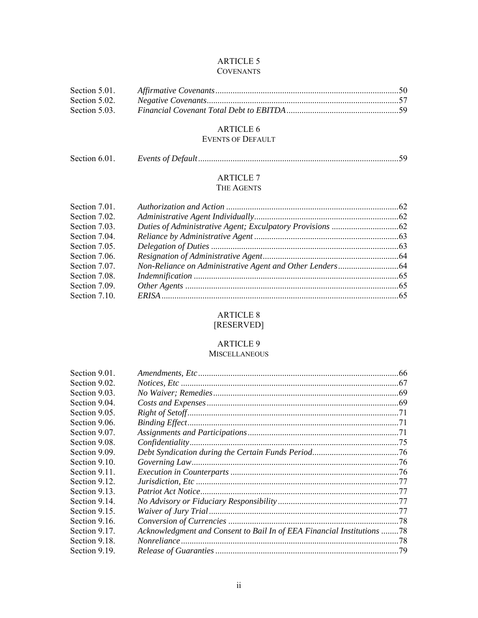## ARTICLE 5 **COVENANTS**

# ARTICLE 6

# EVENTS OF DEFAULT

| Section 6.01. |  |  |  |
|---------------|--|--|--|
|---------------|--|--|--|

# ARTICLE 7

# THE AGENTS

| Section 7.01. |  |
|---------------|--|
| Section 7.02. |  |
| Section 7.03. |  |
| Section 7.04. |  |
| Section 7.05. |  |
| Section 7.06. |  |
| Section 7.07. |  |
| Section 7.08. |  |
| Section 7.09. |  |
| Section 7.10. |  |
|               |  |

# ARTICLE 8

# [RESERVED]

# ARTICLE 9

# MISCELLANEOUS

| Acknowledgment and Consent to Bail In of EEA Financial Institutions 78 |  |
|------------------------------------------------------------------------|--|
|                                                                        |  |
|                                                                        |  |
|                                                                        |  |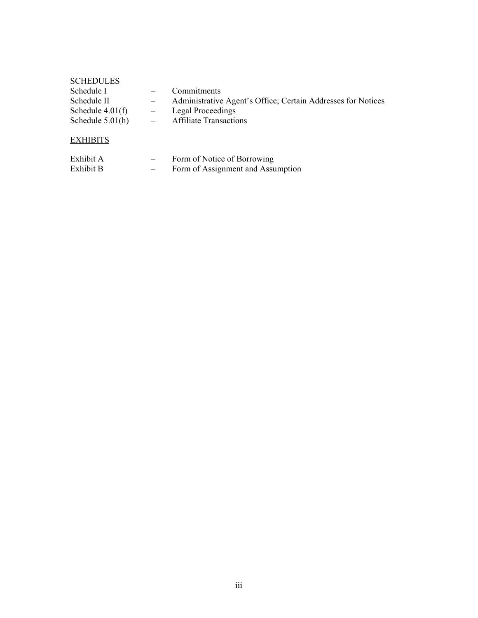| <b>SCHEDULES</b>   |                          |                                                              |
|--------------------|--------------------------|--------------------------------------------------------------|
| Schedule I         |                          | Commitments                                                  |
| Schedule II        | $\qquad \qquad -$        | Administrative Agent's Office; Certain Addresses for Notices |
| Schedule $4.01(f)$ | $\overline{\phantom{m}}$ | Legal Proceedings                                            |
| Schedule 5.01(h)   | $\qquad \qquad -$        | <b>Affiliate Transactions</b>                                |
| <b>EXHIBITS</b>    |                          |                                                              |
| Exhibit A          |                          | Form of Notice of Borrowing                                  |
| Exhibit B          |                          | Form of Assignment and Assumption                            |
|                    |                          |                                                              |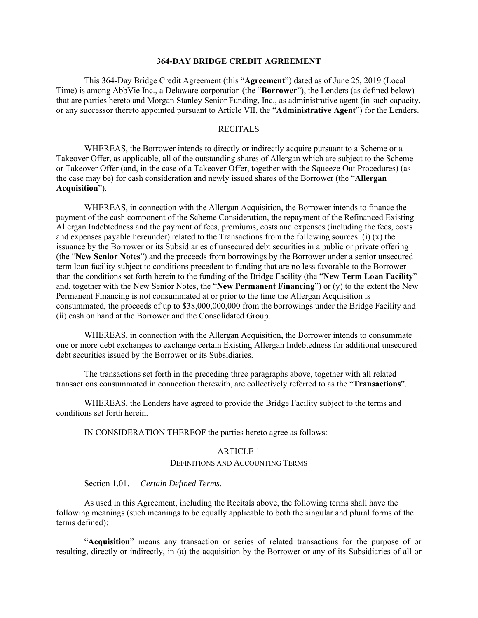### **364-DAY BRIDGE CREDIT AGREEMENT**

This 364-Day Bridge Credit Agreement (this "**Agreement**") dated as of June 25, 2019 (Local Time) is among AbbVie Inc., a Delaware corporation (the "**Borrower**"), the Lenders (as defined below) that are parties hereto and Morgan Stanley Senior Funding, Inc., as administrative agent (in such capacity, or any successor thereto appointed pursuant to Article VII, the "**Administrative Agent**") for the Lenders.

## **RECITALS**

WHEREAS, the Borrower intends to directly or indirectly acquire pursuant to a Scheme or a Takeover Offer, as applicable, all of the outstanding shares of Allergan which are subject to the Scheme or Takeover Offer (and, in the case of a Takeover Offer, together with the Squeeze Out Procedures) (as the case may be) for cash consideration and newly issued shares of the Borrower (the "**Allergan Acquisition**").

WHEREAS, in connection with the Allergan Acquisition, the Borrower intends to finance the payment of the cash component of the Scheme Consideration, the repayment of the Refinanced Existing Allergan Indebtedness and the payment of fees, premiums, costs and expenses (including the fees, costs and expenses payable hereunder) related to the Transactions from the following sources: (i)  $(x)$  the issuance by the Borrower or its Subsidiaries of unsecured debt securities in a public or private offering (the "**New Senior Notes**") and the proceeds from borrowings by the Borrower under a senior unsecured term loan facility subject to conditions precedent to funding that are no less favorable to the Borrower than the conditions set forth herein to the funding of the Bridge Facility (the "**New Term Loan Facility**" and, together with the New Senior Notes, the "**New Permanent Financing**") or (y) to the extent the New Permanent Financing is not consummated at or prior to the time the Allergan Acquisition is consummated, the proceeds of up to \$38,000,000,000 from the borrowings under the Bridge Facility and (ii) cash on hand at the Borrower and the Consolidated Group.

WHEREAS, in connection with the Allergan Acquisition, the Borrower intends to consummate one or more debt exchanges to exchange certain Existing Allergan Indebtedness for additional unsecured debt securities issued by the Borrower or its Subsidiaries.

The transactions set forth in the preceding three paragraphs above, together with all related transactions consummated in connection therewith, are collectively referred to as the "**Transactions**".

WHEREAS, the Lenders have agreed to provide the Bridge Facility subject to the terms and conditions set forth herein.

IN CONSIDERATION THEREOF the parties hereto agree as follows:

### ARTICLE 1

## DEFINITIONS AND ACCOUNTING TERMS

Section 1.01. *Certain Defined Terms.* 

As used in this Agreement, including the Recitals above, the following terms shall have the following meanings (such meanings to be equally applicable to both the singular and plural forms of the terms defined):

"**Acquisition**" means any transaction or series of related transactions for the purpose of or resulting, directly or indirectly, in (a) the acquisition by the Borrower or any of its Subsidiaries of all or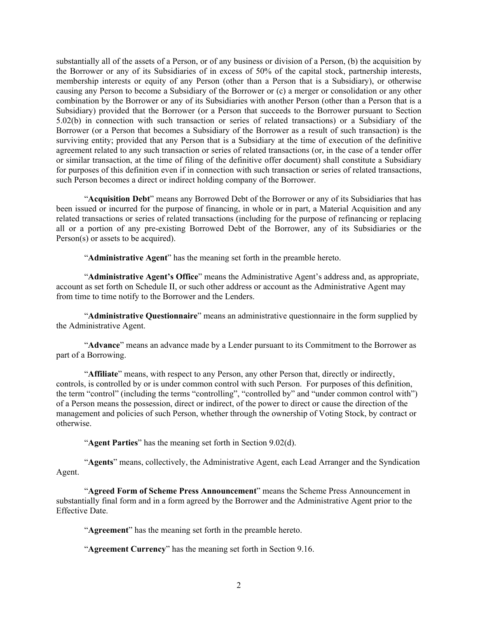substantially all of the assets of a Person, or of any business or division of a Person, (b) the acquisition by the Borrower or any of its Subsidiaries of in excess of 50% of the capital stock, partnership interests, membership interests or equity of any Person (other than a Person that is a Subsidiary), or otherwise causing any Person to become a Subsidiary of the Borrower or (c) a merger or consolidation or any other combination by the Borrower or any of its Subsidiaries with another Person (other than a Person that is a Subsidiary) provided that the Borrower (or a Person that succeeds to the Borrower pursuant to Section 5.02(b) in connection with such transaction or series of related transactions) or a Subsidiary of the Borrower (or a Person that becomes a Subsidiary of the Borrower as a result of such transaction) is the surviving entity; provided that any Person that is a Subsidiary at the time of execution of the definitive agreement related to any such transaction or series of related transactions (or, in the case of a tender offer or similar transaction, at the time of filing of the definitive offer document) shall constitute a Subsidiary for purposes of this definition even if in connection with such transaction or series of related transactions, such Person becomes a direct or indirect holding company of the Borrower.

"**Acquisition Debt**" means any Borrowed Debt of the Borrower or any of its Subsidiaries that has been issued or incurred for the purpose of financing, in whole or in part, a Material Acquisition and any related transactions or series of related transactions (including for the purpose of refinancing or replacing all or a portion of any pre-existing Borrowed Debt of the Borrower, any of its Subsidiaries or the Person(s) or assets to be acquired).

"**Administrative Agent**" has the meaning set forth in the preamble hereto.

"**Administrative Agent's Office**" means the Administrative Agent's address and, as appropriate, account as set forth on Schedule II, or such other address or account as the Administrative Agent may from time to time notify to the Borrower and the Lenders.

"**Administrative Questionnaire**" means an administrative questionnaire in the form supplied by the Administrative Agent.

"**Advance**" means an advance made by a Lender pursuant to its Commitment to the Borrower as part of a Borrowing.

"**Affiliate**" means, with respect to any Person, any other Person that, directly or indirectly, controls, is controlled by or is under common control with such Person. For purposes of this definition, the term "control" (including the terms "controlling", "controlled by" and "under common control with") of a Person means the possession, direct or indirect, of the power to direct or cause the direction of the management and policies of such Person, whether through the ownership of Voting Stock, by contract or otherwise.

"**Agent Parties**" has the meaning set forth in Section 9.02(d).

"**Agents**" means, collectively, the Administrative Agent, each Lead Arranger and the Syndication Agent.

"**Agreed Form of Scheme Press Announcement**" means the Scheme Press Announcement in substantially final form and in a form agreed by the Borrower and the Administrative Agent prior to the Effective Date.

"**Agreement**" has the meaning set forth in the preamble hereto.

"**Agreement Currency**" has the meaning set forth in Section 9.16.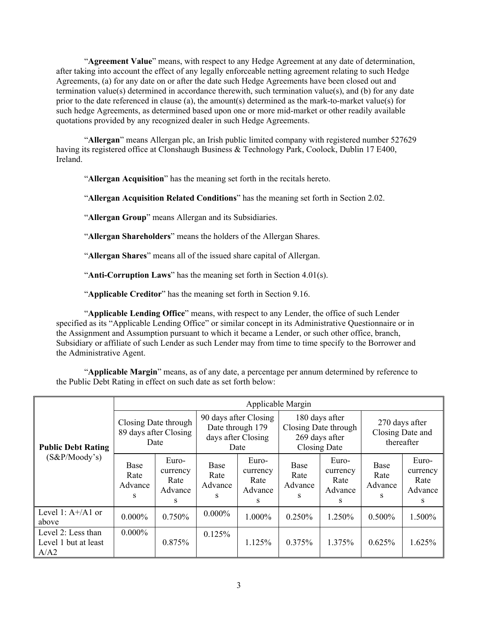"**Agreement Value**" means, with respect to any Hedge Agreement at any date of determination, after taking into account the effect of any legally enforceable netting agreement relating to such Hedge Agreements, (a) for any date on or after the date such Hedge Agreements have been closed out and termination value(s) determined in accordance therewith, such termination value(s), and (b) for any date prior to the date referenced in clause (a), the amount(s) determined as the mark-to-market value(s) for such hedge Agreements, as determined based upon one or more mid-market or other readily available quotations provided by any recognized dealer in such Hedge Agreements.

"**Allergan**" means Allergan plc, an Irish public limited company with registered number 527629 having its registered office at Clonshaugh Business & Technology Park, Coolock, Dublin 17 E400, Ireland.

"**Allergan Acquisition**" has the meaning set forth in the recitals hereto.

"**Allergan Acquisition Related Conditions**" has the meaning set forth in Section 2.02.

"**Allergan Group**" means Allergan and its Subsidiaries.

"**Allergan Shareholders**" means the holders of the Allergan Shares.

"**Allergan Shares**" means all of the issued share capital of Allergan.

"**Anti-Corruption Laws**" has the meaning set forth in Section 4.01(s).

"**Applicable Creditor**" has the meaning set forth in Section 9.16.

"**Applicable Lending Office**" means, with respect to any Lender, the office of such Lender specified as its "Applicable Lending Office" or similar concept in its Administrative Questionnaire or in the Assignment and Assumption pursuant to which it became a Lender, or such other office, branch, Subsidiary or affiliate of such Lender as such Lender may from time to time specify to the Borrower and the Administrative Agent.

"**Applicable Margin**" means, as of any date, a percentage per annum determined by reference to the Public Debt Rating in effect on such date as set forth below:

|                                                    | Applicable Margin                                     |                                           |                                                                         |                                           |                                                                                 |                                           |                                                  |                                           |
|----------------------------------------------------|-------------------------------------------------------|-------------------------------------------|-------------------------------------------------------------------------|-------------------------------------------|---------------------------------------------------------------------------------|-------------------------------------------|--------------------------------------------------|-------------------------------------------|
| <b>Public Debt Rating</b><br>(S&P/Moody's)         | Closing Date through<br>89 days after Closing<br>Date |                                           | 90 days after Closing<br>Date through 179<br>days after Closing<br>Date |                                           | 180 days after<br>Closing Date through<br>269 days after<br><b>Closing Date</b> |                                           | 270 days after<br>Closing Date and<br>thereafter |                                           |
|                                                    | <b>Base</b><br>Rate<br>Advance<br>S                   | Euro-<br>currency<br>Rate<br>Advance<br>S | Base<br>Rate<br>Advance<br>s                                            | Euro-<br>currency<br>Rate<br>Advance<br>s | Base<br>Rate<br>Advance<br>S                                                    | Euro-<br>currency<br>Rate<br>Advance<br>S | Base<br>Rate<br>Advance<br>s                     | Euro-<br>currency<br>Rate<br>Advance<br>s |
| Level 1: $A^{+}/A1$ or<br>above                    | $0.000\%$                                             | 0.750%                                    | $0.000\%$                                                               | 1.000%                                    | 0.250%                                                                          | 1.250%                                    | 0.500%                                           | 1.500%                                    |
| Level 2: Less than<br>Level 1 but at least<br>A/A2 | $0.000\%$                                             | 0.875%                                    | 0.125%                                                                  | 1.125%                                    | 0.375%                                                                          | 1.375%                                    | 0.625%                                           | 1.625%                                    |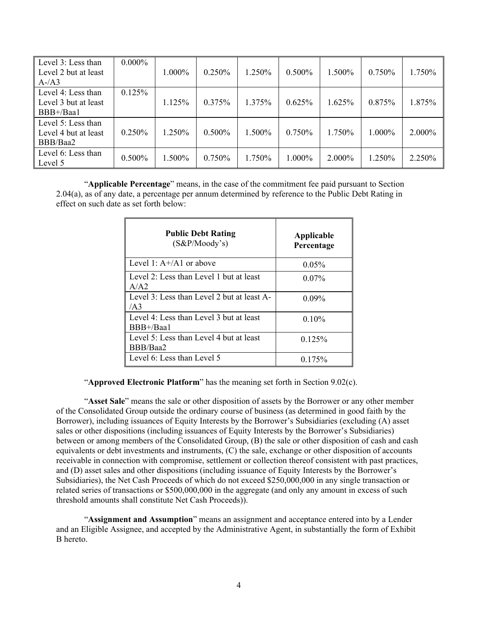| Level 3: Less than<br>Level 2 but at least<br>$A-A3$    | $0.000\%$ | 1.000% | 0.250%    | 1.250% | 0.500% | 1.500%    | 0.750% | 1.750%  |
|---------------------------------------------------------|-----------|--------|-----------|--------|--------|-----------|--------|---------|
| Level 4: Less than<br>Level 3 but at least<br>BBB+/Baa1 | 0.125%    | 1.125% | 0.375%    | 1.375% | 0.625% | $1.625\%$ | 0.875% | 1.875%  |
| Level 5: Less than<br>Level 4 but at least<br>BBB/Baa2  | 0.250%    | 1.250% | $0.500\%$ | 1.500% | 0.750% | 1.750%    | 1.000% | 2.000\% |
| Level 6: Less than<br>Level 5                           | 0.500%    | 1.500% | 0.750%    | 1.750% | 1.000% | 2.000\%   | 1.250% | 2.250%  |

"**Applicable Percentage**" means, in the case of the commitment fee paid pursuant to Section 2.04(a), as of any date, a percentage per annum determined by reference to the Public Debt Rating in effect on such date as set forth below:

| <b>Public Debt Rating</b><br>(S&P/Moody's)                   | <b>Applicable</b><br>Percentage |
|--------------------------------------------------------------|---------------------------------|
| Level 1: $A^{+}/A1$ or above                                 | 0.05%                           |
| Level 2: Less than Level 1 but at least<br>A/A2              | $0.07\%$                        |
| Level 3: Less than Level 2 but at least A-<br>$\overline{A}$ | 0.09%                           |
| Level 4: Less than Level 3 but at least<br>$BBB+/Baa1$       | 0.10%                           |
| Level 5: Less than Level 4 but at least<br>BBB/Baa2          | 0.125%                          |
| Level 6: Less than Level 5                                   | $0.175\%$                       |

"**Approved Electronic Platform**" has the meaning set forth in Section 9.02(c).

"**Asset Sale**" means the sale or other disposition of assets by the Borrower or any other member of the Consolidated Group outside the ordinary course of business (as determined in good faith by the Borrower), including issuances of Equity Interests by the Borrower's Subsidiaries (excluding (A) asset sales or other dispositions (including issuances of Equity Interests by the Borrower's Subsidiaries) between or among members of the Consolidated Group, (B) the sale or other disposition of cash and cash equivalents or debt investments and instruments, (C) the sale, exchange or other disposition of accounts receivable in connection with compromise, settlement or collection thereof consistent with past practices, and (D) asset sales and other dispositions (including issuance of Equity Interests by the Borrower's Subsidiaries), the Net Cash Proceeds of which do not exceed \$250,000,000 in any single transaction or related series of transactions or \$500,000,000 in the aggregate (and only any amount in excess of such threshold amounts shall constitute Net Cash Proceeds)).

"**Assignment and Assumption**" means an assignment and acceptance entered into by a Lender and an Eligible Assignee, and accepted by the Administrative Agent, in substantially the form of Exhibit B hereto.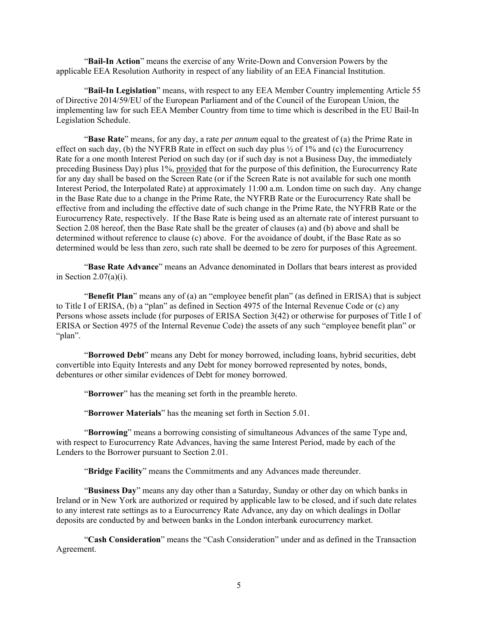"**Bail-In Action**" means the exercise of any Write-Down and Conversion Powers by the applicable EEA Resolution Authority in respect of any liability of an EEA Financial Institution.

"**Bail-In Legislation**" means, with respect to any EEA Member Country implementing Article 55 of Directive 2014/59/EU of the European Parliament and of the Council of the European Union, the implementing law for such EEA Member Country from time to time which is described in the EU Bail-In Legislation Schedule.

"**Base Rate**" means, for any day, a rate *per annum* equal to the greatest of (a) the Prime Rate in effect on such day, (b) the NYFRB Rate in effect on such day plus  $\frac{1}{2}$  of 1% and (c) the Eurocurrency Rate for a one month Interest Period on such day (or if such day is not a Business Day, the immediately preceding Business Day) plus 1%, provided that for the purpose of this definition, the Eurocurrency Rate for any day shall be based on the Screen Rate (or if the Screen Rate is not available for such one month Interest Period, the Interpolated Rate) at approximately 11:00 a.m. London time on such day. Any change in the Base Rate due to a change in the Prime Rate, the NYFRB Rate or the Eurocurrency Rate shall be effective from and including the effective date of such change in the Prime Rate, the NYFRB Rate or the Eurocurrency Rate, respectively. If the Base Rate is being used as an alternate rate of interest pursuant to Section 2.08 hereof, then the Base Rate shall be the greater of clauses (a) and (b) above and shall be determined without reference to clause (c) above. For the avoidance of doubt, if the Base Rate as so determined would be less than zero, such rate shall be deemed to be zero for purposes of this Agreement.

"**Base Rate Advance**" means an Advance denominated in Dollars that bears interest as provided in Section  $2.07(a)(i)$ .

"**Benefit Plan**" means any of (a) an "employee benefit plan" (as defined in ERISA) that is subject to Title I of ERISA, (b) a "plan" as defined in Section 4975 of the Internal Revenue Code or (c) any Persons whose assets include (for purposes of ERISA Section 3(42) or otherwise for purposes of Title I of ERISA or Section 4975 of the Internal Revenue Code) the assets of any such "employee benefit plan" or "plan".

"**Borrowed Debt**" means any Debt for money borrowed, including loans, hybrid securities, debt convertible into Equity Interests and any Debt for money borrowed represented by notes, bonds, debentures or other similar evidences of Debt for money borrowed.

"**Borrower**" has the meaning set forth in the preamble hereto.

"**Borrower Materials**" has the meaning set forth in Section 5.01.

"**Borrowing**" means a borrowing consisting of simultaneous Advances of the same Type and, with respect to Eurocurrency Rate Advances, having the same Interest Period, made by each of the Lenders to the Borrower pursuant to Section 2.01.

"**Bridge Facility**" means the Commitments and any Advances made thereunder.

"**Business Day**" means any day other than a Saturday, Sunday or other day on which banks in Ireland or in New York are authorized or required by applicable law to be closed, and if such date relates to any interest rate settings as to a Eurocurrency Rate Advance, any day on which dealings in Dollar deposits are conducted by and between banks in the London interbank eurocurrency market.

"**Cash Consideration**" means the "Cash Consideration" under and as defined in the Transaction Agreement.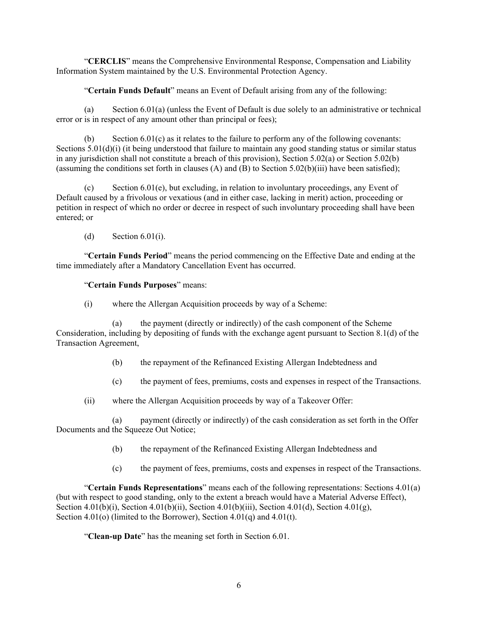"**CERCLIS**" means the Comprehensive Environmental Response, Compensation and Liability Information System maintained by the U.S. Environmental Protection Agency.

"**Certain Funds Default**" means an Event of Default arising from any of the following:

(a) Section 6.01(a) (unless the Event of Default is due solely to an administrative or technical error or is in respect of any amount other than principal or fees);

(b) Section  $6.01(c)$  as it relates to the failure to perform any of the following covenants: Sections 5.01(d)(i) (it being understood that failure to maintain any good standing status or similar status in any jurisdiction shall not constitute a breach of this provision), Section 5.02(a) or Section 5.02(b) (assuming the conditions set forth in clauses (A) and (B) to Section  $5.02(b)(iii)$  have been satisfied);

(c) Section 6.01(e), but excluding, in relation to involuntary proceedings, any Event of Default caused by a frivolous or vexatious (and in either case, lacking in merit) action, proceeding or petition in respect of which no order or decree in respect of such involuntary proceeding shall have been entered; or

(d) Section  $6.01(i)$ .

"**Certain Funds Period**" means the period commencing on the Effective Date and ending at the time immediately after a Mandatory Cancellation Event has occurred.

### "**Certain Funds Purposes**" means:

(i) where the Allergan Acquisition proceeds by way of a Scheme:

 (a) the payment (directly or indirectly) of the cash component of the Scheme Consideration, including by depositing of funds with the exchange agent pursuant to Section 8.1(d) of the Transaction Agreement,

- (b) the repayment of the Refinanced Existing Allergan Indebtedness and
- (c) the payment of fees, premiums, costs and expenses in respect of the Transactions.
- (ii) where the Allergan Acquisition proceeds by way of a Takeover Offer:

 (a) payment (directly or indirectly) of the cash consideration as set forth in the Offer Documents and the Squeeze Out Notice;

- (b) the repayment of the Refinanced Existing Allergan Indebtedness and
- (c) the payment of fees, premiums, costs and expenses in respect of the Transactions.

"**Certain Funds Representations**" means each of the following representations: Sections 4.01(a) (but with respect to good standing, only to the extent a breach would have a Material Adverse Effect), Section 4.01(b)(i), Section 4.01(b)(ii), Section 4.01(b)(iii), Section 4.01(d), Section 4.01(g), Section  $4.01$ (o) (limited to the Borrower), Section  $4.01$ (q) and  $4.01$ (t).

"**Clean-up Date**" has the meaning set forth in Section 6.01.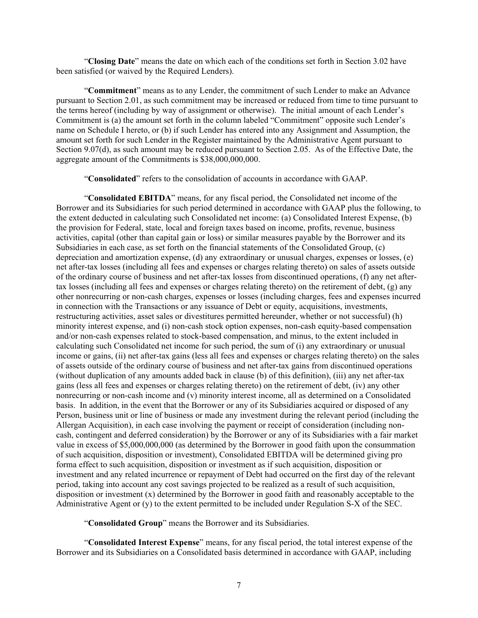"**Closing Date**" means the date on which each of the conditions set forth in Section 3.02 have been satisfied (or waived by the Required Lenders).

"**Commitment**" means as to any Lender, the commitment of such Lender to make an Advance pursuant to Section 2.01, as such commitment may be increased or reduced from time to time pursuant to the terms hereof (including by way of assignment or otherwise). The initial amount of each Lender's Commitment is (a) the amount set forth in the column labeled "Commitment" opposite such Lender's name on Schedule I hereto, or (b) if such Lender has entered into any Assignment and Assumption, the amount set forth for such Lender in the Register maintained by the Administrative Agent pursuant to Section 9.07(d), as such amount may be reduced pursuant to Section 2.05. As of the Effective Date, the aggregate amount of the Commitments is \$38,000,000,000.

"**Consolidated**" refers to the consolidation of accounts in accordance with GAAP.

"**Consolidated EBITDA**" means, for any fiscal period, the Consolidated net income of the Borrower and its Subsidiaries for such period determined in accordance with GAAP plus the following, to the extent deducted in calculating such Consolidated net income: (a) Consolidated Interest Expense, (b) the provision for Federal, state, local and foreign taxes based on income, profits, revenue, business activities, capital (other than capital gain or loss) or similar measures payable by the Borrower and its Subsidiaries in each case, as set forth on the financial statements of the Consolidated Group, (c) depreciation and amortization expense, (d) any extraordinary or unusual charges, expenses or losses, (e) net after-tax losses (including all fees and expenses or charges relating thereto) on sales of assets outside of the ordinary course of business and net after-tax losses from discontinued operations, (f) any net aftertax losses (including all fees and expenses or charges relating thereto) on the retirement of debt, (g) any other nonrecurring or non-cash charges, expenses or losses (including charges, fees and expenses incurred in connection with the Transactions or any issuance of Debt or equity, acquisitions, investments, restructuring activities, asset sales or divestitures permitted hereunder, whether or not successful) (h) minority interest expense, and (i) non-cash stock option expenses, non-cash equity-based compensation and/or non-cash expenses related to stock-based compensation, and minus, to the extent included in calculating such Consolidated net income for such period, the sum of (i) any extraordinary or unusual income or gains, (ii) net after-tax gains (less all fees and expenses or charges relating thereto) on the sales of assets outside of the ordinary course of business and net after-tax gains from discontinued operations (without duplication of any amounts added back in clause (b) of this definition), (iii) any net after-tax gains (less all fees and expenses or charges relating thereto) on the retirement of debt, (iv) any other nonrecurring or non-cash income and (v) minority interest income, all as determined on a Consolidated basis. In addition, in the event that the Borrower or any of its Subsidiaries acquired or disposed of any Person, business unit or line of business or made any investment during the relevant period (including the Allergan Acquisition), in each case involving the payment or receipt of consideration (including noncash, contingent and deferred consideration) by the Borrower or any of its Subsidiaries with a fair market value in excess of \$5,000,000,000 (as determined by the Borrower in good faith upon the consummation of such acquisition, disposition or investment), Consolidated EBITDA will be determined giving pro forma effect to such acquisition, disposition or investment as if such acquisition, disposition or investment and any related incurrence or repayment of Debt had occurred on the first day of the relevant period, taking into account any cost savings projected to be realized as a result of such acquisition, disposition or investment (x) determined by the Borrower in good faith and reasonably acceptable to the Administrative Agent or (y) to the extent permitted to be included under Regulation S-X of the SEC.

"**Consolidated Group**" means the Borrower and its Subsidiaries.

"**Consolidated Interest Expense**" means, for any fiscal period, the total interest expense of the Borrower and its Subsidiaries on a Consolidated basis determined in accordance with GAAP, including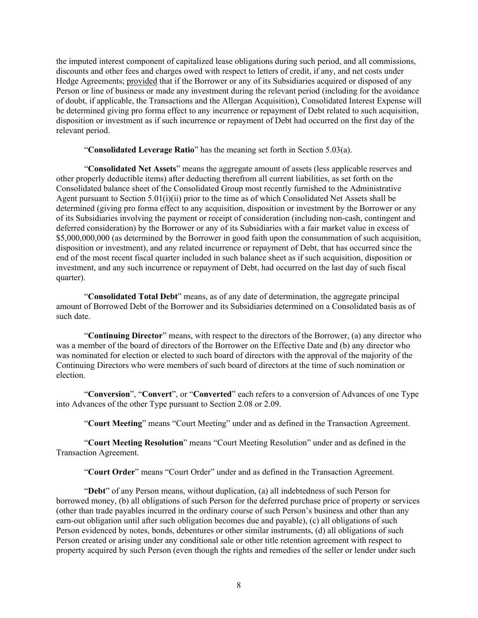the imputed interest component of capitalized lease obligations during such period, and all commissions, discounts and other fees and charges owed with respect to letters of credit, if any, and net costs under Hedge Agreements; provided that if the Borrower or any of its Subsidiaries acquired or disposed of any Person or line of business or made any investment during the relevant period (including for the avoidance of doubt, if applicable, the Transactions and the Allergan Acquisition), Consolidated Interest Expense will be determined giving pro forma effect to any incurrence or repayment of Debt related to such acquisition, disposition or investment as if such incurrence or repayment of Debt had occurred on the first day of the relevant period.

"**Consolidated Leverage Ratio**" has the meaning set forth in Section 5.03(a).

"**Consolidated Net Assets**" means the aggregate amount of assets (less applicable reserves and other properly deductible items) after deducting therefrom all current liabilities, as set forth on the Consolidated balance sheet of the Consolidated Group most recently furnished to the Administrative Agent pursuant to Section  $5.01(i)(ii)$  prior to the time as of which Consolidated Net Assets shall be determined (giving pro forma effect to any acquisition, disposition or investment by the Borrower or any of its Subsidiaries involving the payment or receipt of consideration (including non-cash, contingent and deferred consideration) by the Borrower or any of its Subsidiaries with a fair market value in excess of \$5,000,000,000 (as determined by the Borrower in good faith upon the consummation of such acquisition, disposition or investment), and any related incurrence or repayment of Debt, that has occurred since the end of the most recent fiscal quarter included in such balance sheet as if such acquisition, disposition or investment, and any such incurrence or repayment of Debt, had occurred on the last day of such fiscal quarter).

"**Consolidated Total Debt**" means, as of any date of determination, the aggregate principal amount of Borrowed Debt of the Borrower and its Subsidiaries determined on a Consolidated basis as of such date.

"**Continuing Director**" means, with respect to the directors of the Borrower, (a) any director who was a member of the board of directors of the Borrower on the Effective Date and (b) any director who was nominated for election or elected to such board of directors with the approval of the majority of the Continuing Directors who were members of such board of directors at the time of such nomination or election.

"**Conversion**", "**Convert**", or "**Converted**" each refers to a conversion of Advances of one Type into Advances of the other Type pursuant to Section 2.08 or 2.09.

"**Court Meeting**" means "Court Meeting" under and as defined in the Transaction Agreement.

"**Court Meeting Resolution**" means "Court Meeting Resolution" under and as defined in the Transaction Agreement.

"**Court Order**" means "Court Order" under and as defined in the Transaction Agreement.

"**Debt**" of any Person means, without duplication, (a) all indebtedness of such Person for borrowed money, (b) all obligations of such Person for the deferred purchase price of property or services (other than trade payables incurred in the ordinary course of such Person's business and other than any earn-out obligation until after such obligation becomes due and payable), (c) all obligations of such Person evidenced by notes, bonds, debentures or other similar instruments, (d) all obligations of such Person created or arising under any conditional sale or other title retention agreement with respect to property acquired by such Person (even though the rights and remedies of the seller or lender under such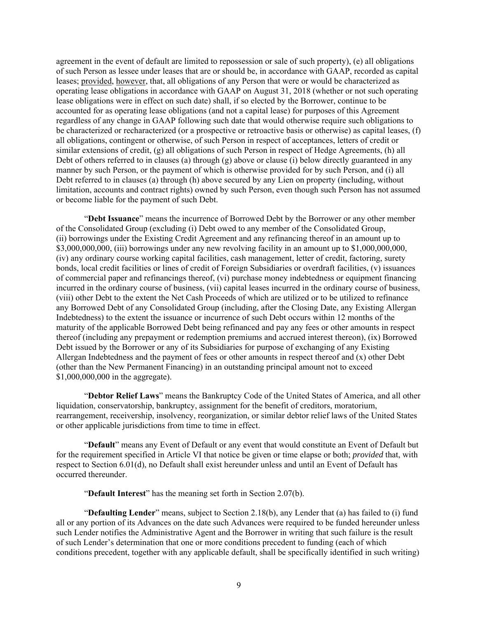agreement in the event of default are limited to repossession or sale of such property), (e) all obligations of such Person as lessee under leases that are or should be, in accordance with GAAP, recorded as capital leases; provided, however, that, all obligations of any Person that were or would be characterized as operating lease obligations in accordance with GAAP on August 31, 2018 (whether or not such operating lease obligations were in effect on such date) shall, if so elected by the Borrower, continue to be accounted for as operating lease obligations (and not a capital lease) for purposes of this Agreement regardless of any change in GAAP following such date that would otherwise require such obligations to be characterized or recharacterized (or a prospective or retroactive basis or otherwise) as capital leases, (f) all obligations, contingent or otherwise, of such Person in respect of acceptances, letters of credit or similar extensions of credit, (g) all obligations of such Person in respect of Hedge Agreements, (h) all Debt of others referred to in clauses (a) through  $(g)$  above or clause (i) below directly guaranteed in any manner by such Person, or the payment of which is otherwise provided for by such Person, and (i) all Debt referred to in clauses (a) through (h) above secured by any Lien on property (including, without limitation, accounts and contract rights) owned by such Person, even though such Person has not assumed or become liable for the payment of such Debt.

"**Debt Issuance**" means the incurrence of Borrowed Debt by the Borrower or any other member of the Consolidated Group (excluding (i) Debt owed to any member of the Consolidated Group, (ii) borrowings under the Existing Credit Agreement and any refinancing thereof in an amount up to \$3,000,000,000, (iii) borrowings under any new revolving facility in an amount up to \$1,000,000,000, (iv) any ordinary course working capital facilities, cash management, letter of credit, factoring, surety bonds, local credit facilities or lines of credit of Foreign Subsidiaries or overdraft facilities, (v) issuances of commercial paper and refinancings thereof, (vi) purchase money indebtedness or equipment financing incurred in the ordinary course of business, (vii) capital leases incurred in the ordinary course of business, (viii) other Debt to the extent the Net Cash Proceeds of which are utilized or to be utilized to refinance any Borrowed Debt of any Consolidated Group (including, after the Closing Date, any Existing Allergan Indebtedness) to the extent the issuance or incurrence of such Debt occurs within 12 months of the maturity of the applicable Borrowed Debt being refinanced and pay any fees or other amounts in respect thereof (including any prepayment or redemption premiums and accrued interest thereon), (ix) Borrowed Debt issued by the Borrower or any of its Subsidiaries for purpose of exchanging of any Existing Allergan Indebtedness and the payment of fees or other amounts in respect thereof and (x) other Debt (other than the New Permanent Financing) in an outstanding principal amount not to exceed \$1,000,000,000 in the aggregate).

"**Debtor Relief Laws**" means the Bankruptcy Code of the United States of America, and all other liquidation, conservatorship, bankruptcy, assignment for the benefit of creditors, moratorium, rearrangement, receivership, insolvency, reorganization, or similar debtor relief laws of the United States or other applicable jurisdictions from time to time in effect.

"**Default**" means any Event of Default or any event that would constitute an Event of Default but for the requirement specified in Article VI that notice be given or time elapse or both; *provided* that, with respect to Section 6.01(d), no Default shall exist hereunder unless and until an Event of Default has occurred thereunder.

"**Default Interest**" has the meaning set forth in Section 2.07(b).

"**Defaulting Lender**" means, subject to Section 2.18(b), any Lender that (a) has failed to (i) fund all or any portion of its Advances on the date such Advances were required to be funded hereunder unless such Lender notifies the Administrative Agent and the Borrower in writing that such failure is the result of such Lender's determination that one or more conditions precedent to funding (each of which conditions precedent, together with any applicable default, shall be specifically identified in such writing)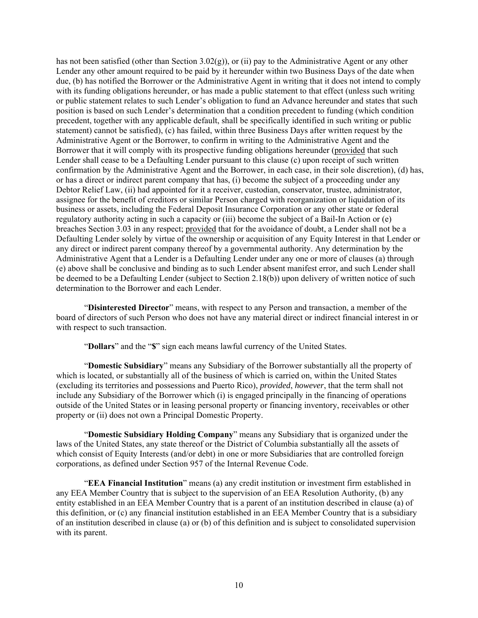has not been satisfied (other than Section 3.02(g)), or (ii) pay to the Administrative Agent or any other Lender any other amount required to be paid by it hereunder within two Business Days of the date when due, (b) has notified the Borrower or the Administrative Agent in writing that it does not intend to comply with its funding obligations hereunder, or has made a public statement to that effect (unless such writing or public statement relates to such Lender's obligation to fund an Advance hereunder and states that such position is based on such Lender's determination that a condition precedent to funding (which condition precedent, together with any applicable default, shall be specifically identified in such writing or public statement) cannot be satisfied), (c) has failed, within three Business Days after written request by the Administrative Agent or the Borrower, to confirm in writing to the Administrative Agent and the Borrower that it will comply with its prospective funding obligations hereunder (provided that such Lender shall cease to be a Defaulting Lender pursuant to this clause (c) upon receipt of such written confirmation by the Administrative Agent and the Borrower, in each case, in their sole discretion), (d) has, or has a direct or indirect parent company that has, (i) become the subject of a proceeding under any Debtor Relief Law, (ii) had appointed for it a receiver, custodian, conservator, trustee, administrator, assignee for the benefit of creditors or similar Person charged with reorganization or liquidation of its business or assets, including the Federal Deposit Insurance Corporation or any other state or federal regulatory authority acting in such a capacity or (iii) become the subject of a Bail-In Action or (e) breaches Section 3.03 in any respect; provided that for the avoidance of doubt, a Lender shall not be a Defaulting Lender solely by virtue of the ownership or acquisition of any Equity Interest in that Lender or any direct or indirect parent company thereof by a governmental authority. Any determination by the Administrative Agent that a Lender is a Defaulting Lender under any one or more of clauses (a) through (e) above shall be conclusive and binding as to such Lender absent manifest error, and such Lender shall be deemed to be a Defaulting Lender (subject to Section 2.18(b)) upon delivery of written notice of such determination to the Borrower and each Lender.

"**Disinterested Director**" means, with respect to any Person and transaction, a member of the board of directors of such Person who does not have any material direct or indirect financial interest in or with respect to such transaction.

"**Dollars**" and the "**\$**" sign each means lawful currency of the United States.

"**Domestic Subsidiary**" means any Subsidiary of the Borrower substantially all the property of which is located, or substantially all of the business of which is carried on, within the United States (excluding its territories and possessions and Puerto Rico), *provided*, *however*, that the term shall not include any Subsidiary of the Borrower which (i) is engaged principally in the financing of operations outside of the United States or in leasing personal property or financing inventory, receivables or other property or (ii) does not own a Principal Domestic Property.

"**Domestic Subsidiary Holding Company**" means any Subsidiary that is organized under the laws of the United States, any state thereof or the District of Columbia substantially all the assets of which consist of Equity Interests (and/or debt) in one or more Subsidiaries that are controlled foreign corporations, as defined under Section 957 of the Internal Revenue Code.

"**EEA Financial Institution**" means (a) any credit institution or investment firm established in any EEA Member Country that is subject to the supervision of an EEA Resolution Authority, (b) any entity established in an EEA Member Country that is a parent of an institution described in clause (a) of this definition, or (c) any financial institution established in an EEA Member Country that is a subsidiary of an institution described in clause (a) or (b) of this definition and is subject to consolidated supervision with its parent.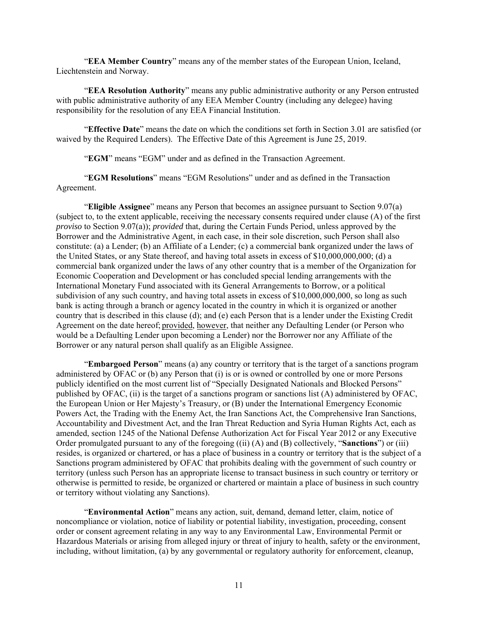"**EEA Member Country**" means any of the member states of the European Union, Iceland, Liechtenstein and Norway.

"**EEA Resolution Authority**" means any public administrative authority or any Person entrusted with public administrative authority of any EEA Member Country (including any delegee) having responsibility for the resolution of any EEA Financial Institution.

"**Effective Date**" means the date on which the conditions set forth in Section 3.01 are satisfied (or waived by the Required Lenders). The Effective Date of this Agreement is June 25, 2019.

"**EGM**" means "EGM" under and as defined in the Transaction Agreement.

"**EGM Resolutions**" means "EGM Resolutions" under and as defined in the Transaction Agreement.

"**Eligible Assignee**" means any Person that becomes an assignee pursuant to Section 9.07(a) (subject to, to the extent applicable, receiving the necessary consents required under clause (A) of the first *proviso* to Section 9.07(a)); *provided* that, during the Certain Funds Period, unless approved by the Borrower and the Administrative Agent, in each case, in their sole discretion, such Person shall also constitute: (a) a Lender; (b) an Affiliate of a Lender; (c) a commercial bank organized under the laws of the United States, or any State thereof, and having total assets in excess of \$10,000,000,000; (d) a commercial bank organized under the laws of any other country that is a member of the Organization for Economic Cooperation and Development or has concluded special lending arrangements with the International Monetary Fund associated with its General Arrangements to Borrow, or a political subdivision of any such country, and having total assets in excess of \$10,000,000,000, so long as such bank is acting through a branch or agency located in the country in which it is organized or another country that is described in this clause (d); and (e) each Person that is a lender under the Existing Credit Agreement on the date hereof; provided, however, that neither any Defaulting Lender (or Person who would be a Defaulting Lender upon becoming a Lender) nor the Borrower nor any Affiliate of the Borrower or any natural person shall qualify as an Eligible Assignee.

"**Embargoed Person**" means (a) any country or territory that is the target of a sanctions program administered by OFAC or (b) any Person that (i) is or is owned or controlled by one or more Persons publicly identified on the most current list of "Specially Designated Nationals and Blocked Persons" published by  $OFAC$ , (ii) is the target of a sanctions program or sanctions list  $(A)$  administered by  $OFAC$ , the European Union or Her Majesty's Treasury, or (B) under the International Emergency Economic Powers Act, the Trading with the Enemy Act, the Iran Sanctions Act, the Comprehensive Iran Sanctions, Accountability and Divestment Act, and the Iran Threat Reduction and Syria Human Rights Act, each as amended, section 1245 of the National Defense Authorization Act for Fiscal Year 2012 or any Executive Order promulgated pursuant to any of the foregoing ((ii) (A) and (B) collectively, "**Sanctions**") or (iii) resides, is organized or chartered, or has a place of business in a country or territory that is the subject of a Sanctions program administered by OFAC that prohibits dealing with the government of such country or territory (unless such Person has an appropriate license to transact business in such country or territory or otherwise is permitted to reside, be organized or chartered or maintain a place of business in such country or territory without violating any Sanctions).

"**Environmental Action**" means any action, suit, demand, demand letter, claim, notice of noncompliance or violation, notice of liability or potential liability, investigation, proceeding, consent order or consent agreement relating in any way to any Environmental Law, Environmental Permit or Hazardous Materials or arising from alleged injury or threat of injury to health, safety or the environment, including, without limitation, (a) by any governmental or regulatory authority for enforcement, cleanup,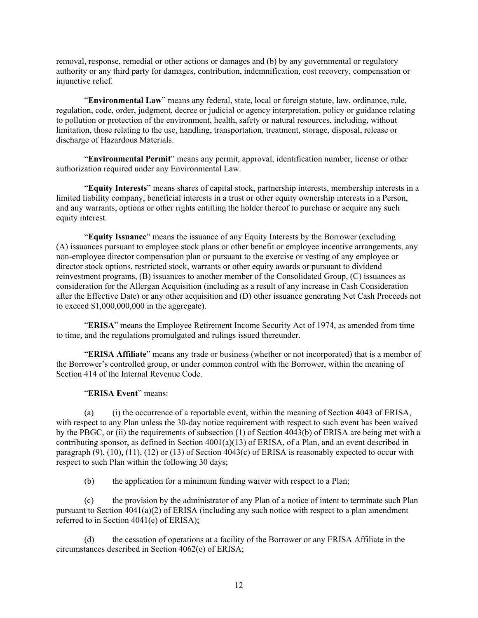removal, response, remedial or other actions or damages and (b) by any governmental or regulatory authority or any third party for damages, contribution, indemnification, cost recovery, compensation or injunctive relief.

"**Environmental Law**" means any federal, state, local or foreign statute, law, ordinance, rule, regulation, code, order, judgment, decree or judicial or agency interpretation, policy or guidance relating to pollution or protection of the environment, health, safety or natural resources, including, without limitation, those relating to the use, handling, transportation, treatment, storage, disposal, release or discharge of Hazardous Materials.

"**Environmental Permit**" means any permit, approval, identification number, license or other authorization required under any Environmental Law.

"**Equity Interests**" means shares of capital stock, partnership interests, membership interests in a limited liability company, beneficial interests in a trust or other equity ownership interests in a Person, and any warrants, options or other rights entitling the holder thereof to purchase or acquire any such equity interest.

"**Equity Issuance**" means the issuance of any Equity Interests by the Borrower (excluding (A) issuances pursuant to employee stock plans or other benefit or employee incentive arrangements, any non-employee director compensation plan or pursuant to the exercise or vesting of any employee or director stock options, restricted stock, warrants or other equity awards or pursuant to dividend reinvestment programs, (B) issuances to another member of the Consolidated Group, (C) issuances as consideration for the Allergan Acquisition (including as a result of any increase in Cash Consideration after the Effective Date) or any other acquisition and (D) other issuance generating Net Cash Proceeds not to exceed \$1,000,000,000 in the aggregate).

"**ERISA**" means the Employee Retirement Income Security Act of 1974, as amended from time to time, and the regulations promulgated and rulings issued thereunder.

"**ERISA Affiliate**" means any trade or business (whether or not incorporated) that is a member of the Borrower's controlled group, or under common control with the Borrower, within the meaning of Section 414 of the Internal Revenue Code.

### "**ERISA Event**" means:

(a) (i) the occurrence of a reportable event, within the meaning of Section 4043 of ERISA, with respect to any Plan unless the 30-day notice requirement with respect to such event has been waived by the PBGC, or (ii) the requirements of subsection (1) of Section 4043(b) of ERISA are being met with a contributing sponsor, as defined in Section 4001(a)(13) of ERISA, of a Plan, and an event described in paragraph  $(9)$ ,  $(10)$ ,  $(11)$ ,  $(12)$  or  $(13)$  of Section 4043(c) of ERISA is reasonably expected to occur with respect to such Plan within the following 30 days;

(b) the application for a minimum funding waiver with respect to a Plan;

(c) the provision by the administrator of any Plan of a notice of intent to terminate such Plan pursuant to Section 4041(a)(2) of ERISA (including any such notice with respect to a plan amendment referred to in Section 4041(e) of ERISA);

(d) the cessation of operations at a facility of the Borrower or any ERISA Affiliate in the circumstances described in Section 4062(e) of ERISA;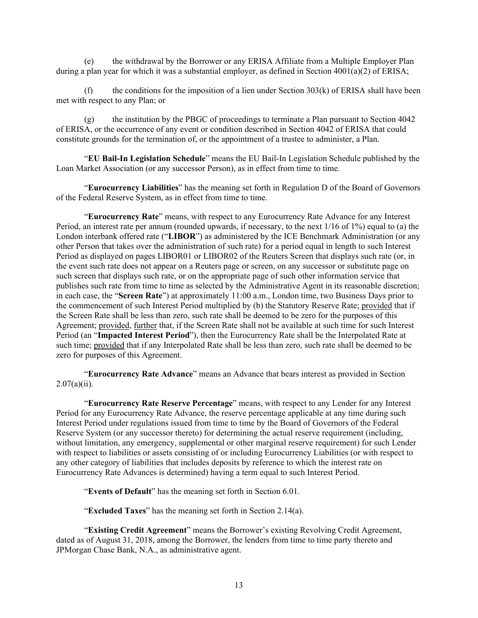(e) the withdrawal by the Borrower or any ERISA Affiliate from a Multiple Employer Plan during a plan year for which it was a substantial employer, as defined in Section 4001(a)(2) of ERISA;

(f) the conditions for the imposition of a lien under Section  $303(k)$  of ERISA shall have been met with respect to any Plan; or

(g) the institution by the PBGC of proceedings to terminate a Plan pursuant to Section 4042 of ERISA, or the occurrence of any event or condition described in Section 4042 of ERISA that could constitute grounds for the termination of, or the appointment of a trustee to administer, a Plan.

"**EU Bail-In Legislation Schedule**" means the EU Bail-In Legislation Schedule published by the Loan Market Association (or any successor Person), as in effect from time to time.

"**Eurocurrency Liabilities**" has the meaning set forth in Regulation D of the Board of Governors of the Federal Reserve System, as in effect from time to time.

"**Eurocurrency Rate**" means, with respect to any Eurocurrency Rate Advance for any Interest Period, an interest rate per annum (rounded upwards, if necessary, to the next 1/16 of 1%) equal to (a) the London interbank offered rate ("**LIBOR**") as administered by the ICE Benchmark Administration (or any other Person that takes over the administration of such rate) for a period equal in length to such Interest Period as displayed on pages LIBOR01 or LIBOR02 of the Reuters Screen that displays such rate (or, in the event such rate does not appear on a Reuters page or screen, on any successor or substitute page on such screen that displays such rate, or on the appropriate page of such other information service that publishes such rate from time to time as selected by the Administrative Agent in its reasonable discretion; in each case, the "**Screen Rate**") at approximately 11:00 a.m., London time, two Business Days prior to the commencement of such Interest Period multiplied by (b) the Statutory Reserve Rate; provided that if the Screen Rate shall be less than zero, such rate shall be deemed to be zero for the purposes of this Agreement; provided, further that, if the Screen Rate shall not be available at such time for such Interest Period (an "**Impacted Interest Period**"), then the Eurocurrency Rate shall be the Interpolated Rate at such time; provided that if any Interpolated Rate shall be less than zero, such rate shall be deemed to be zero for purposes of this Agreement.

"**Eurocurrency Rate Advance**" means an Advance that bears interest as provided in Section  $2.07(a)(ii)$ .

"**Eurocurrency Rate Reserve Percentage**" means, with respect to any Lender for any Interest Period for any Eurocurrency Rate Advance, the reserve percentage applicable at any time during such Interest Period under regulations issued from time to time by the Board of Governors of the Federal Reserve System (or any successor thereto) for determining the actual reserve requirement (including, without limitation, any emergency, supplemental or other marginal reserve requirement) for such Lender with respect to liabilities or assets consisting of or including Eurocurrency Liabilities (or with respect to any other category of liabilities that includes deposits by reference to which the interest rate on Eurocurrency Rate Advances is determined) having a term equal to such Interest Period.

"**Events of Default**" has the meaning set forth in Section 6.01.

"**Excluded Taxes**" has the meaning set forth in Section 2.14(a).

"**Existing Credit Agreement**" means the Borrower's existing Revolving Credit Agreement, dated as of August 31, 2018, among the Borrower, the lenders from time to time party thereto and JPMorgan Chase Bank, N.A., as administrative agent.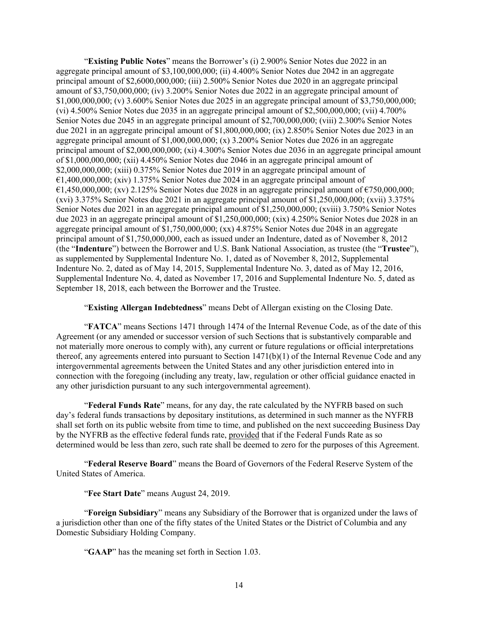"**Existing Public Notes**" means the Borrower's (i) 2.900% Senior Notes due 2022 in an aggregate principal amount of \$3,100,000,000; (ii) 4.400% Senior Notes due 2042 in an aggregate principal amount of \$2,6000,000,000; (iii) 2.500% Senior Notes due 2020 in an aggregate principal amount of \$3,750,000,000; (iv) 3.200% Senior Notes due 2022 in an aggregate principal amount of \$1,000,000,000; (v) 3.600% Senior Notes due 2025 in an aggregate principal amount of \$3,750,000,000; (vi) 4.500% Senior Notes due 2035 in an aggregate principal amount of \$2,500,000,000; (vii) 4.700% Senior Notes due 2045 in an aggregate principal amount of \$2,700,000,000; (viii) 2.300% Senior Notes due 2021 in an aggregate principal amount of  $$1,800,000,000$ ; (ix) 2.850% Senior Notes due 2023 in an aggregate principal amount of \$1,000,000,000; (x) 3.200% Senior Notes due 2026 in an aggregate principal amount of \$2,000,000,000; (xi) 4.300% Senior Notes due 2036 in an aggregate principal amount of \$1,000,000,000; (xii) 4.450% Senior Notes due 2046 in an aggregate principal amount of \$2,000,000,000; (xiii) 0.375% Senior Notes due 2019 in an aggregate principal amount of  $E1,400,000,000$ ; (xiv) 1.375% Senior Notes due 2024 in an aggregate principal amount of  $€1,450,000,000$ ; (xv) 2.125% Senior Notes due 2028 in an aggregate principal amount of  $€750,000,000$ ; (xvi) 3.375% Senior Notes due 2021 in an aggregate principal amount of \$1,250,000,000; (xvii) 3.375% Senior Notes due 2021 in an aggregate principal amount of \$1,250,000,000; (xviii) 3.750% Senior Notes due 2023 in an aggregate principal amount of \$1,250,000,000; (xix) 4.250% Senior Notes due 2028 in an aggregate principal amount of \$1,750,000,000; (xx) 4.875% Senior Notes due 2048 in an aggregate principal amount of \$1,750,000,000, each as issued under an Indenture, dated as of November 8, 2012 (the "**Indenture**") between the Borrower and U.S. Bank National Association, as trustee (the "**Trustee**"), as supplemented by Supplemental Indenture No. 1, dated as of November 8, 2012, Supplemental Indenture No. 2, dated as of May 14, 2015, Supplemental Indenture No. 3, dated as of May 12, 2016, Supplemental Indenture No. 4, dated as November 17, 2016 and Supplemental Indenture No. 5, dated as September 18, 2018, each between the Borrower and the Trustee.

"**Existing Allergan Indebtedness**" means Debt of Allergan existing on the Closing Date.

"**FATCA**" means Sections 1471 through 1474 of the Internal Revenue Code, as of the date of this Agreement (or any amended or successor version of such Sections that is substantively comparable and not materially more onerous to comply with), any current or future regulations or official interpretations thereof, any agreements entered into pursuant to Section 1471(b)(1) of the Internal Revenue Code and any intergovernmental agreements between the United States and any other jurisdiction entered into in connection with the foregoing (including any treaty, law, regulation or other official guidance enacted in any other jurisdiction pursuant to any such intergovernmental agreement).

"**Federal Funds Rate**" means, for any day, the rate calculated by the NYFRB based on such day's federal funds transactions by depositary institutions, as determined in such manner as the NYFRB shall set forth on its public website from time to time, and published on the next succeeding Business Day by the NYFRB as the effective federal funds rate, provided that if the Federal Funds Rate as so determined would be less than zero, such rate shall be deemed to zero for the purposes of this Agreement.

"**Federal Reserve Board**" means the Board of Governors of the Federal Reserve System of the United States of America.

"**Fee Start Date**" means August 24, 2019.

"**Foreign Subsidiary**" means any Subsidiary of the Borrower that is organized under the laws of a jurisdiction other than one of the fifty states of the United States or the District of Columbia and any Domestic Subsidiary Holding Company.

"**GAAP**" has the meaning set forth in Section 1.03.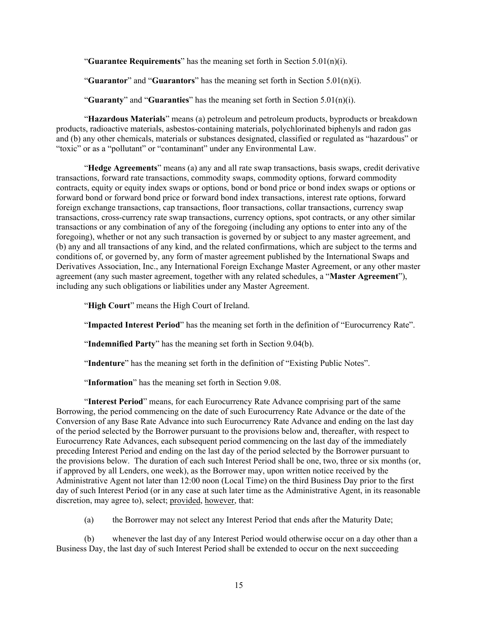"**Guarantee Requirements**" has the meaning set forth in Section 5.01(n)(i).

"**Guarantor**" and "**Guarantors**" has the meaning set forth in Section 5.01(n)(i).

"**Guaranty**" and "**Guaranties**" has the meaning set forth in Section 5.01(n)(i).

"**Hazardous Materials**" means (a) petroleum and petroleum products, byproducts or breakdown products, radioactive materials, asbestos-containing materials, polychlorinated biphenyls and radon gas and (b) any other chemicals, materials or substances designated, classified or regulated as "hazardous" or "toxic" or as a "pollutant" or "contaminant" under any Environmental Law.

"**Hedge Agreements**" means (a) any and all rate swap transactions, basis swaps, credit derivative transactions, forward rate transactions, commodity swaps, commodity options, forward commodity contracts, equity or equity index swaps or options, bond or bond price or bond index swaps or options or forward bond or forward bond price or forward bond index transactions, interest rate options, forward foreign exchange transactions, cap transactions, floor transactions, collar transactions, currency swap transactions, cross-currency rate swap transactions, currency options, spot contracts, or any other similar transactions or any combination of any of the foregoing (including any options to enter into any of the foregoing), whether or not any such transaction is governed by or subject to any master agreement, and (b) any and all transactions of any kind, and the related confirmations, which are subject to the terms and conditions of, or governed by, any form of master agreement published by the International Swaps and Derivatives Association, Inc., any International Foreign Exchange Master Agreement, or any other master agreement (any such master agreement, together with any related schedules, a "**Master Agreement**"), including any such obligations or liabilities under any Master Agreement.

"**High Court**" means the High Court of Ireland.

"**Impacted Interest Period**" has the meaning set forth in the definition of "Eurocurrency Rate".

"**Indemnified Party**" has the meaning set forth in Section 9.04(b).

"**Indenture**" has the meaning set forth in the definition of "Existing Public Notes".

"**Information**" has the meaning set forth in Section 9.08.

"**Interest Period**" means, for each Eurocurrency Rate Advance comprising part of the same Borrowing, the period commencing on the date of such Eurocurrency Rate Advance or the date of the Conversion of any Base Rate Advance into such Eurocurrency Rate Advance and ending on the last day of the period selected by the Borrower pursuant to the provisions below and, thereafter, with respect to Eurocurrency Rate Advances, each subsequent period commencing on the last day of the immediately preceding Interest Period and ending on the last day of the period selected by the Borrower pursuant to the provisions below. The duration of each such Interest Period shall be one, two, three or six months (or, if approved by all Lenders, one week), as the Borrower may, upon written notice received by the Administrative Agent not later than 12:00 noon (Local Time) on the third Business Day prior to the first day of such Interest Period (or in any case at such later time as the Administrative Agent, in its reasonable discretion, may agree to), select; provided, however, that:

(a) the Borrower may not select any Interest Period that ends after the Maturity Date;

(b) whenever the last day of any Interest Period would otherwise occur on a day other than a Business Day, the last day of such Interest Period shall be extended to occur on the next succeeding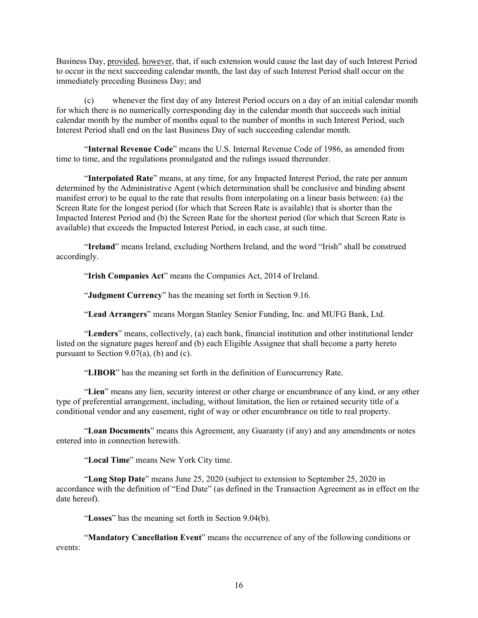Business Day, provided, however, that, if such extension would cause the last day of such Interest Period to occur in the next succeeding calendar month, the last day of such Interest Period shall occur on the immediately preceding Business Day; and

(c) whenever the first day of any Interest Period occurs on a day of an initial calendar month for which there is no numerically corresponding day in the calendar month that succeeds such initial calendar month by the number of months equal to the number of months in such Interest Period, such Interest Period shall end on the last Business Day of such succeeding calendar month.

"**Internal Revenue Code**" means the U.S. Internal Revenue Code of 1986, as amended from time to time, and the regulations promulgated and the rulings issued thereunder.

"**Interpolated Rate**" means, at any time, for any Impacted Interest Period, the rate per annum determined by the Administrative Agent (which determination shall be conclusive and binding absent manifest error) to be equal to the rate that results from interpolating on a linear basis between: (a) the Screen Rate for the longest period (for which that Screen Rate is available) that is shorter than the Impacted Interest Period and (b) the Screen Rate for the shortest period (for which that Screen Rate is available) that exceeds the Impacted Interest Period, in each case, at such time.

"**Ireland**" means Ireland, excluding Northern Ireland, and the word "Irish" shall be construed accordingly.

"**Irish Companies Act**" means the Companies Act, 2014 of Ireland.

"**Judgment Currency**" has the meaning set forth in Section 9.16.

"**Lead Arrangers**" means Morgan Stanley Senior Funding, Inc. and MUFG Bank, Ltd.

"**Lenders**" means, collectively, (a) each bank, financial institution and other institutional lender listed on the signature pages hereof and (b) each Eligible Assignee that shall become a party hereto pursuant to Section  $9.07(a)$ , (b) and (c).

"**LIBOR**" has the meaning set forth in the definition of Eurocurrency Rate.

"**Lien**" means any lien, security interest or other charge or encumbrance of any kind, or any other type of preferential arrangement, including, without limitation, the lien or retained security title of a conditional vendor and any easement, right of way or other encumbrance on title to real property.

"**Loan Documents**" means this Agreement, any Guaranty (if any) and any amendments or notes entered into in connection herewith.

"**Local Time**" means New York City time.

"**Long Stop Date**" means June 25, 2020 (subject to extension to September 25, 2020 in accordance with the definition of "End Date" (as defined in the Transaction Agreement as in effect on the date hereof).

"**Losses**" has the meaning set forth in Section 9.04(b).

"**Mandatory Cancellation Event**" means the occurrence of any of the following conditions or events: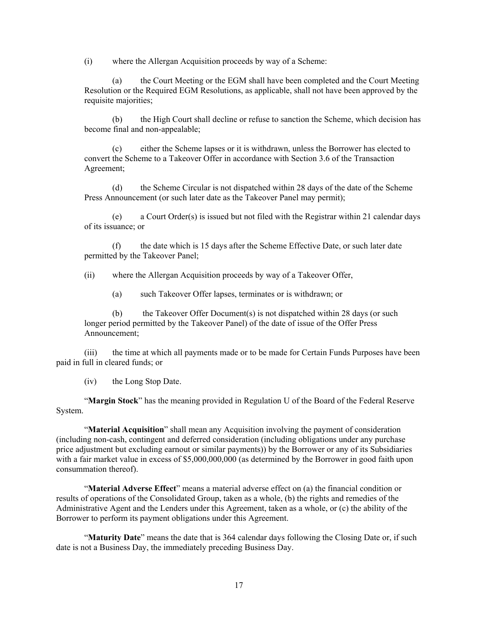(i) where the Allergan Acquisition proceeds by way of a Scheme:

(a) the Court Meeting or the EGM shall have been completed and the Court Meeting Resolution or the Required EGM Resolutions, as applicable, shall not have been approved by the requisite majorities;

(b) the High Court shall decline or refuse to sanction the Scheme, which decision has become final and non-appealable;

(c) either the Scheme lapses or it is withdrawn, unless the Borrower has elected to convert the Scheme to a Takeover Offer in accordance with Section 3.6 of the Transaction Agreement;

(d) the Scheme Circular is not dispatched within 28 days of the date of the Scheme Press Announcement (or such later date as the Takeover Panel may permit);

(e) a Court Order(s) is issued but not filed with the Registrar within 21 calendar days of its issuance; or

(f) the date which is 15 days after the Scheme Effective Date, or such later date permitted by the Takeover Panel;

(ii) where the Allergan Acquisition proceeds by way of a Takeover Offer,

(a) such Takeover Offer lapses, terminates or is withdrawn; or

 (b) the Takeover Offer Document(s) is not dispatched within 28 days (or such longer period permitted by the Takeover Panel) of the date of issue of the Offer Press Announcement;

(iii) the time at which all payments made or to be made for Certain Funds Purposes have been paid in full in cleared funds; or

(iv) the Long Stop Date.

"**Margin Stock**" has the meaning provided in Regulation U of the Board of the Federal Reserve System.

"**Material Acquisition**" shall mean any Acquisition involving the payment of consideration (including non-cash, contingent and deferred consideration (including obligations under any purchase price adjustment but excluding earnout or similar payments)) by the Borrower or any of its Subsidiaries with a fair market value in excess of \$5,000,000,000 (as determined by the Borrower in good faith upon consummation thereof).

"**Material Adverse Effect**" means a material adverse effect on (a) the financial condition or results of operations of the Consolidated Group, taken as a whole, (b) the rights and remedies of the Administrative Agent and the Lenders under this Agreement, taken as a whole, or (c) the ability of the Borrower to perform its payment obligations under this Agreement.

"**Maturity Date**" means the date that is 364 calendar days following the Closing Date or, if such date is not a Business Day, the immediately preceding Business Day.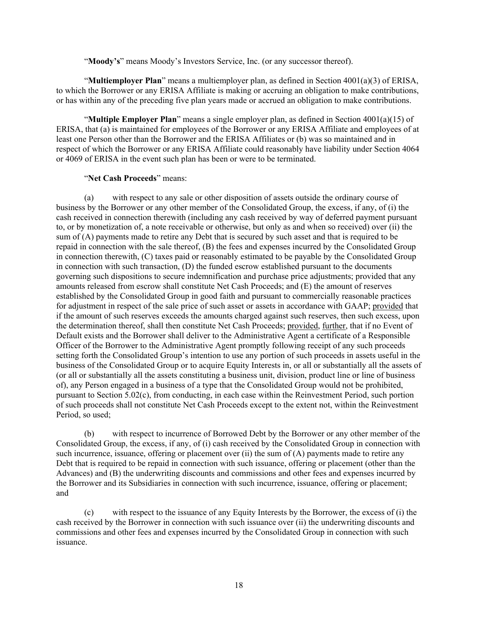"**Moody's**" means Moody's Investors Service, Inc. (or any successor thereof).

"**Multiemployer Plan**" means a multiemployer plan, as defined in Section 4001(a)(3) of ERISA, to which the Borrower or any ERISA Affiliate is making or accruing an obligation to make contributions, or has within any of the preceding five plan years made or accrued an obligation to make contributions.

"**Multiple Employer Plan**" means a single employer plan, as defined in Section 4001(a)(15) of ERISA, that (a) is maintained for employees of the Borrower or any ERISA Affiliate and employees of at least one Person other than the Borrower and the ERISA Affiliates or (b) was so maintained and in respect of which the Borrower or any ERISA Affiliate could reasonably have liability under Section 4064 or 4069 of ERISA in the event such plan has been or were to be terminated.

### "**Net Cash Proceeds**" means:

(a) with respect to any sale or other disposition of assets outside the ordinary course of business by the Borrower or any other member of the Consolidated Group, the excess, if any, of (i) the cash received in connection therewith (including any cash received by way of deferred payment pursuant to, or by monetization of, a note receivable or otherwise, but only as and when so received) over (ii) the sum of (A) payments made to retire any Debt that is secured by such asset and that is required to be repaid in connection with the sale thereof, (B) the fees and expenses incurred by the Consolidated Group in connection therewith, (C) taxes paid or reasonably estimated to be payable by the Consolidated Group in connection with such transaction, (D) the funded escrow established pursuant to the documents governing such dispositions to secure indemnification and purchase price adjustments; provided that any amounts released from escrow shall constitute Net Cash Proceeds; and (E) the amount of reserves established by the Consolidated Group in good faith and pursuant to commercially reasonable practices for adjustment in respect of the sale price of such asset or assets in accordance with GAAP; provided that if the amount of such reserves exceeds the amounts charged against such reserves, then such excess, upon the determination thereof, shall then constitute Net Cash Proceeds; provided, further, that if no Event of Default exists and the Borrower shall deliver to the Administrative Agent a certificate of a Responsible Officer of the Borrower to the Administrative Agent promptly following receipt of any such proceeds setting forth the Consolidated Group's intention to use any portion of such proceeds in assets useful in the business of the Consolidated Group or to acquire Equity Interests in, or all or substantially all the assets of (or all or substantially all the assets constituting a business unit, division, product line or line of business of), any Person engaged in a business of a type that the Consolidated Group would not be prohibited, pursuant to Section 5.02(c), from conducting, in each case within the Reinvestment Period, such portion of such proceeds shall not constitute Net Cash Proceeds except to the extent not, within the Reinvestment Period, so used;

(b) with respect to incurrence of Borrowed Debt by the Borrower or any other member of the Consolidated Group, the excess, if any, of (i) cash received by the Consolidated Group in connection with such incurrence, issuance, offering or placement over (ii) the sum of (A) payments made to retire any Debt that is required to be repaid in connection with such issuance, offering or placement (other than the Advances) and (B) the underwriting discounts and commissions and other fees and expenses incurred by the Borrower and its Subsidiaries in connection with such incurrence, issuance, offering or placement; and

(c) with respect to the issuance of any Equity Interests by the Borrower, the excess of (i) the cash received by the Borrower in connection with such issuance over (ii) the underwriting discounts and commissions and other fees and expenses incurred by the Consolidated Group in connection with such issuance.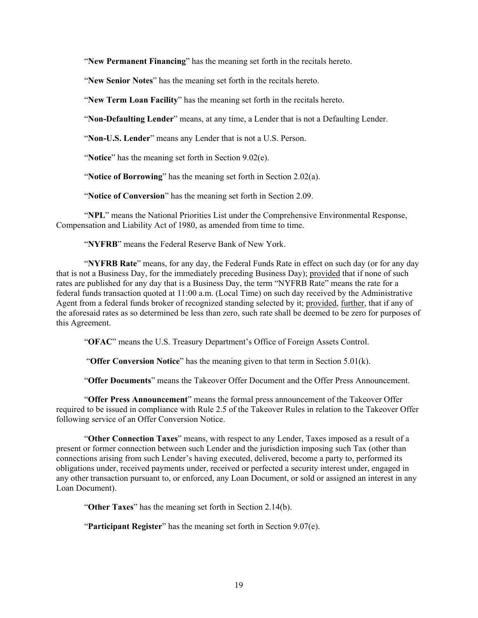"**New Permanent Financing**" has the meaning set forth in the recitals hereto.

"**New Senior Notes**" has the meaning set forth in the recitals hereto.

"**New Term Loan Facility**" has the meaning set forth in the recitals hereto.

"**Non-Defaulting Lender**" means, at any time, a Lender that is not a Defaulting Lender.

"**Non-U.S. Lender**" means any Lender that is not a U.S. Person.

"**Notice**" has the meaning set forth in Section 9.02(e).

"**Notice of Borrowing**" has the meaning set forth in Section 2.02(a).

"**Notice of Conversion**" has the meaning set forth in Section 2.09.

"**NPL**" means the National Priorities List under the Comprehensive Environmental Response, Compensation and Liability Act of 1980, as amended from time to time.

"**NYFRB**" means the Federal Reserve Bank of New York.

"**NYFRB Rate**" means, for any day, the Federal Funds Rate in effect on such day (or for any day that is not a Business Day, for the immediately preceding Business Day); provided that if none of such rates are published for any day that is a Business Day, the term "NYFRB Rate" means the rate for a federal funds transaction quoted at 11:00 a.m. (Local Time) on such day received by the Administrative Agent from a federal funds broker of recognized standing selected by it; provided, further, that if any of the aforesaid rates as so determined be less than zero, such rate shall be deemed to be zero for purposes of this Agreement.

"**OFAC**" means the U.S. Treasury Department's Office of Foreign Assets Control.

"**Offer Conversion Notice**" has the meaning given to that term in Section 5.01(k).

"**Offer Documents**" means the Takeover Offer Document and the Offer Press Announcement.

"**Offer Press Announcement**" means the formal press announcement of the Takeover Offer required to be issued in compliance with Rule 2.5 of the Takeover Rules in relation to the Takeover Offer following service of an Offer Conversion Notice.

"**Other Connection Taxes**" means, with respect to any Lender, Taxes imposed as a result of a present or former connection between such Lender and the jurisdiction imposing such Tax (other than connections arising from such Lender's having executed, delivered, become a party to, performed its obligations under, received payments under, received or perfected a security interest under, engaged in any other transaction pursuant to, or enforced, any Loan Document, or sold or assigned an interest in any Loan Document).

"**Other Taxes**" has the meaning set forth in Section 2.14(b).

"**Participant Register**" has the meaning set forth in Section 9.07(e).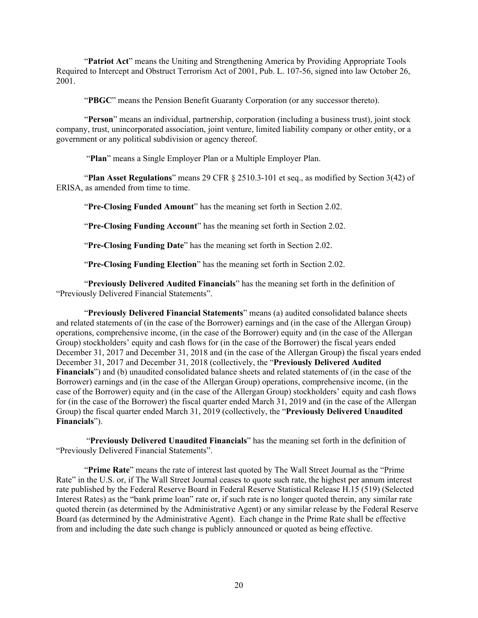"**Patriot Act**" means the Uniting and Strengthening America by Providing Appropriate Tools Required to Intercept and Obstruct Terrorism Act of 2001, Pub. L. 107-56, signed into law October 26, 2001.

"**PBGC**" means the Pension Benefit Guaranty Corporation (or any successor thereto).

"**Person**" means an individual, partnership, corporation (including a business trust), joint stock company, trust, unincorporated association, joint venture, limited liability company or other entity, or a government or any political subdivision or agency thereof.

"**Plan**" means a Single Employer Plan or a Multiple Employer Plan.

"**Plan Asset Regulations**" means 29 CFR § 2510.3-101 et seq., as modified by Section 3(42) of ERISA, as amended from time to time.

"**Pre-Closing Funded Amount**" has the meaning set forth in Section 2.02.

"**Pre-Closing Funding Account**" has the meaning set forth in Section 2.02.

"**Pre-Closing Funding Date**" has the meaning set forth in Section 2.02.

"**Pre-Closing Funding Election**" has the meaning set forth in Section 2.02.

"**Previously Delivered Audited Financials**" has the meaning set forth in the definition of "Previously Delivered Financial Statements".

"**Previously Delivered Financial Statements**" means (a) audited consolidated balance sheets and related statements of (in the case of the Borrower) earnings and (in the case of the Allergan Group) operations, comprehensive income, (in the case of the Borrower) equity and (in the case of the Allergan Group) stockholders' equity and cash flows for (in the case of the Borrower) the fiscal years ended December 31, 2017 and December 31, 2018 and (in the case of the Allergan Group) the fiscal years ended December 31, 2017 and December 31, 2018 (collectively, the "**Previously Delivered Audited Financials**") and (b) unaudited consolidated balance sheets and related statements of (in the case of the Borrower) earnings and (in the case of the Allergan Group) operations, comprehensive income, (in the case of the Borrower) equity and (in the case of the Allergan Group) stockholders' equity and cash flows for (in the case of the Borrower) the fiscal quarter ended March 31, 2019 and (in the case of the Allergan Group) the fiscal quarter ended March 31, 2019 (collectively, the "**Previously Delivered Unaudited Financials**").

 "**Previously Delivered Unaudited Financials**" has the meaning set forth in the definition of "Previously Delivered Financial Statements".

"**Prime Rate**" means the rate of interest last quoted by The Wall Street Journal as the "Prime Rate" in the U.S. or, if The Wall Street Journal ceases to quote such rate, the highest per annum interest rate published by the Federal Reserve Board in Federal Reserve Statistical Release H.15 (519) (Selected Interest Rates) as the "bank prime loan" rate or, if such rate is no longer quoted therein, any similar rate quoted therein (as determined by the Administrative Agent) or any similar release by the Federal Reserve Board (as determined by the Administrative Agent). Each change in the Prime Rate shall be effective from and including the date such change is publicly announced or quoted as being effective.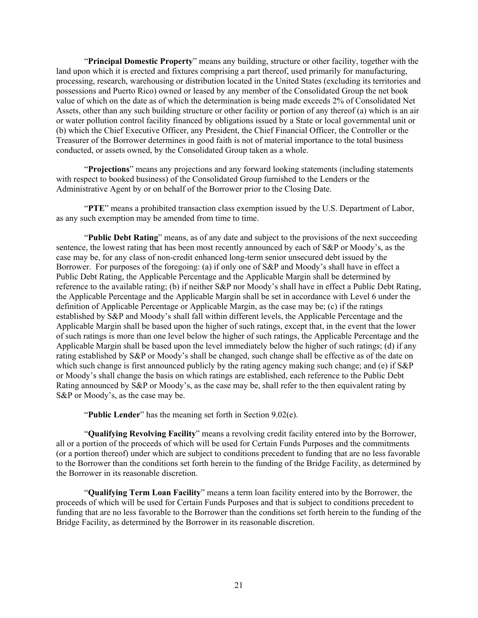"**Principal Domestic Property**" means any building, structure or other facility, together with the land upon which it is erected and fixtures comprising a part thereof, used primarily for manufacturing, processing, research, warehousing or distribution located in the United States (excluding its territories and possessions and Puerto Rico) owned or leased by any member of the Consolidated Group the net book value of which on the date as of which the determination is being made exceeds 2% of Consolidated Net Assets, other than any such building structure or other facility or portion of any thereof (a) which is an air or water pollution control facility financed by obligations issued by a State or local governmental unit or (b) which the Chief Executive Officer, any President, the Chief Financial Officer, the Controller or the Treasurer of the Borrower determines in good faith is not of material importance to the total business conducted, or assets owned, by the Consolidated Group taken as a whole.

"**Projections**" means any projections and any forward looking statements (including statements with respect to booked business) of the Consolidated Group furnished to the Lenders or the Administrative Agent by or on behalf of the Borrower prior to the Closing Date.

"**PTE**" means a prohibited transaction class exemption issued by the U.S. Department of Labor, as any such exemption may be amended from time to time.

"**Public Debt Rating**" means, as of any date and subject to the provisions of the next succeeding sentence, the lowest rating that has been most recently announced by each of S&P or Moody's, as the case may be, for any class of non-credit enhanced long-term senior unsecured debt issued by the Borrower. For purposes of the foregoing: (a) if only one of S&P and Moody's shall have in effect a Public Debt Rating, the Applicable Percentage and the Applicable Margin shall be determined by reference to the available rating; (b) if neither S&P nor Moody's shall have in effect a Public Debt Rating, the Applicable Percentage and the Applicable Margin shall be set in accordance with Level 6 under the definition of Applicable Percentage or Applicable Margin, as the case may be; (c) if the ratings established by S&P and Moody's shall fall within different levels, the Applicable Percentage and the Applicable Margin shall be based upon the higher of such ratings, except that, in the event that the lower of such ratings is more than one level below the higher of such ratings, the Applicable Percentage and the Applicable Margin shall be based upon the level immediately below the higher of such ratings; (d) if any rating established by S&P or Moody's shall be changed, such change shall be effective as of the date on which such change is first announced publicly by the rating agency making such change; and (e) if S&P or Moody's shall change the basis on which ratings are established, each reference to the Public Debt Rating announced by S&P or Moody's, as the case may be, shall refer to the then equivalent rating by S&P or Moody's, as the case may be.

"**Public Lender**" has the meaning set forth in Section 9.02(e).

"**Qualifying Revolving Facility**" means a revolving credit facility entered into by the Borrower, all or a portion of the proceeds of which will be used for Certain Funds Purposes and the commitments (or a portion thereof) under which are subject to conditions precedent to funding that are no less favorable to the Borrower than the conditions set forth herein to the funding of the Bridge Facility, as determined by the Borrower in its reasonable discretion.

"**Qualifying Term Loan Facility**" means a term loan facility entered into by the Borrower, the proceeds of which will be used for Certain Funds Purposes and that is subject to conditions precedent to funding that are no less favorable to the Borrower than the conditions set forth herein to the funding of the Bridge Facility, as determined by the Borrower in its reasonable discretion.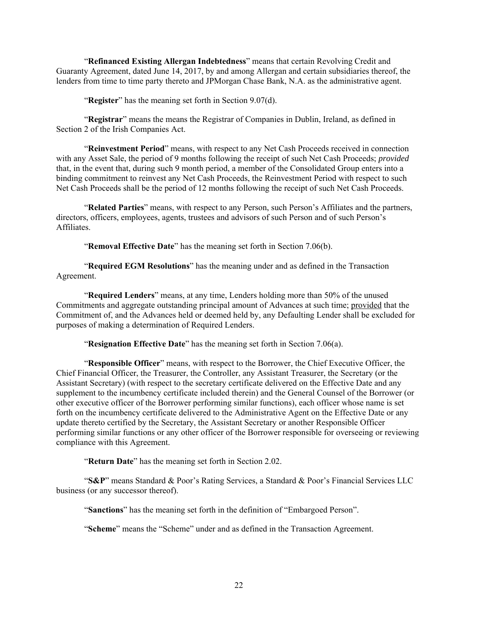"**Refinanced Existing Allergan Indebtedness**" means that certain Revolving Credit and Guaranty Agreement, dated June 14, 2017, by and among Allergan and certain subsidiaries thereof, the lenders from time to time party thereto and JPMorgan Chase Bank, N.A. as the administrative agent.

"**Register**" has the meaning set forth in Section 9.07(d).

"**Registrar**" means the means the Registrar of Companies in Dublin, Ireland, as defined in Section 2 of the Irish Companies Act.

"**Reinvestment Period**" means, with respect to any Net Cash Proceeds received in connection with any Asset Sale, the period of 9 months following the receipt of such Net Cash Proceeds; *provided* that, in the event that, during such 9 month period, a member of the Consolidated Group enters into a binding commitment to reinvest any Net Cash Proceeds, the Reinvestment Period with respect to such Net Cash Proceeds shall be the period of 12 months following the receipt of such Net Cash Proceeds.

"**Related Parties**" means, with respect to any Person, such Person's Affiliates and the partners, directors, officers, employees, agents, trustees and advisors of such Person and of such Person's Affiliates.

"**Removal Effective Date**" has the meaning set forth in Section 7.06(b).

"**Required EGM Resolutions**" has the meaning under and as defined in the Transaction Agreement.

"**Required Lenders**" means, at any time, Lenders holding more than 50% of the unused Commitments and aggregate outstanding principal amount of Advances at such time; provided that the Commitment of, and the Advances held or deemed held by, any Defaulting Lender shall be excluded for purposes of making a determination of Required Lenders.

"**Resignation Effective Date**" has the meaning set forth in Section 7.06(a).

"**Responsible Officer**" means, with respect to the Borrower, the Chief Executive Officer, the Chief Financial Officer, the Treasurer, the Controller, any Assistant Treasurer, the Secretary (or the Assistant Secretary) (with respect to the secretary certificate delivered on the Effective Date and any supplement to the incumbency certificate included therein) and the General Counsel of the Borrower (or other executive officer of the Borrower performing similar functions), each officer whose name is set forth on the incumbency certificate delivered to the Administrative Agent on the Effective Date or any update thereto certified by the Secretary, the Assistant Secretary or another Responsible Officer performing similar functions or any other officer of the Borrower responsible for overseeing or reviewing compliance with this Agreement.

"**Return Date**" has the meaning set forth in Section 2.02.

"**S&P**" means Standard & Poor's Rating Services, a Standard & Poor's Financial Services LLC business (or any successor thereof).

"**Sanctions**" has the meaning set forth in the definition of "Embargoed Person".

"**Scheme**" means the "Scheme" under and as defined in the Transaction Agreement.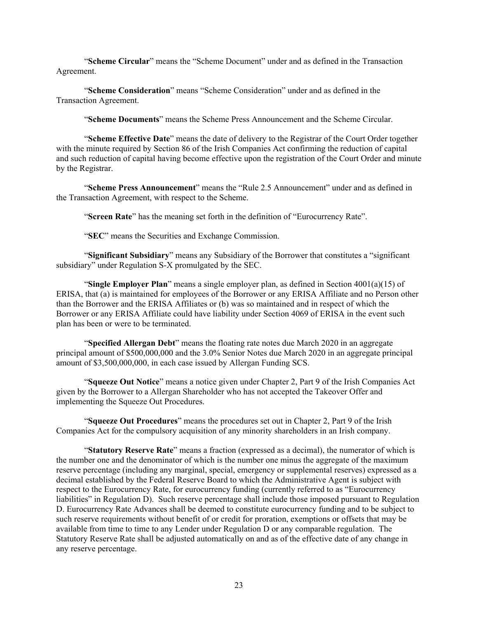"**Scheme Circular**" means the "Scheme Document" under and as defined in the Transaction Agreement.

"**Scheme Consideration**" means "Scheme Consideration" under and as defined in the Transaction Agreement.

"**Scheme Documents**" means the Scheme Press Announcement and the Scheme Circular.

"**Scheme Effective Date**" means the date of delivery to the Registrar of the Court Order together with the minute required by Section 86 of the Irish Companies Act confirming the reduction of capital and such reduction of capital having become effective upon the registration of the Court Order and minute by the Registrar.

"**Scheme Press Announcement**" means the "Rule 2.5 Announcement" under and as defined in the Transaction Agreement, with respect to the Scheme.

"**Screen Rate**" has the meaning set forth in the definition of "Eurocurrency Rate".

"**SEC**" means the Securities and Exchange Commission.

"**Significant Subsidiary**" means any Subsidiary of the Borrower that constitutes a "significant subsidiary" under Regulation S-X promulgated by the SEC.

"**Single Employer Plan**" means a single employer plan, as defined in Section 4001(a)(15) of ERISA, that (a) is maintained for employees of the Borrower or any ERISA Affiliate and no Person other than the Borrower and the ERISA Affiliates or (b) was so maintained and in respect of which the Borrower or any ERISA Affiliate could have liability under Section 4069 of ERISA in the event such plan has been or were to be terminated.

"**Specified Allergan Debt**" means the floating rate notes due March 2020 in an aggregate principal amount of \$500,000,000 and the 3.0% Senior Notes due March 2020 in an aggregate principal amount of \$3,500,000,000, in each case issued by Allergan Funding SCS.

"**Squeeze Out Notice**" means a notice given under Chapter 2, Part 9 of the Irish Companies Act given by the Borrower to a Allergan Shareholder who has not accepted the Takeover Offer and implementing the Squeeze Out Procedures.

"**Squeeze Out Procedures**" means the procedures set out in Chapter 2, Part 9 of the Irish Companies Act for the compulsory acquisition of any minority shareholders in an Irish company.

"**Statutory Reserve Rate**" means a fraction (expressed as a decimal), the numerator of which is the number one and the denominator of which is the number one minus the aggregate of the maximum reserve percentage (including any marginal, special, emergency or supplemental reserves) expressed as a decimal established by the Federal Reserve Board to which the Administrative Agent is subject with respect to the Eurocurrency Rate, for eurocurrency funding (currently referred to as "Eurocurrency liabilities" in Regulation D). Such reserve percentage shall include those imposed pursuant to Regulation D. Eurocurrency Rate Advances shall be deemed to constitute eurocurrency funding and to be subject to such reserve requirements without benefit of or credit for proration, exemptions or offsets that may be available from time to time to any Lender under Regulation D or any comparable regulation. The Statutory Reserve Rate shall be adjusted automatically on and as of the effective date of any change in any reserve percentage.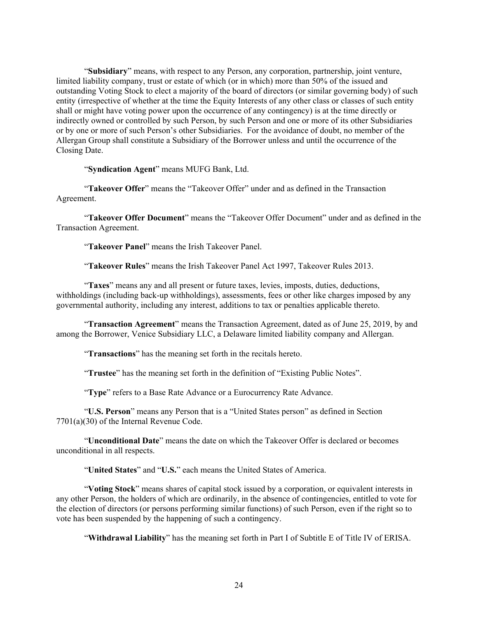"**Subsidiary**" means, with respect to any Person, any corporation, partnership, joint venture, limited liability company, trust or estate of which (or in which) more than 50% of the issued and outstanding Voting Stock to elect a majority of the board of directors (or similar governing body) of such entity (irrespective of whether at the time the Equity Interests of any other class or classes of such entity shall or might have voting power upon the occurrence of any contingency) is at the time directly or indirectly owned or controlled by such Person, by such Person and one or more of its other Subsidiaries or by one or more of such Person's other Subsidiaries. For the avoidance of doubt, no member of the Allergan Group shall constitute a Subsidiary of the Borrower unless and until the occurrence of the Closing Date.

"**Syndication Agent**" means MUFG Bank, Ltd.

"**Takeover Offer**" means the "Takeover Offer" under and as defined in the Transaction Agreement.

"**Takeover Offer Document**" means the "Takeover Offer Document" under and as defined in the Transaction Agreement.

"**Takeover Panel**" means the Irish Takeover Panel.

"**Takeover Rules**" means the Irish Takeover Panel Act 1997, Takeover Rules 2013.

"**Taxes**" means any and all present or future taxes, levies, imposts, duties, deductions, withholdings (including back-up withholdings), assessments, fees or other like charges imposed by any governmental authority, including any interest, additions to tax or penalties applicable thereto.

"**Transaction Agreement**" means the Transaction Agreement, dated as of June 25, 2019, by and among the Borrower, Venice Subsidiary LLC, a Delaware limited liability company and Allergan.

"**Transactions**" has the meaning set forth in the recitals hereto.

"**Trustee**" has the meaning set forth in the definition of "Existing Public Notes".

"**Type**" refers to a Base Rate Advance or a Eurocurrency Rate Advance.

"**U.S. Person**" means any Person that is a "United States person" as defined in Section 7701(a)(30) of the Internal Revenue Code.

"**Unconditional Date**" means the date on which the Takeover Offer is declared or becomes unconditional in all respects.

"**United States**" and "**U.S.**" each means the United States of America.

"**Voting Stock**" means shares of capital stock issued by a corporation, or equivalent interests in any other Person, the holders of which are ordinarily, in the absence of contingencies, entitled to vote for the election of directors (or persons performing similar functions) of such Person, even if the right so to vote has been suspended by the happening of such a contingency.

"**Withdrawal Liability**" has the meaning set forth in Part I of Subtitle E of Title IV of ERISA.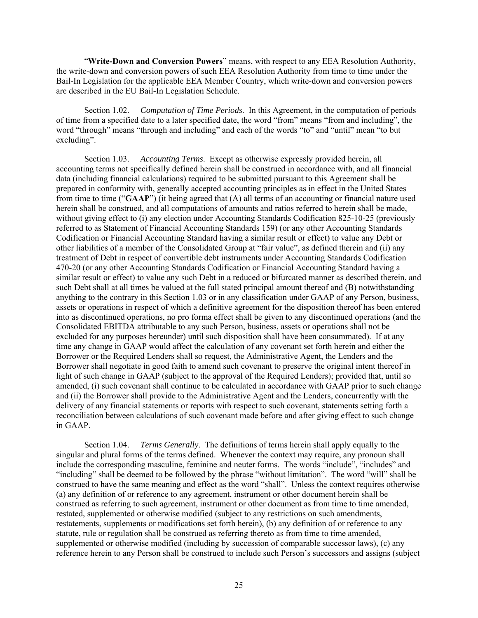"**Write-Down and Conversion Powers**" means, with respect to any EEA Resolution Authority, the write-down and conversion powers of such EEA Resolution Authority from time to time under the Bail-In Legislation for the applicable EEA Member Country, which write-down and conversion powers are described in the EU Bail-In Legislation Schedule.

Section 1.02. *Computation of Time Periods*. In this Agreement, in the computation of periods of time from a specified date to a later specified date, the word "from" means "from and including", the word "through" means "through and including" and each of the words "to" and "until" mean "to but excluding".

Section 1.03. *Accounting Terms*. Except as otherwise expressly provided herein, all accounting terms not specifically defined herein shall be construed in accordance with, and all financial data (including financial calculations) required to be submitted pursuant to this Agreement shall be prepared in conformity with, generally accepted accounting principles as in effect in the United States from time to time ("**GAAP**") (it being agreed that (A) all terms of an accounting or financial nature used herein shall be construed, and all computations of amounts and ratios referred to herein shall be made, without giving effect to (i) any election under Accounting Standards Codification 825-10-25 (previously referred to as Statement of Financial Accounting Standards 159) (or any other Accounting Standards Codification or Financial Accounting Standard having a similar result or effect) to value any Debt or other liabilities of a member of the Consolidated Group at "fair value", as defined therein and (ii) any treatment of Debt in respect of convertible debt instruments under Accounting Standards Codification 470-20 (or any other Accounting Standards Codification or Financial Accounting Standard having a similar result or effect) to value any such Debt in a reduced or bifurcated manner as described therein, and such Debt shall at all times be valued at the full stated principal amount thereof and (B) notwithstanding anything to the contrary in this Section 1.03 or in any classification under GAAP of any Person, business, assets or operations in respect of which a definitive agreement for the disposition thereof has been entered into as discontinued operations, no pro forma effect shall be given to any discontinued operations (and the Consolidated EBITDA attributable to any such Person, business, assets or operations shall not be excluded for any purposes hereunder) until such disposition shall have been consummated). If at any time any change in GAAP would affect the calculation of any covenant set forth herein and either the Borrower or the Required Lenders shall so request, the Administrative Agent, the Lenders and the Borrower shall negotiate in good faith to amend such covenant to preserve the original intent thereof in light of such change in GAAP (subject to the approval of the Required Lenders); provided that, until so amended, (i) such covenant shall continue to be calculated in accordance with GAAP prior to such change and (ii) the Borrower shall provide to the Administrative Agent and the Lenders, concurrently with the delivery of any financial statements or reports with respect to such covenant, statements setting forth a reconciliation between calculations of such covenant made before and after giving effect to such change in GAAP.

Section 1.04. *Terms Generally*. The definitions of terms herein shall apply equally to the singular and plural forms of the terms defined. Whenever the context may require, any pronoun shall include the corresponding masculine, feminine and neuter forms. The words "include", "includes" and "including" shall be deemed to be followed by the phrase "without limitation". The word "will" shall be construed to have the same meaning and effect as the word "shall". Unless the context requires otherwise (a) any definition of or reference to any agreement, instrument or other document herein shall be construed as referring to such agreement, instrument or other document as from time to time amended, restated, supplemented or otherwise modified (subject to any restrictions on such amendments, restatements, supplements or modifications set forth herein), (b) any definition of or reference to any statute, rule or regulation shall be construed as referring thereto as from time to time amended, supplemented or otherwise modified (including by succession of comparable successor laws), (c) any reference herein to any Person shall be construed to include such Person's successors and assigns (subject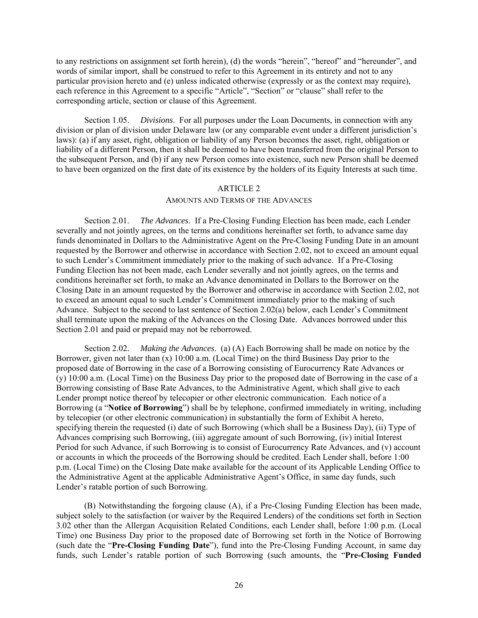to any restrictions on assignment set forth herein), (d) the words "herein", "hereof" and "hereunder", and words of similar import, shall be construed to refer to this Agreement in its entirety and not to any particular provision hereto and (e) unless indicated otherwise (expressly or as the context may require), each reference in this Agreement to a specific "Article", "Section" or "clause" shall refer to the corresponding article, section or clause of this Agreement.

Section 1.05. *Divisions*. For all purposes under the Loan Documents, in connection with any division or plan of division under Delaware law (or any comparable event under a different jurisdiction's laws): (a) if any asset, right, obligation or liability of any Person becomes the asset, right, obligation or liability of a different Person, then it shall be deemed to have been transferred from the original Person to the subsequent Person, and (b) if any new Person comes into existence, such new Person shall be deemed to have been organized on the first date of its existence by the holders of its Equity Interests at such time.

### ARTICLE 2

#### AMOUNTS AND TERMS OF THE ADVANCES

Section 2.01. *The Advances*. If a Pre-Closing Funding Election has been made, each Lender severally and not jointly agrees, on the terms and conditions hereinafter set forth, to advance same day funds denominated in Dollars to the Administrative Agent on the Pre-Closing Funding Date in an amount requested by the Borrower and otherwise in accordance with Section 2.02, not to exceed an amount equal to such Lender's Commitment immediately prior to the making of such advance. If a Pre-Closing Funding Election has not been made, each Lender severally and not jointly agrees, on the terms and conditions hereinafter set forth, to make an Advance denominated in Dollars to the Borrower on the Closing Date in an amount requested by the Borrower and otherwise in accordance with Section 2.02, not to exceed an amount equal to such Lender's Commitment immediately prior to the making of such Advance. Subject to the second to last sentence of Section 2.02(a) below, each Lender's Commitment shall terminate upon the making of the Advances on the Closing Date. Advances borrowed under this Section 2.01 and paid or prepaid may not be reborrowed.

Section 2.02. *Making the Advances*. (a) (A) Each Borrowing shall be made on notice by the Borrower, given not later than (x) 10:00 a.m. (Local Time) on the third Business Day prior to the proposed date of Borrowing in the case of a Borrowing consisting of Eurocurrency Rate Advances or (y) 10:00 a.m. (Local Time) on the Business Day prior to the proposed date of Borrowing in the case of a Borrowing consisting of Base Rate Advances, to the Administrative Agent, which shall give to each Lender prompt notice thereof by telecopier or other electronic communication. Each notice of a Borrowing (a "**Notice of Borrowing**") shall be by telephone, confirmed immediately in writing, including by telecopier (or other electronic communication) in substantially the form of Exhibit A hereto, specifying therein the requested (i) date of such Borrowing (which shall be a Business Day), (ii) Type of Advances comprising such Borrowing, (iii) aggregate amount of such Borrowing, (iv) initial Interest Period for such Advance, if such Borrowing is to consist of Eurocurrency Rate Advances, and (v) account or accounts in which the proceeds of the Borrowing should be credited. Each Lender shall, before 1:00 p.m. (Local Time) on the Closing Date make available for the account of its Applicable Lending Office to the Administrative Agent at the applicable Administrative Agent's Office, in same day funds, such Lender's ratable portion of such Borrowing.

(B) Notwithstanding the forgoing clause (A), if a Pre-Closing Funding Election has been made, subject solely to the satisfaction (or waiver by the Required Lenders) of the conditions set forth in Section 3.02 other than the Allergan Acquisition Related Conditions, each Lender shall, before 1:00 p.m. (Local Time) one Business Day prior to the proposed date of Borrowing set forth in the Notice of Borrowing (such date the "**Pre-Closing Funding Date**"), fund into the Pre-Closing Funding Account, in same day funds, such Lender's ratable portion of such Borrowing (such amounts, the "**Pre-Closing Funded**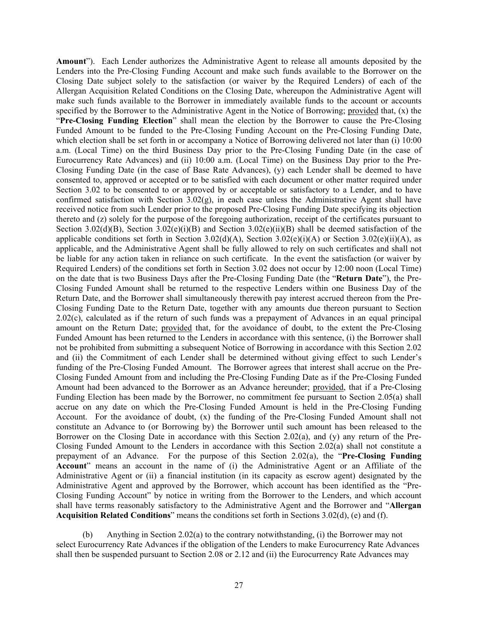**Amount**"). Each Lender authorizes the Administrative Agent to release all amounts deposited by the Lenders into the Pre-Closing Funding Account and make such funds available to the Borrower on the Closing Date subject solely to the satisfaction (or waiver by the Required Lenders) of each of the Allergan Acquisition Related Conditions on the Closing Date, whereupon the Administrative Agent will make such funds available to the Borrower in immediately available funds to the account or accounts specified by the Borrower to the Administrative Agent in the Notice of Borrowing; provided that, (x) the "**Pre-Closing Funding Election**" shall mean the election by the Borrower to cause the Pre-Closing Funded Amount to be funded to the Pre-Closing Funding Account on the Pre-Closing Funding Date, which election shall be set forth in or accompany a Notice of Borrowing delivered not later than (i) 10:00 a.m. (Local Time) on the third Business Day prior to the Pre-Closing Funding Date (in the case of Eurocurrency Rate Advances) and (ii) 10:00 a.m. (Local Time) on the Business Day prior to the Pre-Closing Funding Date (in the case of Base Rate Advances), (y) each Lender shall be deemed to have consented to, approved or accepted or to be satisfied with each document or other matter required under Section 3.02 to be consented to or approved by or acceptable or satisfactory to a Lender, and to have confirmed satisfaction with Section  $3.02(g)$ , in each case unless the Administrative Agent shall have received notice from such Lender prior to the proposed Pre-Closing Funding Date specifying its objection thereto and (z) solely for the purpose of the foregoing authorization, receipt of the certificates pursuant to Section 3.02(d)(B), Section 3.02(e)(i)(B) and Section 3.02(e)(ii)(B) shall be deemed satisfaction of the applicable conditions set forth in Section 3.02(d)(A), Section 3.02(e)(i)(A) or Section 3.02(e)(ii)(A), as applicable, and the Administrative Agent shall be fully allowed to rely on such certificates and shall not be liable for any action taken in reliance on such certificate. In the event the satisfaction (or waiver by Required Lenders) of the conditions set forth in Section 3.02 does not occur by 12:00 noon (Local Time) on the date that is two Business Days after the Pre-Closing Funding Date (the "**Return Date**"), the Pre-Closing Funded Amount shall be returned to the respective Lenders within one Business Day of the Return Date, and the Borrower shall simultaneously therewith pay interest accrued thereon from the Pre-Closing Funding Date to the Return Date, together with any amounts due thereon pursuant to Section 2.02(c), calculated as if the return of such funds was a prepayment of Advances in an equal principal amount on the Return Date; provided that, for the avoidance of doubt, to the extent the Pre-Closing Funded Amount has been returned to the Lenders in accordance with this sentence, (i) the Borrower shall not be prohibited from submitting a subsequent Notice of Borrowing in accordance with this Section 2.02 and (ii) the Commitment of each Lender shall be determined without giving effect to such Lender's funding of the Pre-Closing Funded Amount. The Borrower agrees that interest shall accrue on the Pre-Closing Funded Amount from and including the Pre-Closing Funding Date as if the Pre-Closing Funded Amount had been advanced to the Borrower as an Advance hereunder; provided, that if a Pre-Closing Funding Election has been made by the Borrower, no commitment fee pursuant to Section 2.05(a) shall accrue on any date on which the Pre-Closing Funded Amount is held in the Pre-Closing Funding Account. For the avoidance of doubt, (x) the funding of the Pre-Closing Funded Amount shall not constitute an Advance to (or Borrowing by) the Borrower until such amount has been released to the Borrower on the Closing Date in accordance with this Section 2.02(a), and (y) any return of the Pre-Closing Funded Amount to the Lenders in accordance with this Section 2.02(a) shall not constitute a prepayment of an Advance. For the purpose of this Section 2.02(a), the "**Pre-Closing Funding Account**" means an account in the name of (i) the Administrative Agent or an Affiliate of the Administrative Agent or (ii) a financial institution (in its capacity as escrow agent) designated by the Administrative Agent and approved by the Borrower, which account has been identified as the "Pre-Closing Funding Account" by notice in writing from the Borrower to the Lenders, and which account shall have terms reasonably satisfactory to the Administrative Agent and the Borrower and "**Allergan Acquisition Related Conditions**" means the conditions set forth in Sections 3.02(d), (e) and (f).

(b) Anything in Section 2.02(a) to the contrary notwithstanding, (i) the Borrower may not select Eurocurrency Rate Advances if the obligation of the Lenders to make Eurocurrency Rate Advances shall then be suspended pursuant to Section 2.08 or 2.12 and (ii) the Eurocurrency Rate Advances may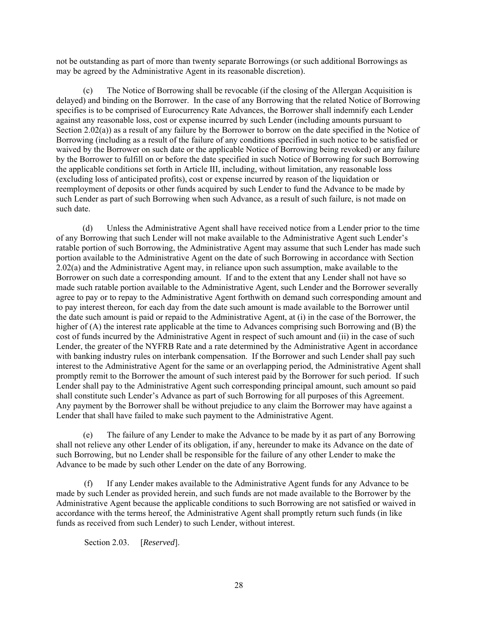not be outstanding as part of more than twenty separate Borrowings (or such additional Borrowings as may be agreed by the Administrative Agent in its reasonable discretion).

(c) The Notice of Borrowing shall be revocable (if the closing of the Allergan Acquisition is delayed) and binding on the Borrower. In the case of any Borrowing that the related Notice of Borrowing specifies is to be comprised of Eurocurrency Rate Advances, the Borrower shall indemnify each Lender against any reasonable loss, cost or expense incurred by such Lender (including amounts pursuant to Section 2.02(a)) as a result of any failure by the Borrower to borrow on the date specified in the Notice of Borrowing (including as a result of the failure of any conditions specified in such notice to be satisfied or waived by the Borrower on such date or the applicable Notice of Borrowing being revoked) or any failure by the Borrower to fulfill on or before the date specified in such Notice of Borrowing for such Borrowing the applicable conditions set forth in Article III, including, without limitation, any reasonable loss (excluding loss of anticipated profits), cost or expense incurred by reason of the liquidation or reemployment of deposits or other funds acquired by such Lender to fund the Advance to be made by such Lender as part of such Borrowing when such Advance, as a result of such failure, is not made on such date.

(d) Unless the Administrative Agent shall have received notice from a Lender prior to the time of any Borrowing that such Lender will not make available to the Administrative Agent such Lender's ratable portion of such Borrowing, the Administrative Agent may assume that such Lender has made such portion available to the Administrative Agent on the date of such Borrowing in accordance with Section 2.02(a) and the Administrative Agent may, in reliance upon such assumption, make available to the Borrower on such date a corresponding amount. If and to the extent that any Lender shall not have so made such ratable portion available to the Administrative Agent, such Lender and the Borrower severally agree to pay or to repay to the Administrative Agent forthwith on demand such corresponding amount and to pay interest thereon, for each day from the date such amount is made available to the Borrower until the date such amount is paid or repaid to the Administrative Agent, at (i) in the case of the Borrower, the higher of (A) the interest rate applicable at the time to Advances comprising such Borrowing and (B) the cost of funds incurred by the Administrative Agent in respect of such amount and (ii) in the case of such Lender, the greater of the NYFRB Rate and a rate determined by the Administrative Agent in accordance with banking industry rules on interbank compensation. If the Borrower and such Lender shall pay such interest to the Administrative Agent for the same or an overlapping period, the Administrative Agent shall promptly remit to the Borrower the amount of such interest paid by the Borrower for such period. If such Lender shall pay to the Administrative Agent such corresponding principal amount, such amount so paid shall constitute such Lender's Advance as part of such Borrowing for all purposes of this Agreement. Any payment by the Borrower shall be without prejudice to any claim the Borrower may have against a Lender that shall have failed to make such payment to the Administrative Agent.

(e) The failure of any Lender to make the Advance to be made by it as part of any Borrowing shall not relieve any other Lender of its obligation, if any, hereunder to make its Advance on the date of such Borrowing, but no Lender shall be responsible for the failure of any other Lender to make the Advance to be made by such other Lender on the date of any Borrowing.

(f) If any Lender makes available to the Administrative Agent funds for any Advance to be made by such Lender as provided herein, and such funds are not made available to the Borrower by the Administrative Agent because the applicable conditions to such Borrowing are not satisfied or waived in accordance with the terms hereof, the Administrative Agent shall promptly return such funds (in like funds as received from such Lender) to such Lender, without interest.

Section 2.03. [*Reserved*].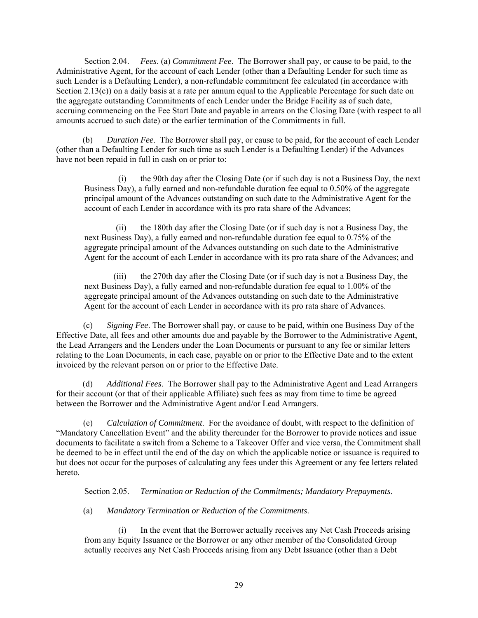Section 2.04. *Fees*. (a) *Commitment Fee*. The Borrower shall pay, or cause to be paid, to the Administrative Agent, for the account of each Lender (other than a Defaulting Lender for such time as such Lender is a Defaulting Lender), a non-refundable commitment fee calculated (in accordance with Section 2.13(c)) on a daily basis at a rate per annum equal to the Applicable Percentage for such date on the aggregate outstanding Commitments of each Lender under the Bridge Facility as of such date, accruing commencing on the Fee Start Date and payable in arrears on the Closing Date (with respect to all amounts accrued to such date) or the earlier termination of the Commitments in full.

(b) *Duration Fee*. The Borrower shall pay, or cause to be paid, for the account of each Lender (other than a Defaulting Lender for such time as such Lender is a Defaulting Lender) if the Advances have not been repaid in full in cash on or prior to:

(i) the 90th day after the Closing Date (or if such day is not a Business Day, the next Business Day), a fully earned and non-refundable duration fee equal to 0.50% of the aggregate principal amount of the Advances outstanding on such date to the Administrative Agent for the account of each Lender in accordance with its pro rata share of the Advances;

(ii) the 180th day after the Closing Date (or if such day is not a Business Day, the next Business Day), a fully earned and non-refundable duration fee equal to 0.75% of the aggregate principal amount of the Advances outstanding on such date to the Administrative Agent for the account of each Lender in accordance with its pro rata share of the Advances; and

(iii) the 270th day after the Closing Date (or if such day is not a Business Day, the next Business Day), a fully earned and non-refundable duration fee equal to 1.00% of the aggregate principal amount of the Advances outstanding on such date to the Administrative Agent for the account of each Lender in accordance with its pro rata share of Advances.

(c) *Signing Fee*. The Borrower shall pay, or cause to be paid, within one Business Day of the Effective Date, all fees and other amounts due and payable by the Borrower to the Administrative Agent, the Lead Arrangers and the Lenders under the Loan Documents or pursuant to any fee or similar letters relating to the Loan Documents, in each case, payable on or prior to the Effective Date and to the extent invoiced by the relevant person on or prior to the Effective Date.

(d) *Additional Fees*. The Borrower shall pay to the Administrative Agent and Lead Arrangers for their account (or that of their applicable Affiliate) such fees as may from time to time be agreed between the Borrower and the Administrative Agent and/or Lead Arrangers.

(e) *Calculation of Commitment*. For the avoidance of doubt, with respect to the definition of "Mandatory Cancellation Event" and the ability thereunder for the Borrower to provide notices and issue documents to facilitate a switch from a Scheme to a Takeover Offer and vice versa, the Commitment shall be deemed to be in effect until the end of the day on which the applicable notice or issuance is required to but does not occur for the purposes of calculating any fees under this Agreement or any fee letters related hereto.

Section 2.05. *Termination or Reduction of the Commitments; Mandatory Prepayments*.

(a) *Mandatory Termination or Reduction of the Commitments*.

(i) In the event that the Borrower actually receives any Net Cash Proceeds arising from any Equity Issuance or the Borrower or any other member of the Consolidated Group actually receives any Net Cash Proceeds arising from any Debt Issuance (other than a Debt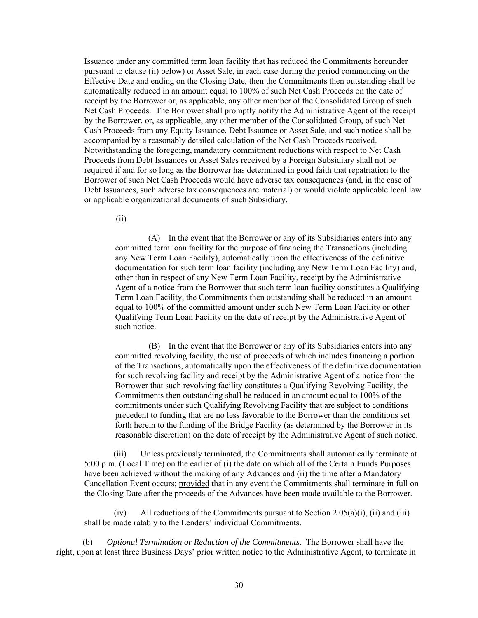Issuance under any committed term loan facility that has reduced the Commitments hereunder pursuant to clause (ii) below) or Asset Sale, in each case during the period commencing on the Effective Date and ending on the Closing Date, then the Commitments then outstanding shall be automatically reduced in an amount equal to 100% of such Net Cash Proceeds on the date of receipt by the Borrower or, as applicable, any other member of the Consolidated Group of such Net Cash Proceeds. The Borrower shall promptly notify the Administrative Agent of the receipt by the Borrower, or, as applicable, any other member of the Consolidated Group, of such Net Cash Proceeds from any Equity Issuance, Debt Issuance or Asset Sale, and such notice shall be accompanied by a reasonably detailed calculation of the Net Cash Proceeds received. Notwithstanding the foregoing, mandatory commitment reductions with respect to Net Cash Proceeds from Debt Issuances or Asset Sales received by a Foreign Subsidiary shall not be required if and for so long as the Borrower has determined in good faith that repatriation to the Borrower of such Net Cash Proceeds would have adverse tax consequences (and, in the case of Debt Issuances, such adverse tax consequences are material) or would violate applicable local law or applicable organizational documents of such Subsidiary.

(ii)

(A) In the event that the Borrower or any of its Subsidiaries enters into any committed term loan facility for the purpose of financing the Transactions (including any New Term Loan Facility), automatically upon the effectiveness of the definitive documentation for such term loan facility (including any New Term Loan Facility) and, other than in respect of any New Term Loan Facility, receipt by the Administrative Agent of a notice from the Borrower that such term loan facility constitutes a Qualifying Term Loan Facility, the Commitments then outstanding shall be reduced in an amount equal to 100% of the committed amount under such New Term Loan Facility or other Qualifying Term Loan Facility on the date of receipt by the Administrative Agent of such notice.

(B) In the event that the Borrower or any of its Subsidiaries enters into any committed revolving facility, the use of proceeds of which includes financing a portion of the Transactions, automatically upon the effectiveness of the definitive documentation for such revolving facility and receipt by the Administrative Agent of a notice from the Borrower that such revolving facility constitutes a Qualifying Revolving Facility, the Commitments then outstanding shall be reduced in an amount equal to 100% of the commitments under such Qualifying Revolving Facility that are subject to conditions precedent to funding that are no less favorable to the Borrower than the conditions set forth herein to the funding of the Bridge Facility (as determined by the Borrower in its reasonable discretion) on the date of receipt by the Administrative Agent of such notice.

(iii) Unless previously terminated, the Commitments shall automatically terminate at 5:00 p.m. (Local Time) on the earlier of (i) the date on which all of the Certain Funds Purposes have been achieved without the making of any Advances and (ii) the time after a Mandatory Cancellation Event occurs; provided that in any event the Commitments shall terminate in full on the Closing Date after the proceeds of the Advances have been made available to the Borrower.

(iv) All reductions of the Commitments pursuant to Section 2.05(a)(i), (ii) and (iii) shall be made ratably to the Lenders' individual Commitments.

(b) *Optional Termination or Reduction of the Commitments*. The Borrower shall have the right, upon at least three Business Days' prior written notice to the Administrative Agent, to terminate in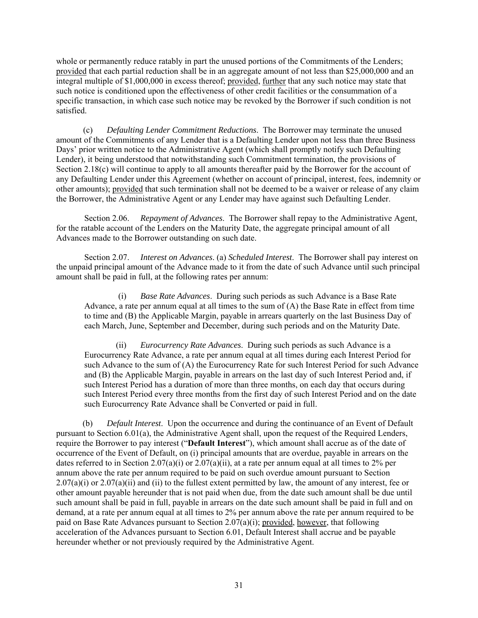whole or permanently reduce ratably in part the unused portions of the Commitments of the Lenders; provided that each partial reduction shall be in an aggregate amount of not less than \$25,000,000 and an integral multiple of \$1,000,000 in excess thereof; provided, further that any such notice may state that such notice is conditioned upon the effectiveness of other credit facilities or the consummation of a specific transaction, in which case such notice may be revoked by the Borrower if such condition is not satisfied.

(c) *Defaulting Lender Commitment Reductions*. The Borrower may terminate the unused amount of the Commitments of any Lender that is a Defaulting Lender upon not less than three Business Days' prior written notice to the Administrative Agent (which shall promptly notify such Defaulting Lender), it being understood that notwithstanding such Commitment termination, the provisions of Section 2.18(c) will continue to apply to all amounts thereafter paid by the Borrower for the account of any Defaulting Lender under this Agreement (whether on account of principal, interest, fees, indemnity or other amounts); provided that such termination shall not be deemed to be a waiver or release of any claim the Borrower, the Administrative Agent or any Lender may have against such Defaulting Lender.

Section 2.06. *Repayment of Advances*. The Borrower shall repay to the Administrative Agent, for the ratable account of the Lenders on the Maturity Date, the aggregate principal amount of all Advances made to the Borrower outstanding on such date.

Section 2.07. *Interest on Advances*. (a) *Scheduled Interest*. The Borrower shall pay interest on the unpaid principal amount of the Advance made to it from the date of such Advance until such principal amount shall be paid in full, at the following rates per annum:

(i) *Base Rate Advances*. During such periods as such Advance is a Base Rate Advance, a rate per annum equal at all times to the sum of (A) the Base Rate in effect from time to time and (B) the Applicable Margin, payable in arrears quarterly on the last Business Day of each March, June, September and December, during such periods and on the Maturity Date.

(ii) *Eurocurrency Rate Advances*. During such periods as such Advance is a Eurocurrency Rate Advance, a rate per annum equal at all times during each Interest Period for such Advance to the sum of (A) the Eurocurrency Rate for such Interest Period for such Advance and (B) the Applicable Margin, payable in arrears on the last day of such Interest Period and, if such Interest Period has a duration of more than three months, on each day that occurs during such Interest Period every three months from the first day of such Interest Period and on the date such Eurocurrency Rate Advance shall be Converted or paid in full.

(b) *Default Interest*. Upon the occurrence and during the continuance of an Event of Default pursuant to Section 6.01(a), the Administrative Agent shall, upon the request of the Required Lenders, require the Borrower to pay interest ("**Default Interest**"), which amount shall accrue as of the date of occurrence of the Event of Default, on (i) principal amounts that are overdue, payable in arrears on the dates referred to in Section 2.07(a)(i) or 2.07(a)(ii), at a rate per annum equal at all times to 2% per annum above the rate per annum required to be paid on such overdue amount pursuant to Section  $2.07(a)(i)$  or  $2.07(a)(ii)$  and (ii) to the fullest extent permitted by law, the amount of any interest, fee or other amount payable hereunder that is not paid when due, from the date such amount shall be due until such amount shall be paid in full, payable in arrears on the date such amount shall be paid in full and on demand, at a rate per annum equal at all times to 2% per annum above the rate per annum required to be paid on Base Rate Advances pursuant to Section 2.07(a)(i); provided, however, that following acceleration of the Advances pursuant to Section 6.01, Default Interest shall accrue and be payable hereunder whether or not previously required by the Administrative Agent.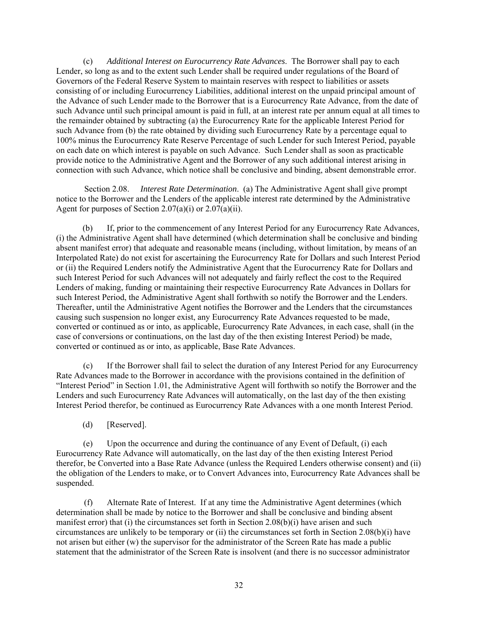(c) *Additional Interest on Eurocurrency Rate Advances*. The Borrower shall pay to each Lender, so long as and to the extent such Lender shall be required under regulations of the Board of Governors of the Federal Reserve System to maintain reserves with respect to liabilities or assets consisting of or including Eurocurrency Liabilities, additional interest on the unpaid principal amount of the Advance of such Lender made to the Borrower that is a Eurocurrency Rate Advance, from the date of such Advance until such principal amount is paid in full, at an interest rate per annum equal at all times to the remainder obtained by subtracting (a) the Eurocurrency Rate for the applicable Interest Period for such Advance from (b) the rate obtained by dividing such Eurocurrency Rate by a percentage equal to 100% minus the Eurocurrency Rate Reserve Percentage of such Lender for such Interest Period, payable on each date on which interest is payable on such Advance. Such Lender shall as soon as practicable provide notice to the Administrative Agent and the Borrower of any such additional interest arising in connection with such Advance, which notice shall be conclusive and binding, absent demonstrable error.

Section 2.08. *Interest Rate Determination*. (a) The Administrative Agent shall give prompt notice to the Borrower and the Lenders of the applicable interest rate determined by the Administrative Agent for purposes of Section 2.07(a)(i) or  $2.07(a)(ii)$ .

If, prior to the commencement of any Interest Period for any Eurocurrency Rate Advances, (i) the Administrative Agent shall have determined (which determination shall be conclusive and binding absent manifest error) that adequate and reasonable means (including, without limitation, by means of an Interpolated Rate) do not exist for ascertaining the Eurocurrency Rate for Dollars and such Interest Period or (ii) the Required Lenders notify the Administrative Agent that the Eurocurrency Rate for Dollars and such Interest Period for such Advances will not adequately and fairly reflect the cost to the Required Lenders of making, funding or maintaining their respective Eurocurrency Rate Advances in Dollars for such Interest Period, the Administrative Agent shall forthwith so notify the Borrower and the Lenders. Thereafter, until the Administrative Agent notifies the Borrower and the Lenders that the circumstances causing such suspension no longer exist, any Eurocurrency Rate Advances requested to be made, converted or continued as or into, as applicable, Eurocurrency Rate Advances, in each case, shall (in the case of conversions or continuations, on the last day of the then existing Interest Period) be made, converted or continued as or into, as applicable, Base Rate Advances.

(c) If the Borrower shall fail to select the duration of any Interest Period for any Eurocurrency Rate Advances made to the Borrower in accordance with the provisions contained in the definition of "Interest Period" in Section 1.01, the Administrative Agent will forthwith so notify the Borrower and the Lenders and such Eurocurrency Rate Advances will automatically, on the last day of the then existing Interest Period therefor, be continued as Eurocurrency Rate Advances with a one month Interest Period.

(d) [Reserved].

(e) Upon the occurrence and during the continuance of any Event of Default, (i) each Eurocurrency Rate Advance will automatically, on the last day of the then existing Interest Period therefor, be Converted into a Base Rate Advance (unless the Required Lenders otherwise consent) and (ii) the obligation of the Lenders to make, or to Convert Advances into, Eurocurrency Rate Advances shall be suspended.

(f) Alternate Rate of Interest. If at any time the Administrative Agent determines (which determination shall be made by notice to the Borrower and shall be conclusive and binding absent manifest error) that (i) the circumstances set forth in Section  $2.08(b)(i)$  have arisen and such circumstances are unlikely to be temporary or (ii) the circumstances set forth in Section 2.08(b)(i) have not arisen but either (w) the supervisor for the administrator of the Screen Rate has made a public statement that the administrator of the Screen Rate is insolvent (and there is no successor administrator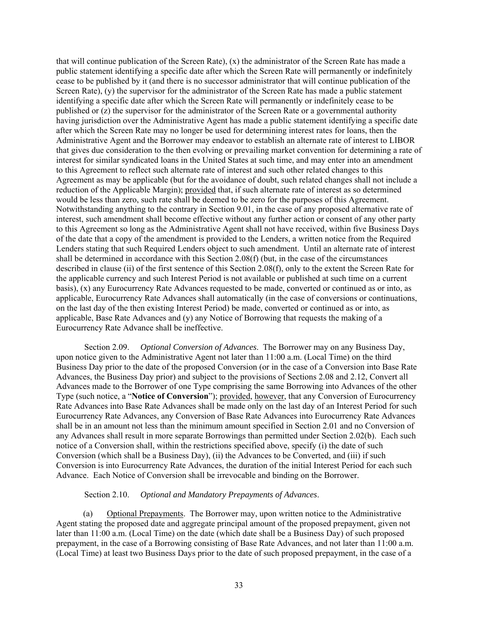that will continue publication of the Screen Rate), (x) the administrator of the Screen Rate has made a public statement identifying a specific date after which the Screen Rate will permanently or indefinitely cease to be published by it (and there is no successor administrator that will continue publication of the Screen Rate), (y) the supervisor for the administrator of the Screen Rate has made a public statement identifying a specific date after which the Screen Rate will permanently or indefinitely cease to be published or (z) the supervisor for the administrator of the Screen Rate or a governmental authority having jurisdiction over the Administrative Agent has made a public statement identifying a specific date after which the Screen Rate may no longer be used for determining interest rates for loans, then the Administrative Agent and the Borrower may endeavor to establish an alternate rate of interest to LIBOR that gives due consideration to the then evolving or prevailing market convention for determining a rate of interest for similar syndicated loans in the United States at such time, and may enter into an amendment to this Agreement to reflect such alternate rate of interest and such other related changes to this Agreement as may be applicable (but for the avoidance of doubt, such related changes shall not include a reduction of the Applicable Margin); provided that, if such alternate rate of interest as so determined would be less than zero, such rate shall be deemed to be zero for the purposes of this Agreement. Notwithstanding anything to the contrary in Section 9.01, in the case of any proposed alternative rate of interest, such amendment shall become effective without any further action or consent of any other party to this Agreement so long as the Administrative Agent shall not have received, within five Business Days of the date that a copy of the amendment is provided to the Lenders, a written notice from the Required Lenders stating that such Required Lenders object to such amendment. Until an alternate rate of interest shall be determined in accordance with this Section 2.08(f) (but, in the case of the circumstances described in clause (ii) of the first sentence of this Section 2.08(f), only to the extent the Screen Rate for the applicable currency and such Interest Period is not available or published at such time on a current basis), (x) any Eurocurrency Rate Advances requested to be made, converted or continued as or into, as applicable, Eurocurrency Rate Advances shall automatically (in the case of conversions or continuations, on the last day of the then existing Interest Period) be made, converted or continued as or into, as applicable, Base Rate Advances and (y) any Notice of Borrowing that requests the making of a Eurocurrency Rate Advance shall be ineffective.

Section 2.09. *Optional Conversion of Advances*. The Borrower may on any Business Day, upon notice given to the Administrative Agent not later than 11:00 a.m. (Local Time) on the third Business Day prior to the date of the proposed Conversion (or in the case of a Conversion into Base Rate Advances, the Business Day prior) and subject to the provisions of Sections 2.08 and 2.12, Convert all Advances made to the Borrower of one Type comprising the same Borrowing into Advances of the other Type (such notice, a "**Notice of Conversion**"); provided, however, that any Conversion of Eurocurrency Rate Advances into Base Rate Advances shall be made only on the last day of an Interest Period for such Eurocurrency Rate Advances, any Conversion of Base Rate Advances into Eurocurrency Rate Advances shall be in an amount not less than the minimum amount specified in Section 2.01 and no Conversion of any Advances shall result in more separate Borrowings than permitted under Section 2.02(b). Each such notice of a Conversion shall, within the restrictions specified above, specify (i) the date of such Conversion (which shall be a Business Day), (ii) the Advances to be Converted, and (iii) if such Conversion is into Eurocurrency Rate Advances, the duration of the initial Interest Period for each such Advance. Each Notice of Conversion shall be irrevocable and binding on the Borrower.

#### Section 2.10. *Optional and Mandatory Prepayments of Advances*.

(a) Optional Prepayments. The Borrower may, upon written notice to the Administrative Agent stating the proposed date and aggregate principal amount of the proposed prepayment, given not later than 11:00 a.m. (Local Time) on the date (which date shall be a Business Day) of such proposed prepayment, in the case of a Borrowing consisting of Base Rate Advances, and not later than 11:00 a.m. (Local Time) at least two Business Days prior to the date of such proposed prepayment, in the case of a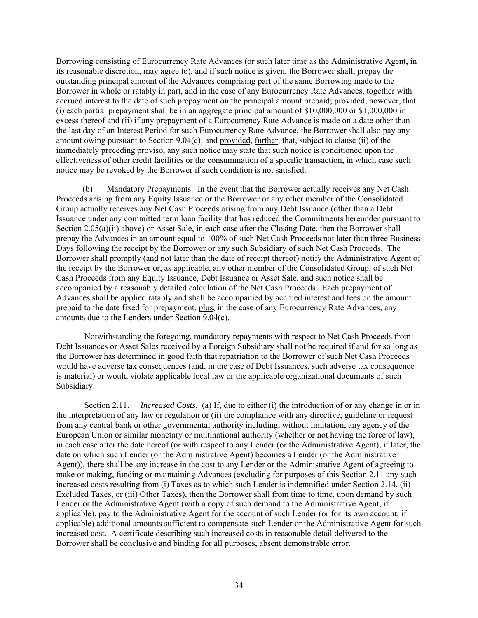Borrowing consisting of Eurocurrency Rate Advances (or such later time as the Administrative Agent, in its reasonable discretion, may agree to), and if such notice is given, the Borrower shall, prepay the outstanding principal amount of the Advances comprising part of the same Borrowing made to the Borrower in whole or ratably in part, and in the case of any Eurocurrency Rate Advances, together with accrued interest to the date of such prepayment on the principal amount prepaid; provided, however, that (i) each partial prepayment shall be in an aggregate principal amount of \$10,000,000 or \$1,000,000 in excess thereof and (ii) if any prepayment of a Eurocurrency Rate Advance is made on a date other than the last day of an Interest Period for such Eurocurrency Rate Advance, the Borrower shall also pay any amount owing pursuant to Section 9.04(c); and provided, further, that, subject to clause (ii) of the immediately preceding proviso, any such notice may state that such notice is conditioned upon the effectiveness of other credit facilities or the consummation of a specific transaction, in which case such notice may be revoked by the Borrower if such condition is not satisfied.

(b) Mandatory Prepayments. In the event that the Borrower actually receives any Net Cash Proceeds arising from any Equity Issuance or the Borrower or any other member of the Consolidated Group actually receives any Net Cash Proceeds arising from any Debt Issuance (other than a Debt Issuance under any committed term loan facility that has reduced the Commitments hereunder pursuant to Section 2.05(a)(ii) above) or Asset Sale, in each case after the Closing Date, then the Borrower shall prepay the Advances in an amount equal to 100% of such Net Cash Proceeds not later than three Business Days following the receipt by the Borrower or any such Subsidiary of such Net Cash Proceeds. The Borrower shall promptly (and not later than the date of receipt thereof) notify the Administrative Agent of the receipt by the Borrower or, as applicable, any other member of the Consolidated Group, of such Net Cash Proceeds from any Equity Issuance, Debt Issuance or Asset Sale, and such notice shall be accompanied by a reasonably detailed calculation of the Net Cash Proceeds. Each prepayment of Advances shall be applied ratably and shall be accompanied by accrued interest and fees on the amount prepaid to the date fixed for prepayment, plus, in the case of any Eurocurrency Rate Advances, any amounts due to the Lenders under Section 9.04(c).

Notwithstanding the foregoing, mandatory repayments with respect to Net Cash Proceeds from Debt Issuances or Asset Sales received by a Foreign Subsidiary shall not be required if and for so long as the Borrower has determined in good faith that repatriation to the Borrower of such Net Cash Proceeds would have adverse tax consequences (and, in the case of Debt Issuances, such adverse tax consequence is material) or would violate applicable local law or the applicable organizational documents of such Subsidiary.

Section 2.11. *Increased Costs*. (a) If, due to either (i) the introduction of or any change in or in the interpretation of any law or regulation or (ii) the compliance with any directive, guideline or request from any central bank or other governmental authority including, without limitation, any agency of the European Union or similar monetary or multinational authority (whether or not having the force of law), in each case after the date hereof (or with respect to any Lender (or the Administrative Agent), if later, the date on which such Lender (or the Administrative Agent) becomes a Lender (or the Administrative Agent)), there shall be any increase in the cost to any Lender or the Administrative Agent of agreeing to make or making, funding or maintaining Advances (excluding for purposes of this Section 2.11 any such increased costs resulting from (i) Taxes as to which such Lender is indemnified under Section 2.14, (ii) Excluded Taxes, or (iii) Other Taxes), then the Borrower shall from time to time, upon demand by such Lender or the Administrative Agent (with a copy of such demand to the Administrative Agent, if applicable), pay to the Administrative Agent for the account of such Lender (or for its own account, if applicable) additional amounts sufficient to compensate such Lender or the Administrative Agent for such increased cost. A certificate describing such increased costs in reasonable detail delivered to the Borrower shall be conclusive and binding for all purposes, absent demonstrable error.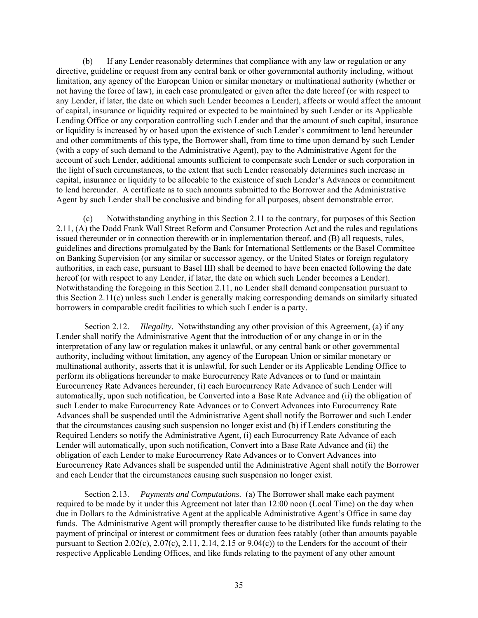(b) If any Lender reasonably determines that compliance with any law or regulation or any directive, guideline or request from any central bank or other governmental authority including, without limitation, any agency of the European Union or similar monetary or multinational authority (whether or not having the force of law), in each case promulgated or given after the date hereof (or with respect to any Lender, if later, the date on which such Lender becomes a Lender), affects or would affect the amount of capital, insurance or liquidity required or expected to be maintained by such Lender or its Applicable Lending Office or any corporation controlling such Lender and that the amount of such capital, insurance or liquidity is increased by or based upon the existence of such Lender's commitment to lend hereunder and other commitments of this type, the Borrower shall, from time to time upon demand by such Lender (with a copy of such demand to the Administrative Agent), pay to the Administrative Agent for the account of such Lender, additional amounts sufficient to compensate such Lender or such corporation in the light of such circumstances, to the extent that such Lender reasonably determines such increase in capital, insurance or liquidity to be allocable to the existence of such Lender's Advances or commitment to lend hereunder. A certificate as to such amounts submitted to the Borrower and the Administrative Agent by such Lender shall be conclusive and binding for all purposes, absent demonstrable error.

(c) Notwithstanding anything in this Section 2.11 to the contrary, for purposes of this Section 2.11, (A) the Dodd Frank Wall Street Reform and Consumer Protection Act and the rules and regulations issued thereunder or in connection therewith or in implementation thereof, and (B) all requests, rules, guidelines and directions promulgated by the Bank for International Settlements or the Basel Committee on Banking Supervision (or any similar or successor agency, or the United States or foreign regulatory authorities, in each case, pursuant to Basel III) shall be deemed to have been enacted following the date hereof (or with respect to any Lender, if later, the date on which such Lender becomes a Lender). Notwithstanding the foregoing in this Section 2.11, no Lender shall demand compensation pursuant to this Section 2.11(c) unless such Lender is generally making corresponding demands on similarly situated borrowers in comparable credit facilities to which such Lender is a party.

Section 2.12. *Illegality*. Notwithstanding any other provision of this Agreement, (a) if any Lender shall notify the Administrative Agent that the introduction of or any change in or in the interpretation of any law or regulation makes it unlawful, or any central bank or other governmental authority, including without limitation, any agency of the European Union or similar monetary or multinational authority, asserts that it is unlawful, for such Lender or its Applicable Lending Office to perform its obligations hereunder to make Eurocurrency Rate Advances or to fund or maintain Eurocurrency Rate Advances hereunder, (i) each Eurocurrency Rate Advance of such Lender will automatically, upon such notification, be Converted into a Base Rate Advance and (ii) the obligation of such Lender to make Eurocurrency Rate Advances or to Convert Advances into Eurocurrency Rate Advances shall be suspended until the Administrative Agent shall notify the Borrower and such Lender that the circumstances causing such suspension no longer exist and (b) if Lenders constituting the Required Lenders so notify the Administrative Agent, (i) each Eurocurrency Rate Advance of each Lender will automatically, upon such notification, Convert into a Base Rate Advance and (ii) the obligation of each Lender to make Eurocurrency Rate Advances or to Convert Advances into Eurocurrency Rate Advances shall be suspended until the Administrative Agent shall notify the Borrower and each Lender that the circumstances causing such suspension no longer exist.

Section 2.13. *Payments and Computations*. (a) The Borrower shall make each payment required to be made by it under this Agreement not later than 12:00 noon (Local Time) on the day when due in Dollars to the Administrative Agent at the applicable Administrative Agent's Office in same day funds. The Administrative Agent will promptly thereafter cause to be distributed like funds relating to the payment of principal or interest or commitment fees or duration fees ratably (other than amounts payable pursuant to Section 2.02(c), 2.07(c), 2.11, 2.14, 2.15 or 9.04(c)) to the Lenders for the account of their respective Applicable Lending Offices, and like funds relating to the payment of any other amount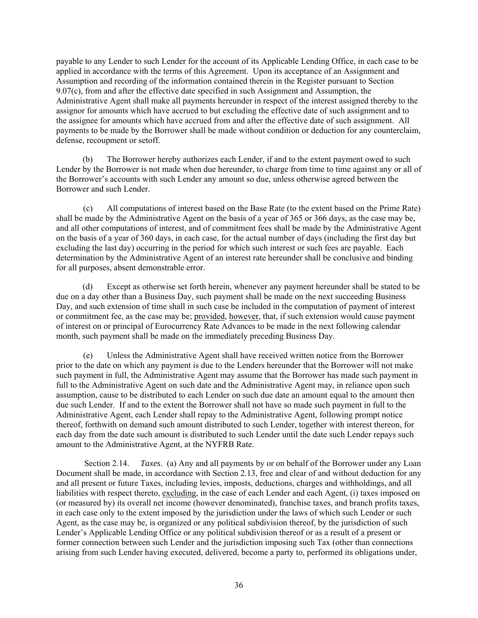payable to any Lender to such Lender for the account of its Applicable Lending Office, in each case to be applied in accordance with the terms of this Agreement. Upon its acceptance of an Assignment and Assumption and recording of the information contained therein in the Register pursuant to Section  $9.07(c)$ , from and after the effective date specified in such Assignment and Assumption, the Administrative Agent shall make all payments hereunder in respect of the interest assigned thereby to the assignor for amounts which have accrued to but excluding the effective date of such assignment and to the assignee for amounts which have accrued from and after the effective date of such assignment. All payments to be made by the Borrower shall be made without condition or deduction for any counterclaim, defense, recoupment or setoff.

(b) The Borrower hereby authorizes each Lender, if and to the extent payment owed to such Lender by the Borrower is not made when due hereunder, to charge from time to time against any or all of the Borrower's accounts with such Lender any amount so due, unless otherwise agreed between the Borrower and such Lender.

(c) All computations of interest based on the Base Rate (to the extent based on the Prime Rate) shall be made by the Administrative Agent on the basis of a year of 365 or 366 days, as the case may be, and all other computations of interest, and of commitment fees shall be made by the Administrative Agent on the basis of a year of 360 days, in each case, for the actual number of days (including the first day but excluding the last day) occurring in the period for which such interest or such fees are payable. Each determination by the Administrative Agent of an interest rate hereunder shall be conclusive and binding for all purposes, absent demonstrable error.

(d) Except as otherwise set forth herein, whenever any payment hereunder shall be stated to be due on a day other than a Business Day, such payment shall be made on the next succeeding Business Day, and such extension of time shall in such case be included in the computation of payment of interest or commitment fee, as the case may be; provided, however, that, if such extension would cause payment of interest on or principal of Eurocurrency Rate Advances to be made in the next following calendar month, such payment shall be made on the immediately preceding Business Day.

(e) Unless the Administrative Agent shall have received written notice from the Borrower prior to the date on which any payment is due to the Lenders hereunder that the Borrower will not make such payment in full, the Administrative Agent may assume that the Borrower has made such payment in full to the Administrative Agent on such date and the Administrative Agent may, in reliance upon such assumption, cause to be distributed to each Lender on such due date an amount equal to the amount then due such Lender. If and to the extent the Borrower shall not have so made such payment in full to the Administrative Agent, each Lender shall repay to the Administrative Agent, following prompt notice thereof, forthwith on demand such amount distributed to such Lender, together with interest thereon, for each day from the date such amount is distributed to such Lender until the date such Lender repays such amount to the Administrative Agent, at the NYFRB Rate.

Section 2.14. *Taxes*. (a) Any and all payments by or on behalf of the Borrower under any Loan Document shall be made, in accordance with Section 2.13, free and clear of and without deduction for any and all present or future Taxes, including levies, imposts, deductions, charges and withholdings, and all liabilities with respect thereto, excluding, in the case of each Lender and each Agent, (i) taxes imposed on (or measured by) its overall net income (however denominated), franchise taxes, and branch profits taxes, in each case only to the extent imposed by the jurisdiction under the laws of which such Lender or such Agent, as the case may be, is organized or any political subdivision thereof, by the jurisdiction of such Lender's Applicable Lending Office or any political subdivision thereof or as a result of a present or former connection between such Lender and the jurisdiction imposing such Tax (other than connections arising from such Lender having executed, delivered, become a party to, performed its obligations under,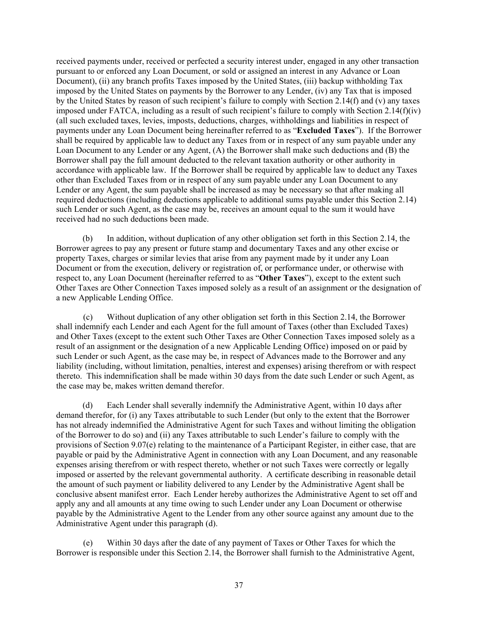received payments under, received or perfected a security interest under, engaged in any other transaction pursuant to or enforced any Loan Document, or sold or assigned an interest in any Advance or Loan Document), (ii) any branch profits Taxes imposed by the United States, (iii) backup withholding Tax imposed by the United States on payments by the Borrower to any Lender, (iv) any Tax that is imposed by the United States by reason of such recipient's failure to comply with Section 2.14(f) and (v) any taxes imposed under FATCA, including as a result of such recipient's failure to comply with Section 2.14(f)(iv) (all such excluded taxes, levies, imposts, deductions, charges, withholdings and liabilities in respect of payments under any Loan Document being hereinafter referred to as "**Excluded Taxes**"). If the Borrower shall be required by applicable law to deduct any Taxes from or in respect of any sum payable under any Loan Document to any Lender or any Agent, (A) the Borrower shall make such deductions and (B) the Borrower shall pay the full amount deducted to the relevant taxation authority or other authority in accordance with applicable law. If the Borrower shall be required by applicable law to deduct any Taxes other than Excluded Taxes from or in respect of any sum payable under any Loan Document to any Lender or any Agent, the sum payable shall be increased as may be necessary so that after making all required deductions (including deductions applicable to additional sums payable under this Section 2.14) such Lender or such Agent, as the case may be, receives an amount equal to the sum it would have received had no such deductions been made.

(b) In addition, without duplication of any other obligation set forth in this Section 2.14, the Borrower agrees to pay any present or future stamp and documentary Taxes and any other excise or property Taxes, charges or similar levies that arise from any payment made by it under any Loan Document or from the execution, delivery or registration of, or performance under, or otherwise with respect to, any Loan Document (hereinafter referred to as "**Other Taxes**"), except to the extent such Other Taxes are Other Connection Taxes imposed solely as a result of an assignment or the designation of a new Applicable Lending Office.

(c) Without duplication of any other obligation set forth in this Section 2.14, the Borrower shall indemnify each Lender and each Agent for the full amount of Taxes (other than Excluded Taxes) and Other Taxes (except to the extent such Other Taxes are Other Connection Taxes imposed solely as a result of an assignment or the designation of a new Applicable Lending Office) imposed on or paid by such Lender or such Agent, as the case may be, in respect of Advances made to the Borrower and any liability (including, without limitation, penalties, interest and expenses) arising therefrom or with respect thereto. This indemnification shall be made within 30 days from the date such Lender or such Agent, as the case may be, makes written demand therefor.

(d) Each Lender shall severally indemnify the Administrative Agent, within 10 days after demand therefor, for (i) any Taxes attributable to such Lender (but only to the extent that the Borrower has not already indemnified the Administrative Agent for such Taxes and without limiting the obligation of the Borrower to do so) and (ii) any Taxes attributable to such Lender's failure to comply with the provisions of Section 9.07(e) relating to the maintenance of a Participant Register, in either case, that are payable or paid by the Administrative Agent in connection with any Loan Document, and any reasonable expenses arising therefrom or with respect thereto, whether or not such Taxes were correctly or legally imposed or asserted by the relevant governmental authority. A certificate describing in reasonable detail the amount of such payment or liability delivered to any Lender by the Administrative Agent shall be conclusive absent manifest error. Each Lender hereby authorizes the Administrative Agent to set off and apply any and all amounts at any time owing to such Lender under any Loan Document or otherwise payable by the Administrative Agent to the Lender from any other source against any amount due to the Administrative Agent under this paragraph (d).

(e) Within 30 days after the date of any payment of Taxes or Other Taxes for which the Borrower is responsible under this Section 2.14, the Borrower shall furnish to the Administrative Agent,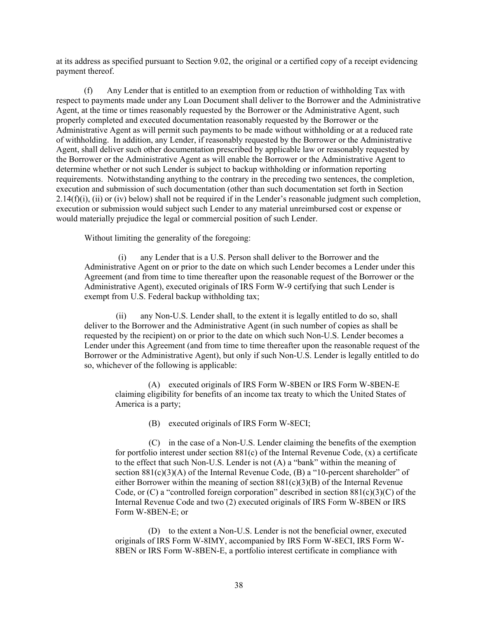at its address as specified pursuant to Section 9.02, the original or a certified copy of a receipt evidencing payment thereof.

(f) Any Lender that is entitled to an exemption from or reduction of withholding Tax with respect to payments made under any Loan Document shall deliver to the Borrower and the Administrative Agent, at the time or times reasonably requested by the Borrower or the Administrative Agent, such properly completed and executed documentation reasonably requested by the Borrower or the Administrative Agent as will permit such payments to be made without withholding or at a reduced rate of withholding. In addition, any Lender, if reasonably requested by the Borrower or the Administrative Agent, shall deliver such other documentation prescribed by applicable law or reasonably requested by the Borrower or the Administrative Agent as will enable the Borrower or the Administrative Agent to determine whether or not such Lender is subject to backup withholding or information reporting requirements. Notwithstanding anything to the contrary in the preceding two sentences, the completion, execution and submission of such documentation (other than such documentation set forth in Section 2.14(f)(i), (ii) or (iv) below) shall not be required if in the Lender's reasonable judgment such completion, execution or submission would subject such Lender to any material unreimbursed cost or expense or would materially prejudice the legal or commercial position of such Lender.

Without limiting the generality of the foregoing:

(i) any Lender that is a U.S. Person shall deliver to the Borrower and the Administrative Agent on or prior to the date on which such Lender becomes a Lender under this Agreement (and from time to time thereafter upon the reasonable request of the Borrower or the Administrative Agent), executed originals of IRS Form W-9 certifying that such Lender is exempt from U.S. Federal backup withholding tax;

(ii) any Non-U.S. Lender shall, to the extent it is legally entitled to do so, shall deliver to the Borrower and the Administrative Agent (in such number of copies as shall be requested by the recipient) on or prior to the date on which such Non-U.S. Lender becomes a Lender under this Agreement (and from time to time thereafter upon the reasonable request of the Borrower or the Administrative Agent), but only if such Non-U.S. Lender is legally entitled to do so, whichever of the following is applicable:

(A) executed originals of IRS Form W-8BEN or IRS Form W-8BEN-E claiming eligibility for benefits of an income tax treaty to which the United States of America is a party;

(B) executed originals of IRS Form W-8ECI;

(C) in the case of a Non-U.S. Lender claiming the benefits of the exemption for portfolio interest under section  $881(c)$  of the Internal Revenue Code,  $(x)$  a certificate to the effect that such Non-U.S. Lender is not (A) a "bank" within the meaning of section 881(c)(3)(A) of the Internal Revenue Code, (B) a "10-percent shareholder" of either Borrower within the meaning of section  $881(c)(3)(B)$  of the Internal Revenue Code, or (C) a "controlled foreign corporation" described in section  $881(c)(3)(C)$  of the Internal Revenue Code and two (2) executed originals of IRS Form W-8BEN or IRS Form W-8BEN-E; or

(D) to the extent a Non-U.S. Lender is not the beneficial owner, executed originals of IRS Form W-8IMY, accompanied by IRS Form W-8ECI, IRS Form W-8BEN or IRS Form W-8BEN-E, a portfolio interest certificate in compliance with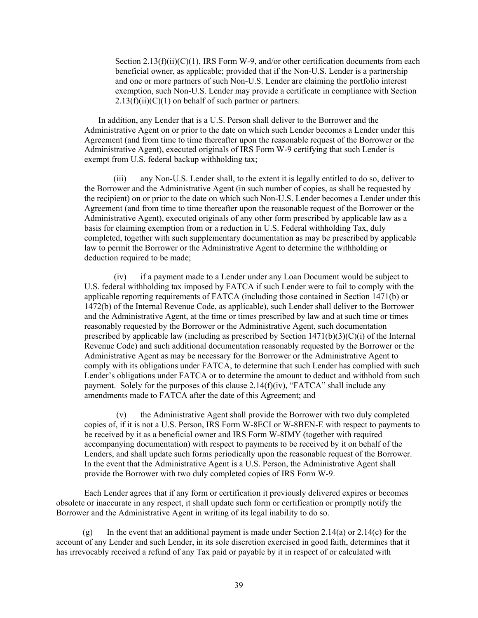Section  $2.13(f)(ii)(C)(1)$ , IRS Form W-9, and/or other certification documents from each beneficial owner, as applicable; provided that if the Non-U.S. Lender is a partnership and one or more partners of such Non-U.S. Lender are claiming the portfolio interest exemption, such Non-U.S. Lender may provide a certificate in compliance with Section  $2.13(f)(ii)(C)(1)$  on behalf of such partner or partners.

In addition, any Lender that is a U.S. Person shall deliver to the Borrower and the Administrative Agent on or prior to the date on which such Lender becomes a Lender under this Agreement (and from time to time thereafter upon the reasonable request of the Borrower or the Administrative Agent), executed originals of IRS Form W-9 certifying that such Lender is exempt from U.S. federal backup withholding tax;

(iii) any Non-U.S. Lender shall, to the extent it is legally entitled to do so, deliver to the Borrower and the Administrative Agent (in such number of copies, as shall be requested by the recipient) on or prior to the date on which such Non-U.S. Lender becomes a Lender under this Agreement (and from time to time thereafter upon the reasonable request of the Borrower or the Administrative Agent), executed originals of any other form prescribed by applicable law as a basis for claiming exemption from or a reduction in U.S. Federal withholding Tax, duly completed, together with such supplementary documentation as may be prescribed by applicable law to permit the Borrower or the Administrative Agent to determine the withholding or deduction required to be made;

(iv) if a payment made to a Lender under any Loan Document would be subject to U.S. federal withholding tax imposed by FATCA if such Lender were to fail to comply with the applicable reporting requirements of FATCA (including those contained in Section 1471(b) or 1472(b) of the Internal Revenue Code, as applicable), such Lender shall deliver to the Borrower and the Administrative Agent, at the time or times prescribed by law and at such time or times reasonably requested by the Borrower or the Administrative Agent, such documentation prescribed by applicable law (including as prescribed by Section  $1471(b)(3)(C)(i)$  of the Internal Revenue Code) and such additional documentation reasonably requested by the Borrower or the Administrative Agent as may be necessary for the Borrower or the Administrative Agent to comply with its obligations under FATCA, to determine that such Lender has complied with such Lender's obligations under FATCA or to determine the amount to deduct and withhold from such payment. Solely for the purposes of this clause  $2.14(f)(iv)$ , "FATCA" shall include any amendments made to FATCA after the date of this Agreement; and

(v) the Administrative Agent shall provide the Borrower with two duly completed copies of, if it is not a U.S. Person, IRS Form W-8ECI or W-8BEN-E with respect to payments to be received by it as a beneficial owner and IRS Form W-8IMY (together with required accompanying documentation) with respect to payments to be received by it on behalf of the Lenders, and shall update such forms periodically upon the reasonable request of the Borrower. In the event that the Administrative Agent is a U.S. Person, the Administrative Agent shall provide the Borrower with two duly completed copies of IRS Form W-9.

Each Lender agrees that if any form or certification it previously delivered expires or becomes obsolete or inaccurate in any respect, it shall update such form or certification or promptly notify the Borrower and the Administrative Agent in writing of its legal inability to do so.

(g) In the event that an additional payment is made under Section 2.14(a) or 2.14(c) for the account of any Lender and such Lender, in its sole discretion exercised in good faith, determines that it has irrevocably received a refund of any Tax paid or payable by it in respect of or calculated with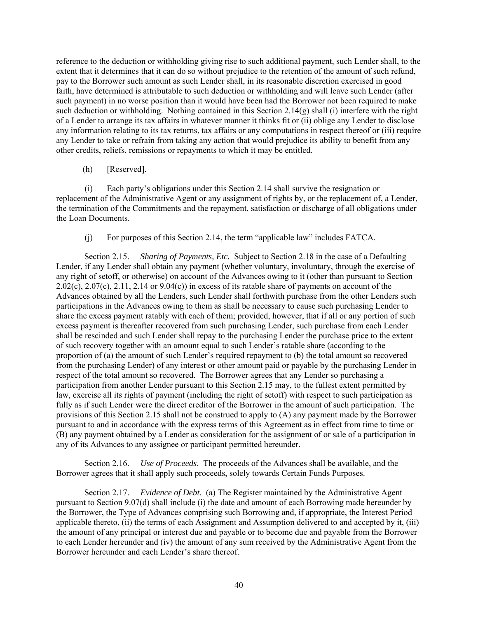reference to the deduction or withholding giving rise to such additional payment, such Lender shall, to the extent that it determines that it can do so without prejudice to the retention of the amount of such refund, pay to the Borrower such amount as such Lender shall, in its reasonable discretion exercised in good faith, have determined is attributable to such deduction or withholding and will leave such Lender (after such payment) in no worse position than it would have been had the Borrower not been required to make such deduction or withholding. Nothing contained in this Section 2.14(g) shall (i) interfere with the right of a Lender to arrange its tax affairs in whatever manner it thinks fit or (ii) oblige any Lender to disclose any information relating to its tax returns, tax affairs or any computations in respect thereof or (iii) require any Lender to take or refrain from taking any action that would prejudice its ability to benefit from any other credits, reliefs, remissions or repayments to which it may be entitled.

(h) [Reserved].

(i) Each party's obligations under this Section 2.14 shall survive the resignation or replacement of the Administrative Agent or any assignment of rights by, or the replacement of, a Lender, the termination of the Commitments and the repayment, satisfaction or discharge of all obligations under the Loan Documents.

(j) For purposes of this Section 2.14, the term "applicable law" includes FATCA.

Section 2.15. *Sharing of Payments, Etc.* Subject to Section 2.18 in the case of a Defaulting Lender, if any Lender shall obtain any payment (whether voluntary, involuntary, through the exercise of any right of setoff, or otherwise) on account of the Advances owing to it (other than pursuant to Section  $2.02(c)$ ,  $2.07(c)$ ,  $2.11$ ,  $2.14$  or  $9.04(c)$ ) in excess of its ratable share of payments on account of the Advances obtained by all the Lenders, such Lender shall forthwith purchase from the other Lenders such participations in the Advances owing to them as shall be necessary to cause such purchasing Lender to share the excess payment ratably with each of them; provided, however, that if all or any portion of such excess payment is thereafter recovered from such purchasing Lender, such purchase from each Lender shall be rescinded and such Lender shall repay to the purchasing Lender the purchase price to the extent of such recovery together with an amount equal to such Lender's ratable share (according to the proportion of (a) the amount of such Lender's required repayment to (b) the total amount so recovered from the purchasing Lender) of any interest or other amount paid or payable by the purchasing Lender in respect of the total amount so recovered. The Borrower agrees that any Lender so purchasing a participation from another Lender pursuant to this Section 2.15 may, to the fullest extent permitted by law, exercise all its rights of payment (including the right of setoff) with respect to such participation as fully as if such Lender were the direct creditor of the Borrower in the amount of such participation. The provisions of this Section 2.15 shall not be construed to apply to (A) any payment made by the Borrower pursuant to and in accordance with the express terms of this Agreement as in effect from time to time or (B) any payment obtained by a Lender as consideration for the assignment of or sale of a participation in any of its Advances to any assignee or participant permitted hereunder.

Section 2.16. *Use of Proceeds*. The proceeds of the Advances shall be available, and the Borrower agrees that it shall apply such proceeds, solely towards Certain Funds Purposes.

Section 2.17. *Evidence of Debt*. (a) The Register maintained by the Administrative Agent pursuant to Section 9.07(d) shall include (i) the date and amount of each Borrowing made hereunder by the Borrower, the Type of Advances comprising such Borrowing and, if appropriate, the Interest Period applicable thereto, (ii) the terms of each Assignment and Assumption delivered to and accepted by it, (iii) the amount of any principal or interest due and payable or to become due and payable from the Borrower to each Lender hereunder and (iv) the amount of any sum received by the Administrative Agent from the Borrower hereunder and each Lender's share thereof.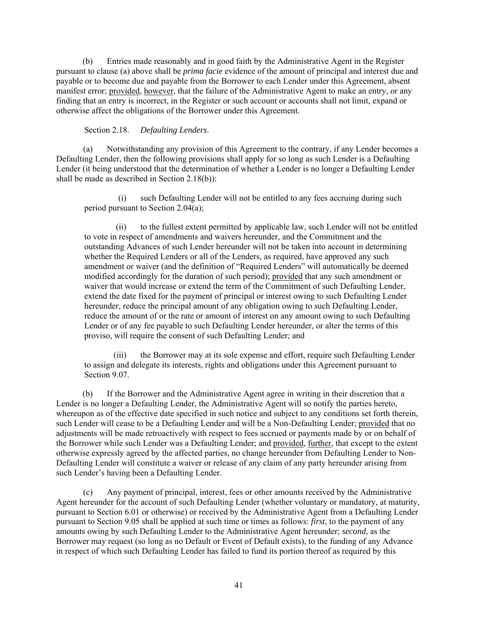(b) Entries made reasonably and in good faith by the Administrative Agent in the Register pursuant to clause (a) above shall be *prima facie* evidence of the amount of principal and interest due and payable or to become due and payable from the Borrower to each Lender under this Agreement, absent manifest error; provided, however, that the failure of the Administrative Agent to make an entry, or any finding that an entry is incorrect, in the Register or such account or accounts shall not limit, expand or otherwise affect the obligations of the Borrower under this Agreement.

Section 2.18. *Defaulting Lenders*.

(a) Notwithstanding any provision of this Agreement to the contrary, if any Lender becomes a Defaulting Lender, then the following provisions shall apply for so long as such Lender is a Defaulting Lender (it being understood that the determination of whether a Lender is no longer a Defaulting Lender shall be made as described in Section 2.18(b)):

(i) such Defaulting Lender will not be entitled to any fees accruing during such period pursuant to Section 2.04(a);

(ii) to the fullest extent permitted by applicable law, such Lender will not be entitled to vote in respect of amendments and waivers hereunder, and the Commitment and the outstanding Advances of such Lender hereunder will not be taken into account in determining whether the Required Lenders or all of the Lenders, as required, have approved any such amendment or waiver (and the definition of "Required Lenders" will automatically be deemed modified accordingly for the duration of such period); provided that any such amendment or waiver that would increase or extend the term of the Commitment of such Defaulting Lender, extend the date fixed for the payment of principal or interest owing to such Defaulting Lender hereunder, reduce the principal amount of any obligation owing to such Defaulting Lender, reduce the amount of or the rate or amount of interest on any amount owing to such Defaulting Lender or of any fee payable to such Defaulting Lender hereunder, or alter the terms of this proviso, will require the consent of such Defaulting Lender; and

(iii) the Borrower may at its sole expense and effort, require such Defaulting Lender to assign and delegate its interests, rights and obligations under this Agreement pursuant to Section 9.07.

(b) If the Borrower and the Administrative Agent agree in writing in their discretion that a Lender is no longer a Defaulting Lender, the Administrative Agent will so notify the parties hereto, whereupon as of the effective date specified in such notice and subject to any conditions set forth therein, such Lender will cease to be a Defaulting Lender and will be a Non-Defaulting Lender; provided that no adjustments will be made retroactively with respect to fees accrued or payments made by or on behalf of the Borrower while such Lender was a Defaulting Lender; and provided, further, that except to the extent otherwise expressly agreed by the affected parties, no change hereunder from Defaulting Lender to Non-Defaulting Lender will constitute a waiver or release of any claim of any party hereunder arising from such Lender's having been a Defaulting Lender.

(c) Any payment of principal, interest, fees or other amounts received by the Administrative Agent hereunder for the account of such Defaulting Lender (whether voluntary or mandatory, at maturity, pursuant to Section 6.01 or otherwise) or received by the Administrative Agent from a Defaulting Lender pursuant to Section 9.05 shall be applied at such time or times as follows: *first*, to the payment of any amounts owing by such Defaulting Lender to the Administrative Agent hereunder; *second*, as the Borrower may request (so long as no Default or Event of Default exists), to the funding of any Advance in respect of which such Defaulting Lender has failed to fund its portion thereof as required by this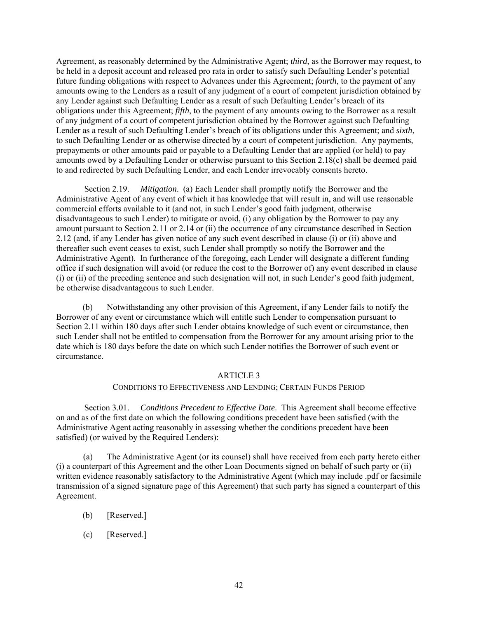Agreement, as reasonably determined by the Administrative Agent; *third*, as the Borrower may request, to be held in a deposit account and released pro rata in order to satisfy such Defaulting Lender's potential future funding obligations with respect to Advances under this Agreement; *fourth*, to the payment of any amounts owing to the Lenders as a result of any judgment of a court of competent jurisdiction obtained by any Lender against such Defaulting Lender as a result of such Defaulting Lender's breach of its obligations under this Agreement; *fifth*, to the payment of any amounts owing to the Borrower as a result of any judgment of a court of competent jurisdiction obtained by the Borrower against such Defaulting Lender as a result of such Defaulting Lender's breach of its obligations under this Agreement; and *sixth*, to such Defaulting Lender or as otherwise directed by a court of competent jurisdiction. Any payments, prepayments or other amounts paid or payable to a Defaulting Lender that are applied (or held) to pay amounts owed by a Defaulting Lender or otherwise pursuant to this Section 2.18(c) shall be deemed paid to and redirected by such Defaulting Lender, and each Lender irrevocably consents hereto.

Section 2.19. *Mitigation*. (a) Each Lender shall promptly notify the Borrower and the Administrative Agent of any event of which it has knowledge that will result in, and will use reasonable commercial efforts available to it (and not, in such Lender's good faith judgment, otherwise disadvantageous to such Lender) to mitigate or avoid, (i) any obligation by the Borrower to pay any amount pursuant to Section 2.11 or 2.14 or (ii) the occurrence of any circumstance described in Section 2.12 (and, if any Lender has given notice of any such event described in clause (i) or (ii) above and thereafter such event ceases to exist, such Lender shall promptly so notify the Borrower and the Administrative Agent). In furtherance of the foregoing, each Lender will designate a different funding office if such designation will avoid (or reduce the cost to the Borrower of) any event described in clause (i) or (ii) of the preceding sentence and such designation will not, in such Lender's good faith judgment, be otherwise disadvantageous to such Lender.

(b) Notwithstanding any other provision of this Agreement, if any Lender fails to notify the Borrower of any event or circumstance which will entitle such Lender to compensation pursuant to Section 2.11 within 180 days after such Lender obtains knowledge of such event or circumstance, then such Lender shall not be entitled to compensation from the Borrower for any amount arising prior to the date which is 180 days before the date on which such Lender notifies the Borrower of such event or circumstance.

#### ARTICLE 3

#### CONDITIONS TO EFFECTIVENESS AND LENDING; CERTAIN FUNDS PERIOD

Section 3.01. *Conditions Precedent to Effective Date*. This Agreement shall become effective on and as of the first date on which the following conditions precedent have been satisfied (with the Administrative Agent acting reasonably in assessing whether the conditions precedent have been satisfied) (or waived by the Required Lenders):

(a) The Administrative Agent (or its counsel) shall have received from each party hereto either (i) a counterpart of this Agreement and the other Loan Documents signed on behalf of such party or (ii) written evidence reasonably satisfactory to the Administrative Agent (which may include .pdf or facsimile transmission of a signed signature page of this Agreement) that such party has signed a counterpart of this Agreement.

- (b) [Reserved.]
- (c) [Reserved.]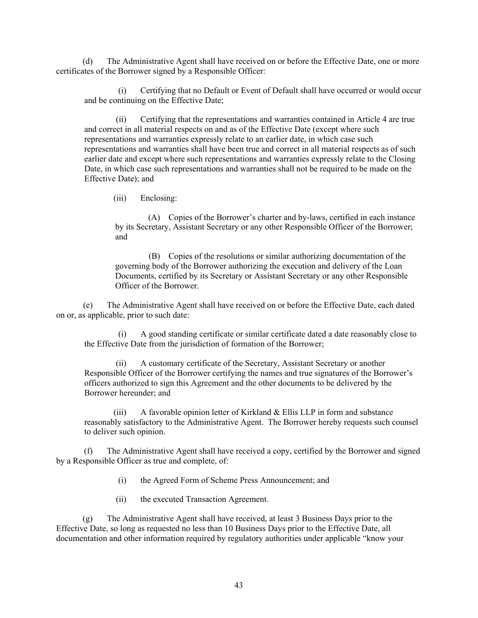(d) The Administrative Agent shall have received on or before the Effective Date, one or more certificates of the Borrower signed by a Responsible Officer:

(i) Certifying that no Default or Event of Default shall have occurred or would occur and be continuing on the Effective Date;

(ii) Certifying that the representations and warranties contained in Article 4 are true and correct in all material respects on and as of the Effective Date (except where such representations and warranties expressly relate to an earlier date, in which case such representations and warranties shall have been true and correct in all material respects as of such earlier date and except where such representations and warranties expressly relate to the Closing Date, in which case such representations and warranties shall not be required to be made on the Effective Date); and

(iii) Enclosing:

(A) Copies of the Borrower's charter and by-laws, certified in each instance by its Secretary, Assistant Secretary or any other Responsible Officer of the Borrower; and

(B) Copies of the resolutions or similar authorizing documentation of the governing body of the Borrower authorizing the execution and delivery of the Loan Documents, certified by its Secretary or Assistant Secretary or any other Responsible Officer of the Borrower.

(e) The Administrative Agent shall have received on or before the Effective Date, each dated on or, as applicable, prior to such date:

(i) A good standing certificate or similar certificate dated a date reasonably close to the Effective Date from the jurisdiction of formation of the Borrower;

(ii) A customary certificate of the Secretary, Assistant Secretary or another Responsible Officer of the Borrower certifying the names and true signatures of the Borrower's officers authorized to sign this Agreement and the other documents to be delivered by the Borrower hereunder; and

(iii) A favorable opinion letter of Kirkland & Ellis LLP in form and substance reasonably satisfactory to the Administrative Agent. The Borrower hereby requests such counsel to deliver such opinion.

(f) The Administrative Agent shall have received a copy, certified by the Borrower and signed by a Responsible Officer as true and complete, of:

(i) the Agreed Form of Scheme Press Announcement; and

(ii) the executed Transaction Agreement.

(g) The Administrative Agent shall have received, at least 3 Business Days prior to the Effective Date, so long as requested no less than 10 Business Days prior to the Effective Date, all documentation and other information required by regulatory authorities under applicable "know your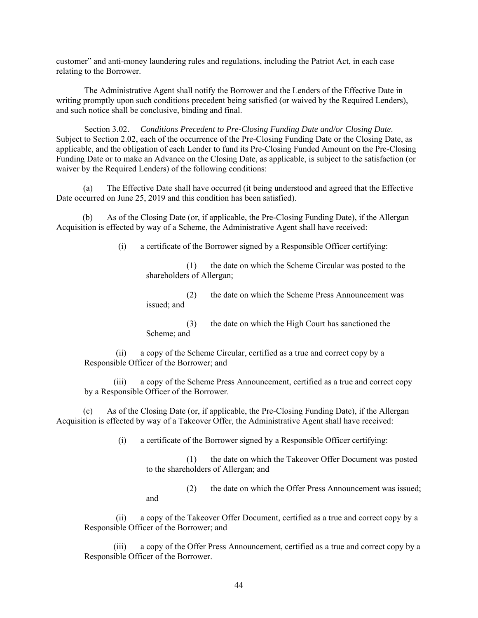customer" and anti-money laundering rules and regulations, including the Patriot Act, in each case relating to the Borrower.

The Administrative Agent shall notify the Borrower and the Lenders of the Effective Date in writing promptly upon such conditions precedent being satisfied (or waived by the Required Lenders), and such notice shall be conclusive, binding and final.

Section 3.02. *Conditions Precedent to Pre-Closing Funding Date and/or Closing Date*. Subject to Section 2.02, each of the occurrence of the Pre-Closing Funding Date or the Closing Date, as applicable, and the obligation of each Lender to fund its Pre-Closing Funded Amount on the Pre-Closing Funding Date or to make an Advance on the Closing Date, as applicable, is subject to the satisfaction (or waiver by the Required Lenders) of the following conditions:

(a) The Effective Date shall have occurred (it being understood and agreed that the Effective Date occurred on June 25, 2019 and this condition has been satisfied).

(b) As of the Closing Date (or, if applicable, the Pre-Closing Funding Date), if the Allergan Acquisition is effected by way of a Scheme, the Administrative Agent shall have received:

(i) a certificate of the Borrower signed by a Responsible Officer certifying:

(1) the date on which the Scheme Circular was posted to the shareholders of Allergan;

(2) the date on which the Scheme Press Announcement was issued; and

(3) the date on which the High Court has sanctioned the Scheme; and

(ii) a copy of the Scheme Circular, certified as a true and correct copy by a Responsible Officer of the Borrower; and

(iii) a copy of the Scheme Press Announcement, certified as a true and correct copy by a Responsible Officer of the Borrower.

(c) As of the Closing Date (or, if applicable, the Pre-Closing Funding Date), if the Allergan Acquisition is effected by way of a Takeover Offer, the Administrative Agent shall have received:

(i) a certificate of the Borrower signed by a Responsible Officer certifying:

(1) the date on which the Takeover Offer Document was posted to the shareholders of Allergan; and

(2) the date on which the Offer Press Announcement was issued; and

(ii) a copy of the Takeover Offer Document, certified as a true and correct copy by a Responsible Officer of the Borrower; and

(iii) a copy of the Offer Press Announcement, certified as a true and correct copy by a Responsible Officer of the Borrower.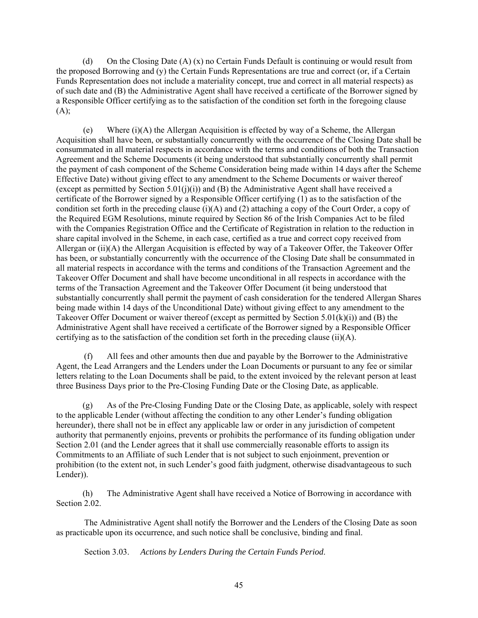(d) On the Closing Date  $(A)$  (x) no Certain Funds Default is continuing or would result from the proposed Borrowing and (y) the Certain Funds Representations are true and correct (or, if a Certain Funds Representation does not include a materiality concept, true and correct in all material respects) as of such date and (B) the Administrative Agent shall have received a certificate of the Borrower signed by a Responsible Officer certifying as to the satisfaction of the condition set forth in the foregoing clause  $(A);$ 

(e) Where  $(i)(A)$  the Allergan Acquisition is effected by way of a Scheme, the Allergan Acquisition shall have been, or substantially concurrently with the occurrence of the Closing Date shall be consummated in all material respects in accordance with the terms and conditions of both the Transaction Agreement and the Scheme Documents (it being understood that substantially concurrently shall permit the payment of cash component of the Scheme Consideration being made within 14 days after the Scheme Effective Date) without giving effect to any amendment to the Scheme Documents or waiver thereof (except as permitted by Section  $5.01(i)(i)$ ) and (B) the Administrative Agent shall have received a certificate of the Borrower signed by a Responsible Officer certifying (1) as to the satisfaction of the condition set forth in the preceding clause (i)(A) and (2) attaching a copy of the Court Order, a copy of the Required EGM Resolutions, minute required by Section 86 of the Irish Companies Act to be filed with the Companies Registration Office and the Certificate of Registration in relation to the reduction in share capital involved in the Scheme, in each case, certified as a true and correct copy received from Allergan or (ii)(A) the Allergan Acquisition is effected by way of a Takeover Offer, the Takeover Offer has been, or substantially concurrently with the occurrence of the Closing Date shall be consummated in all material respects in accordance with the terms and conditions of the Transaction Agreement and the Takeover Offer Document and shall have become unconditional in all respects in accordance with the terms of the Transaction Agreement and the Takeover Offer Document (it being understood that substantially concurrently shall permit the payment of cash consideration for the tendered Allergan Shares being made within 14 days of the Unconditional Date) without giving effect to any amendment to the Takeover Offer Document or waiver thereof (except as permitted by Section  $5.01(k)(i)$ ) and (B) the Administrative Agent shall have received a certificate of the Borrower signed by a Responsible Officer certifying as to the satisfaction of the condition set forth in the preceding clause (ii)(A).

(f) All fees and other amounts then due and payable by the Borrower to the Administrative Agent, the Lead Arrangers and the Lenders under the Loan Documents or pursuant to any fee or similar letters relating to the Loan Documents shall be paid, to the extent invoiced by the relevant person at least three Business Days prior to the Pre-Closing Funding Date or the Closing Date, as applicable.

(g) As of the Pre-Closing Funding Date or the Closing Date, as applicable, solely with respect to the applicable Lender (without affecting the condition to any other Lender's funding obligation hereunder), there shall not be in effect any applicable law or order in any jurisdiction of competent authority that permanently enjoins, prevents or prohibits the performance of its funding obligation under Section 2.01 (and the Lender agrees that it shall use commercially reasonable efforts to assign its Commitments to an Affiliate of such Lender that is not subject to such enjoinment, prevention or prohibition (to the extent not, in such Lender's good faith judgment, otherwise disadvantageous to such Lender)).

(h) The Administrative Agent shall have received a Notice of Borrowing in accordance with Section 2.02.

The Administrative Agent shall notify the Borrower and the Lenders of the Closing Date as soon as practicable upon its occurrence, and such notice shall be conclusive, binding and final.

Section 3.03. *Actions by Lenders During the Certain Funds Period*.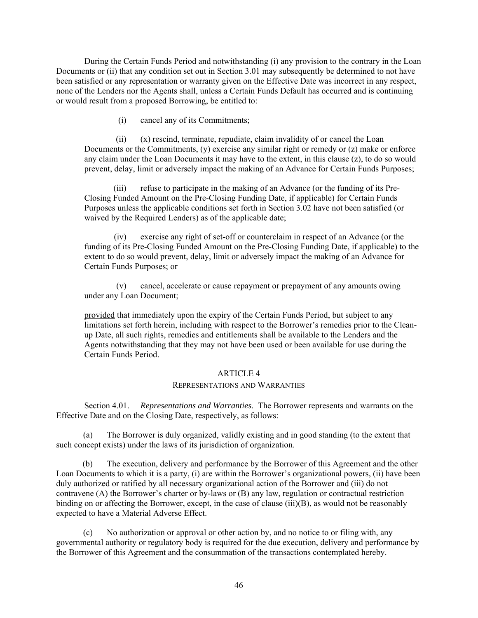During the Certain Funds Period and notwithstanding (i) any provision to the contrary in the Loan Documents or (ii) that any condition set out in Section 3.01 may subsequently be determined to not have been satisfied or any representation or warranty given on the Effective Date was incorrect in any respect, none of the Lenders nor the Agents shall, unless a Certain Funds Default has occurred and is continuing or would result from a proposed Borrowing, be entitled to:

(i) cancel any of its Commitments;

(ii) (x) rescind, terminate, repudiate, claim invalidity of or cancel the Loan Documents or the Commitments, (y) exercise any similar right or remedy or (z) make or enforce any claim under the Loan Documents it may have to the extent, in this clause (z), to do so would prevent, delay, limit or adversely impact the making of an Advance for Certain Funds Purposes;

(iii) refuse to participate in the making of an Advance (or the funding of its Pre-Closing Funded Amount on the Pre-Closing Funding Date, if applicable) for Certain Funds Purposes unless the applicable conditions set forth in Section 3.02 have not been satisfied (or waived by the Required Lenders) as of the applicable date;

(iv) exercise any right of set-off or counterclaim in respect of an Advance (or the funding of its Pre-Closing Funded Amount on the Pre-Closing Funding Date, if applicable) to the extent to do so would prevent, delay, limit or adversely impact the making of an Advance for Certain Funds Purposes; or

(v) cancel, accelerate or cause repayment or prepayment of any amounts owing under any Loan Document;

provided that immediately upon the expiry of the Certain Funds Period, but subject to any limitations set forth herein, including with respect to the Borrower's remedies prior to the Cleanup Date, all such rights, remedies and entitlements shall be available to the Lenders and the Agents notwithstanding that they may not have been used or been available for use during the Certain Funds Period.

# ARTICLE 4

#### REPRESENTATIONS AND WARRANTIES

Section 4.01. *Representations and Warranties*. The Borrower represents and warrants on the Effective Date and on the Closing Date, respectively, as follows:

(a) The Borrower is duly organized, validly existing and in good standing (to the extent that such concept exists) under the laws of its jurisdiction of organization.

(b) The execution, delivery and performance by the Borrower of this Agreement and the other Loan Documents to which it is a party, (i) are within the Borrower's organizational powers, (ii) have been duly authorized or ratified by all necessary organizational action of the Borrower and (iii) do not contravene (A) the Borrower's charter or by-laws or (B) any law, regulation or contractual restriction binding on or affecting the Borrower, except, in the case of clause (iii)(B), as would not be reasonably expected to have a Material Adverse Effect.

(c) No authorization or approval or other action by, and no notice to or filing with, any governmental authority or regulatory body is required for the due execution, delivery and performance by the Borrower of this Agreement and the consummation of the transactions contemplated hereby.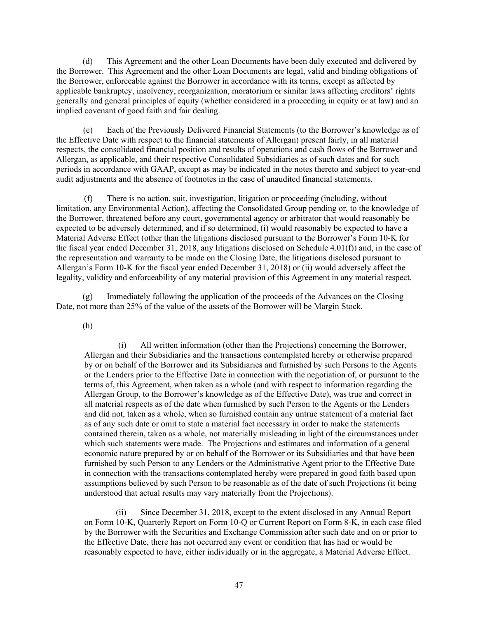(d) This Agreement and the other Loan Documents have been duly executed and delivered by the Borrower. This Agreement and the other Loan Documents are legal, valid and binding obligations of the Borrower, enforceable against the Borrower in accordance with its terms, except as affected by applicable bankruptcy, insolvency, reorganization, moratorium or similar laws affecting creditors' rights generally and general principles of equity (whether considered in a proceeding in equity or at law) and an implied covenant of good faith and fair dealing.

(e) Each of the Previously Delivered Financial Statements (to the Borrower's knowledge as of the Effective Date with respect to the financial statements of Allergan) present fairly, in all material respects, the consolidated financial position and results of operations and cash flows of the Borrower and Allergan, as applicable, and their respective Consolidated Subsidiaries as of such dates and for such periods in accordance with GAAP, except as may be indicated in the notes thereto and subject to year-end audit adjustments and the absence of footnotes in the case of unaudited financial statements.

(f) There is no action, suit, investigation, litigation or proceeding (including, without limitation, any Environmental Action), affecting the Consolidated Group pending or, to the knowledge of the Borrower, threatened before any court, governmental agency or arbitrator that would reasonably be expected to be adversely determined, and if so determined, (i) would reasonably be expected to have a Material Adverse Effect (other than the litigations disclosed pursuant to the Borrower's Form 10-K for the fiscal year ended December 31, 2018, any litigations disclosed on Schedule 4.01(f)) and, in the case of the representation and warranty to be made on the Closing Date, the litigations disclosed pursuant to Allergan's Form 10-K for the fiscal year ended December 31, 2018) or (ii) would adversely affect the legality, validity and enforceability of any material provision of this Agreement in any material respect.

(g) Immediately following the application of the proceeds of the Advances on the Closing Date, not more than 25% of the value of the assets of the Borrower will be Margin Stock.

(h)

(i) All written information (other than the Projections) concerning the Borrower, Allergan and their Subsidiaries and the transactions contemplated hereby or otherwise prepared by or on behalf of the Borrower and its Subsidiaries and furnished by such Persons to the Agents or the Lenders prior to the Effective Date in connection with the negotiation of, or pursuant to the terms of, this Agreement, when taken as a whole (and with respect to information regarding the Allergan Group, to the Borrower's knowledge as of the Effective Date), was true and correct in all material respects as of the date when furnished by such Person to the Agents or the Lenders and did not, taken as a whole, when so furnished contain any untrue statement of a material fact as of any such date or omit to state a material fact necessary in order to make the statements contained therein, taken as a whole, not materially misleading in light of the circumstances under which such statements were made. The Projections and estimates and information of a general economic nature prepared by or on behalf of the Borrower or its Subsidiaries and that have been furnished by such Person to any Lenders or the Administrative Agent prior to the Effective Date in connection with the transactions contemplated hereby were prepared in good faith based upon assumptions believed by such Person to be reasonable as of the date of such Projections (it being understood that actual results may vary materially from the Projections).

(ii) Since December 31, 2018, except to the extent disclosed in any Annual Report on Form 10-K, Quarterly Report on Form 10-Q or Current Report on Form 8-K, in each case filed by the Borrower with the Securities and Exchange Commission after such date and on or prior to the Effective Date, there has not occurred any event or condition that has had or would be reasonably expected to have, either individually or in the aggregate, a Material Adverse Effect.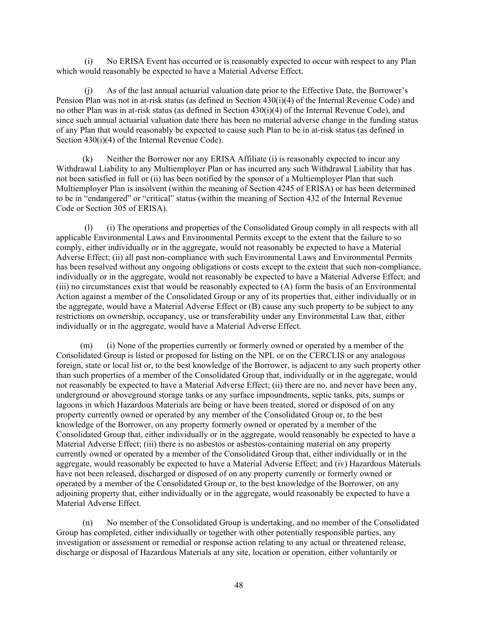(i) No ERISA Event has occurred or is reasonably expected to occur with respect to any Plan which would reasonably be expected to have a Material Adverse Effect.

(j) As of the last annual actuarial valuation date prior to the Effective Date, the Borrower's Pension Plan was not in at-risk status (as defined in Section 430(i)(4) of the Internal Revenue Code) and no other Plan was in at-risk status (as defined in Section 430(i)(4) of the Internal Revenue Code), and since such annual actuarial valuation date there has been no material adverse change in the funding status of any Plan that would reasonably be expected to cause such Plan to be in at-risk status (as defined in Section 430(i)(4) of the Internal Revenue Code).

(k) Neither the Borrower nor any ERISA Affiliate (i) is reasonably expected to incur any Withdrawal Liability to any Multiemployer Plan or has incurred any such Withdrawal Liability that has not been satisfied in full or (ii) has been notified by the sponsor of a Multiemployer Plan that such Multiemployer Plan is insolvent (within the meaning of Section 4245 of ERISA) or has been determined to be in "endangered" or "critical" status (within the meaning of Section 432 of the Internal Revenue Code or Section 305 of ERISA).

(l) (i) The operations and properties of the Consolidated Group comply in all respects with all applicable Environmental Laws and Environmental Permits except to the extent that the failure to so comply, either individually or in the aggregate, would not reasonably be expected to have a Material Adverse Effect; (ii) all past non-compliance with such Environmental Laws and Environmental Permits has been resolved without any ongoing obligations or costs except to the extent that such non-compliance, individually or in the aggregate, would not reasonably be expected to have a Material Adverse Effect; and (iii) no circumstances exist that would be reasonably expected to (A) form the basis of an Environmental Action against a member of the Consolidated Group or any of its properties that, either individually or in the aggregate, would have a Material Adverse Effect or (B) cause any such property to be subject to any restrictions on ownership, occupancy, use or transferability under any Environmental Law that, either individually or in the aggregate, would have a Material Adverse Effect.

(m) (i) None of the properties currently or formerly owned or operated by a member of the Consolidated Group is listed or proposed for listing on the NPL or on the CERCLIS or any analogous foreign, state or local list or, to the best knowledge of the Borrower, is adjacent to any such property other than such properties of a member of the Consolidated Group that, individually or in the aggregate, would not reasonably be expected to have a Material Adverse Effect; (ii) there are no, and never have been any, underground or aboveground storage tanks or any surface impoundments, septic tanks, pits, sumps or lagoons in which Hazardous Materials are being or have been treated, stored or disposed of on any property currently owned or operated by any member of the Consolidated Group or, to the best knowledge of the Borrower, on any property formerly owned or operated by a member of the Consolidated Group that, either individually or in the aggregate, would reasonably be expected to have a Material Adverse Effect; (iii) there is no asbestos or asbestos-containing material on any property currently owned or operated by a member of the Consolidated Group that, either individually or in the aggregate, would reasonably be expected to have a Material Adverse Effect; and (iv) Hazardous Materials have not been released, discharged or disposed of on any property currently or formerly owned or operated by a member of the Consolidated Group or, to the best knowledge of the Borrower, on any adjoining property that, either individually or in the aggregate, would reasonably be expected to have a Material Adverse Effect.

(n) No member of the Consolidated Group is undertaking, and no member of the Consolidated Group has completed, either individually or together with other potentially responsible parties, any investigation or assessment or remedial or response action relating to any actual or threatened release, discharge or disposal of Hazardous Materials at any site, location or operation, either voluntarily or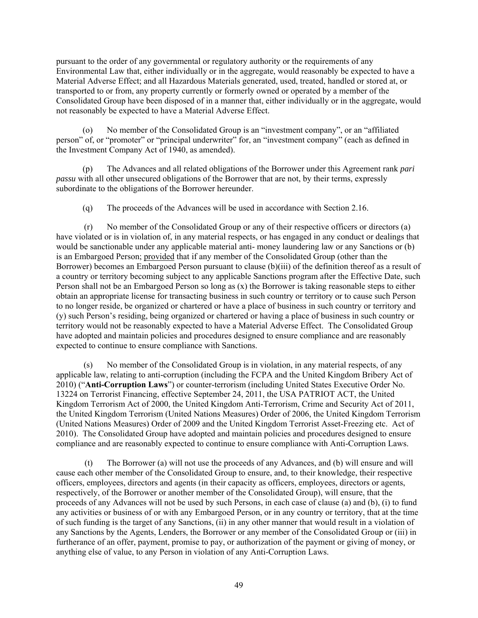pursuant to the order of any governmental or regulatory authority or the requirements of any Environmental Law that, either individually or in the aggregate, would reasonably be expected to have a Material Adverse Effect; and all Hazardous Materials generated, used, treated, handled or stored at, or transported to or from, any property currently or formerly owned or operated by a member of the Consolidated Group have been disposed of in a manner that, either individually or in the aggregate, would not reasonably be expected to have a Material Adverse Effect.

(o) No member of the Consolidated Group is an "investment company", or an "affiliated person" of, or "promoter" or "principal underwriter" for, an "investment company" (each as defined in the Investment Company Act of 1940, as amended).

(p) The Advances and all related obligations of the Borrower under this Agreement rank *pari passu* with all other unsecured obligations of the Borrower that are not, by their terms, expressly subordinate to the obligations of the Borrower hereunder.

(q) The proceeds of the Advances will be used in accordance with Section 2.16.

(r) No member of the Consolidated Group or any of their respective officers or directors (a) have violated or is in violation of, in any material respects, or has engaged in any conduct or dealings that would be sanctionable under any applicable material anti- money laundering law or any Sanctions or (b) is an Embargoed Person; provided that if any member of the Consolidated Group (other than the Borrower) becomes an Embargoed Person pursuant to clause (b)(iii) of the definition thereof as a result of a country or territory becoming subject to any applicable Sanctions program after the Effective Date, such Person shall not be an Embargoed Person so long as (x) the Borrower is taking reasonable steps to either obtain an appropriate license for transacting business in such country or territory or to cause such Person to no longer reside, be organized or chartered or have a place of business in such country or territory and (y) such Person's residing, being organized or chartered or having a place of business in such country or territory would not be reasonably expected to have a Material Adverse Effect. The Consolidated Group have adopted and maintain policies and procedures designed to ensure compliance and are reasonably expected to continue to ensure compliance with Sanctions.

(s) No member of the Consolidated Group is in violation, in any material respects, of any applicable law, relating to anti-corruption (including the FCPA and the United Kingdom Bribery Act of 2010) ("**Anti-Corruption Laws**") or counter-terrorism (including United States Executive Order No. 13224 on Terrorist Financing, effective September 24, 2011, the USA PATRIOT ACT, the United Kingdom Terrorism Act of 2000, the United Kingdom Anti-Terrorism, Crime and Security Act of 2011, the United Kingdom Terrorism (United Nations Measures) Order of 2006, the United Kingdom Terrorism (United Nations Measures) Order of 2009 and the United Kingdom Terrorist Asset-Freezing etc. Act of 2010). The Consolidated Group have adopted and maintain policies and procedures designed to ensure compliance and are reasonably expected to continue to ensure compliance with Anti-Corruption Laws.

(t) The Borrower (a) will not use the proceeds of any Advances, and (b) will ensure and will cause each other member of the Consolidated Group to ensure, and, to their knowledge, their respective officers, employees, directors and agents (in their capacity as officers, employees, directors or agents, respectively, of the Borrower or another member of the Consolidated Group), will ensure, that the proceeds of any Advances will not be used by such Persons, in each case of clause (a) and (b), (i) to fund any activities or business of or with any Embargoed Person, or in any country or territory, that at the time of such funding is the target of any Sanctions, (ii) in any other manner that would result in a violation of any Sanctions by the Agents, Lenders, the Borrower or any member of the Consolidated Group or (iii) in furtherance of an offer, payment, promise to pay, or authorization of the payment or giving of money, or anything else of value, to any Person in violation of any Anti-Corruption Laws.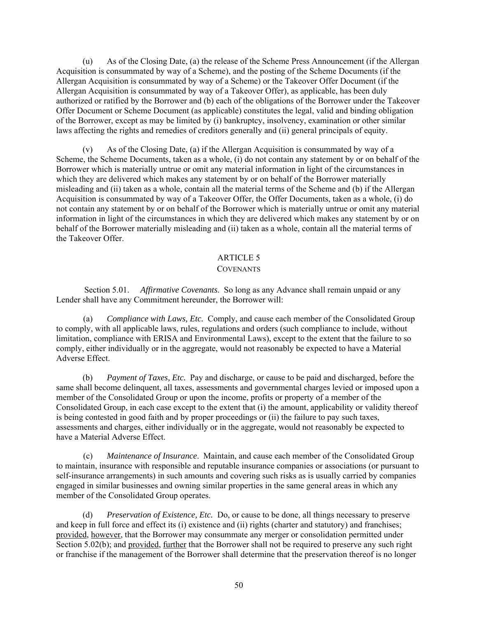(u) As of the Closing Date, (a) the release of the Scheme Press Announcement (if the Allergan Acquisition is consummated by way of a Scheme), and the posting of the Scheme Documents (if the Allergan Acquisition is consummated by way of a Scheme) or the Takeover Offer Document (if the Allergan Acquisition is consummated by way of a Takeover Offer), as applicable, has been duly authorized or ratified by the Borrower and (b) each of the obligations of the Borrower under the Takeover Offer Document or Scheme Document (as applicable) constitutes the legal, valid and binding obligation of the Borrower, except as may be limited by (i) bankruptcy, insolvency, examination or other similar laws affecting the rights and remedies of creditors generally and (ii) general principals of equity.

(v) As of the Closing Date, (a) if the Allergan Acquisition is consummated by way of a Scheme, the Scheme Documents, taken as a whole, (i) do not contain any statement by or on behalf of the Borrower which is materially untrue or omit any material information in light of the circumstances in which they are delivered which makes any statement by or on behalf of the Borrower materially misleading and (ii) taken as a whole, contain all the material terms of the Scheme and (b) if the Allergan Acquisition is consummated by way of a Takeover Offer, the Offer Documents, taken as a whole, (i) do not contain any statement by or on behalf of the Borrower which is materially untrue or omit any material information in light of the circumstances in which they are delivered which makes any statement by or on behalf of the Borrower materially misleading and (ii) taken as a whole, contain all the material terms of the Takeover Offer.

# ARTICLE 5

## **COVENANTS**

Section 5.01. *Affirmative Covenants*. So long as any Advance shall remain unpaid or any Lender shall have any Commitment hereunder, the Borrower will:

(a) *Compliance with Laws, Etc.* Comply, and cause each member of the Consolidated Group to comply, with all applicable laws, rules, regulations and orders (such compliance to include, without limitation, compliance with ERISA and Environmental Laws), except to the extent that the failure to so comply, either individually or in the aggregate, would not reasonably be expected to have a Material Adverse Effect.

(b) *Payment of Taxes, Etc.* Pay and discharge, or cause to be paid and discharged, before the same shall become delinquent, all taxes, assessments and governmental charges levied or imposed upon a member of the Consolidated Group or upon the income, profits or property of a member of the Consolidated Group, in each case except to the extent that (i) the amount, applicability or validity thereof is being contested in good faith and by proper proceedings or (ii) the failure to pay such taxes, assessments and charges, either individually or in the aggregate, would not reasonably be expected to have a Material Adverse Effect.

(c) *Maintenance of Insurance*. Maintain, and cause each member of the Consolidated Group to maintain, insurance with responsible and reputable insurance companies or associations (or pursuant to self-insurance arrangements) in such amounts and covering such risks as is usually carried by companies engaged in similar businesses and owning similar properties in the same general areas in which any member of the Consolidated Group operates.

(d) *Preservation of Existence, Etc.* Do, or cause to be done, all things necessary to preserve and keep in full force and effect its (i) existence and (ii) rights (charter and statutory) and franchises; provided, however, that the Borrower may consummate any merger or consolidation permitted under Section 5.02(b); and provided, further that the Borrower shall not be required to preserve any such right or franchise if the management of the Borrower shall determine that the preservation thereof is no longer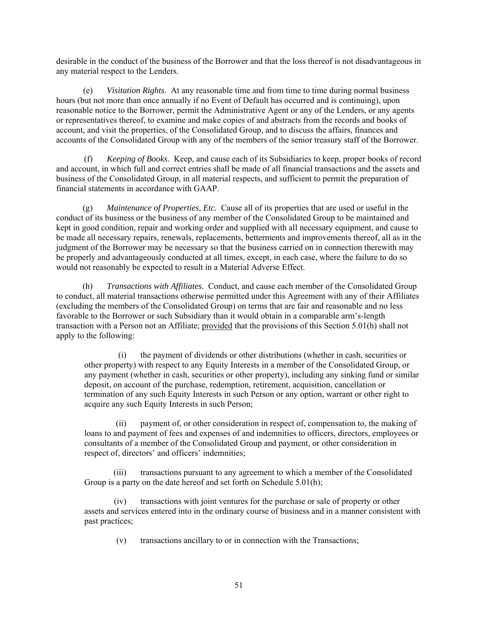desirable in the conduct of the business of the Borrower and that the loss thereof is not disadvantageous in any material respect to the Lenders.

(e) *Visitation Rights*. At any reasonable time and from time to time during normal business hours (but not more than once annually if no Event of Default has occurred and is continuing), upon reasonable notice to the Borrower, permit the Administrative Agent or any of the Lenders, or any agents or representatives thereof, to examine and make copies of and abstracts from the records and books of account, and visit the properties, of the Consolidated Group, and to discuss the affairs, finances and accounts of the Consolidated Group with any of the members of the senior treasury staff of the Borrower.

(f) *Keeping of Books*. Keep, and cause each of its Subsidiaries to keep, proper books of record and account, in which full and correct entries shall be made of all financial transactions and the assets and business of the Consolidated Group, in all material respects, and sufficient to permit the preparation of financial statements in accordance with GAAP.

(g) *Maintenance of Properties, Etc.* Cause all of its properties that are used or useful in the conduct of its business or the business of any member of the Consolidated Group to be maintained and kept in good condition, repair and working order and supplied with all necessary equipment, and cause to be made all necessary repairs, renewals, replacements, betterments and improvements thereof, all as in the judgment of the Borrower may be necessary so that the business carried on in connection therewith may be properly and advantageously conducted at all times, except, in each case, where the failure to do so would not reasonably be expected to result in a Material Adverse Effect.

(h) *Transactions with Affiliates*. Conduct, and cause each member of the Consolidated Group to conduct, all material transactions otherwise permitted under this Agreement with any of their Affiliates (excluding the members of the Consolidated Group) on terms that are fair and reasonable and no less favorable to the Borrower or such Subsidiary than it would obtain in a comparable arm's-length transaction with a Person not an Affiliate; provided that the provisions of this Section 5.01(h) shall not apply to the following:

(i) the payment of dividends or other distributions (whether in cash, securities or other property) with respect to any Equity Interests in a member of the Consolidated Group, or any payment (whether in cash, securities or other property), including any sinking fund or similar deposit, on account of the purchase, redemption, retirement, acquisition, cancellation or termination of any such Equity Interests in such Person or any option, warrant or other right to acquire any such Equity Interests in such Person;

(ii) payment of, or other consideration in respect of, compensation to, the making of loans to and payment of fees and expenses of and indemnities to officers, directors, employees or consultants of a member of the Consolidated Group and payment, or other consideration in respect of, directors' and officers' indemnities;

(iii) transactions pursuant to any agreement to which a member of the Consolidated Group is a party on the date hereof and set forth on Schedule 5.01(h);

(iv) transactions with joint ventures for the purchase or sale of property or other assets and services entered into in the ordinary course of business and in a manner consistent with past practices;

(v) transactions ancillary to or in connection with the Transactions;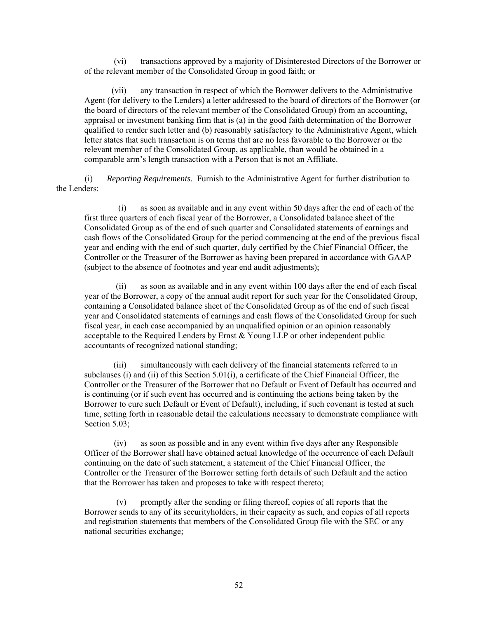(vi) transactions approved by a majority of Disinterested Directors of the Borrower or of the relevant member of the Consolidated Group in good faith; or

(vii) any transaction in respect of which the Borrower delivers to the Administrative Agent (for delivery to the Lenders) a letter addressed to the board of directors of the Borrower (or the board of directors of the relevant member of the Consolidated Group) from an accounting, appraisal or investment banking firm that is (a) in the good faith determination of the Borrower qualified to render such letter and (b) reasonably satisfactory to the Administrative Agent, which letter states that such transaction is on terms that are no less favorable to the Borrower or the relevant member of the Consolidated Group, as applicable, than would be obtained in a comparable arm's length transaction with a Person that is not an Affiliate.

(i) *Reporting Requirements*. Furnish to the Administrative Agent for further distribution to the Lenders:

(i) as soon as available and in any event within 50 days after the end of each of the first three quarters of each fiscal year of the Borrower, a Consolidated balance sheet of the Consolidated Group as of the end of such quarter and Consolidated statements of earnings and cash flows of the Consolidated Group for the period commencing at the end of the previous fiscal year and ending with the end of such quarter, duly certified by the Chief Financial Officer, the Controller or the Treasurer of the Borrower as having been prepared in accordance with GAAP (subject to the absence of footnotes and year end audit adjustments);

(ii) as soon as available and in any event within 100 days after the end of each fiscal year of the Borrower, a copy of the annual audit report for such year for the Consolidated Group, containing a Consolidated balance sheet of the Consolidated Group as of the end of such fiscal year and Consolidated statements of earnings and cash flows of the Consolidated Group for such fiscal year, in each case accompanied by an unqualified opinion or an opinion reasonably acceptable to the Required Lenders by Ernst  $&$  Young LLP or other independent public accountants of recognized national standing;

(iii) simultaneously with each delivery of the financial statements referred to in subclauses (i) and (ii) of this Section 5.01(i), a certificate of the Chief Financial Officer, the Controller or the Treasurer of the Borrower that no Default or Event of Default has occurred and is continuing (or if such event has occurred and is continuing the actions being taken by the Borrower to cure such Default or Event of Default), including, if such covenant is tested at such time, setting forth in reasonable detail the calculations necessary to demonstrate compliance with Section 5.03;

(iv) as soon as possible and in any event within five days after any Responsible Officer of the Borrower shall have obtained actual knowledge of the occurrence of each Default continuing on the date of such statement, a statement of the Chief Financial Officer, the Controller or the Treasurer of the Borrower setting forth details of such Default and the action that the Borrower has taken and proposes to take with respect thereto;

(v) promptly after the sending or filing thereof, copies of all reports that the Borrower sends to any of its securityholders, in their capacity as such, and copies of all reports and registration statements that members of the Consolidated Group file with the SEC or any national securities exchange;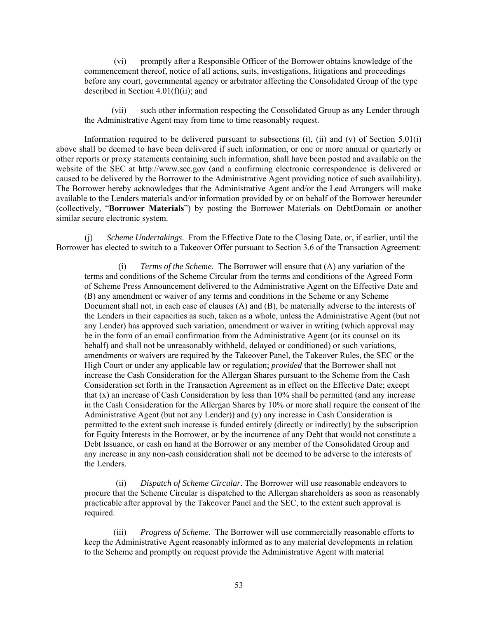(vi) promptly after a Responsible Officer of the Borrower obtains knowledge of the commencement thereof, notice of all actions, suits, investigations, litigations and proceedings before any court, governmental agency or arbitrator affecting the Consolidated Group of the type described in Section  $4.01(f)(ii)$ ; and

(vii) such other information respecting the Consolidated Group as any Lender through the Administrative Agent may from time to time reasonably request.

Information required to be delivered pursuant to subsections (i), (ii) and (v) of Section  $5.01(i)$ above shall be deemed to have been delivered if such information, or one or more annual or quarterly or other reports or proxy statements containing such information, shall have been posted and available on the website of the SEC at http://www.sec.gov (and a confirming electronic correspondence is delivered or caused to be delivered by the Borrower to the Administrative Agent providing notice of such availability). The Borrower hereby acknowledges that the Administrative Agent and/or the Lead Arrangers will make available to the Lenders materials and/or information provided by or on behalf of the Borrower hereunder (collectively, "**Borrower Materials**") by posting the Borrower Materials on DebtDomain or another similar secure electronic system.

(j) *Scheme Undertakings*. From the Effective Date to the Closing Date, or, if earlier, until the Borrower has elected to switch to a Takeover Offer pursuant to Section 3.6 of the Transaction Agreement:

(i) *Terms of the Scheme*. The Borrower will ensure that (A) any variation of the terms and conditions of the Scheme Circular from the terms and conditions of the Agreed Form of Scheme Press Announcement delivered to the Administrative Agent on the Effective Date and (B) any amendment or waiver of any terms and conditions in the Scheme or any Scheme Document shall not, in each case of clauses (A) and (B), be materially adverse to the interests of the Lenders in their capacities as such, taken as a whole, unless the Administrative Agent (but not any Lender) has approved such variation, amendment or waiver in writing (which approval may be in the form of an email confirmation from the Administrative Agent (or its counsel on its behalf) and shall not be unreasonably withheld, delayed or conditioned) or such variations, amendments or waivers are required by the Takeover Panel, the Takeover Rules, the SEC or the High Court or under any applicable law or regulation; *provided* that the Borrower shall not increase the Cash Consideration for the Allergan Shares pursuant to the Scheme from the Cash Consideration set forth in the Transaction Agreement as in effect on the Effective Date; except that (x) an increase of Cash Consideration by less than 10% shall be permitted (and any increase in the Cash Consideration for the Allergan Shares by 10% or more shall require the consent of the Administrative Agent (but not any Lender)) and (y) any increase in Cash Consideration is permitted to the extent such increase is funded entirely (directly or indirectly) by the subscription for Equity Interests in the Borrower, or by the incurrence of any Debt that would not constitute a Debt Issuance, or cash on hand at the Borrower or any member of the Consolidated Group and any increase in any non-cash consideration shall not be deemed to be adverse to the interests of the Lenders.

(ii) *Dispatch of Scheme Circular*. The Borrower will use reasonable endeavors to procure that the Scheme Circular is dispatched to the Allergan shareholders as soon as reasonably practicable after approval by the Takeover Panel and the SEC, to the extent such approval is required.

(iii) *Progress of Scheme*. The Borrower will use commercially reasonable efforts to keep the Administrative Agent reasonably informed as to any material developments in relation to the Scheme and promptly on request provide the Administrative Agent with material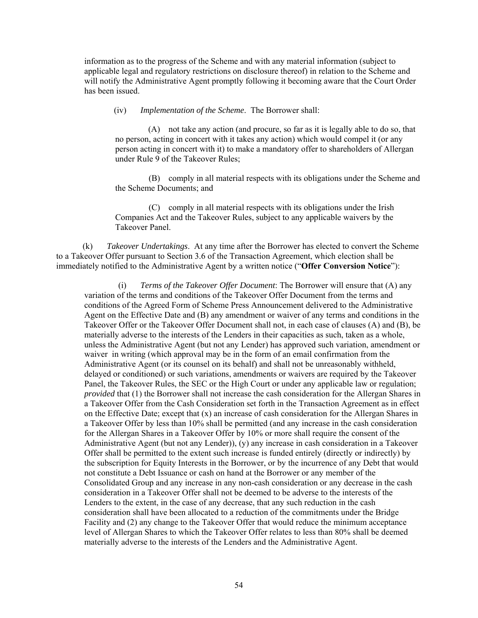information as to the progress of the Scheme and with any material information (subject to applicable legal and regulatory restrictions on disclosure thereof) in relation to the Scheme and will notify the Administrative Agent promptly following it becoming aware that the Court Order has been issued.

#### (iv) *Implementation of the Scheme*. The Borrower shall:

(A) not take any action (and procure, so far as it is legally able to do so, that no person, acting in concert with it takes any action) which would compel it (or any person acting in concert with it) to make a mandatory offer to shareholders of Allergan under Rule 9 of the Takeover Rules;

(B) comply in all material respects with its obligations under the Scheme and the Scheme Documents; and

(C) comply in all material respects with its obligations under the Irish Companies Act and the Takeover Rules, subject to any applicable waivers by the Takeover Panel.

(k) *Takeover Undertakings*. At any time after the Borrower has elected to convert the Scheme to a Takeover Offer pursuant to Section 3.6 of the Transaction Agreement, which election shall be immediately notified to the Administrative Agent by a written notice ("**Offer Conversion Notice**"):

(i) *Terms of the Takeover Offer Document*: The Borrower will ensure that (A) any variation of the terms and conditions of the Takeover Offer Document from the terms and conditions of the Agreed Form of Scheme Press Announcement delivered to the Administrative Agent on the Effective Date and (B) any amendment or waiver of any terms and conditions in the Takeover Offer or the Takeover Offer Document shall not, in each case of clauses (A) and (B), be materially adverse to the interests of the Lenders in their capacities as such, taken as a whole, unless the Administrative Agent (but not any Lender) has approved such variation, amendment or waiver in writing (which approval may be in the form of an email confirmation from the Administrative Agent (or its counsel on its behalf) and shall not be unreasonably withheld, delayed or conditioned) or such variations, amendments or waivers are required by the Takeover Panel, the Takeover Rules, the SEC or the High Court or under any applicable law or regulation; *provided* that (1) the Borrower shall not increase the cash consideration for the Allergan Shares in a Takeover Offer from the Cash Consideration set forth in the Transaction Agreement as in effect on the Effective Date; except that  $(x)$  an increase of cash consideration for the Allergan Shares in a Takeover Offer by less than 10% shall be permitted (and any increase in the cash consideration for the Allergan Shares in a Takeover Offer by 10% or more shall require the consent of the Administrative Agent (but not any Lender)), (y) any increase in cash consideration in a Takeover Offer shall be permitted to the extent such increase is funded entirely (directly or indirectly) by the subscription for Equity Interests in the Borrower, or by the incurrence of any Debt that would not constitute a Debt Issuance or cash on hand at the Borrower or any member of the Consolidated Group and any increase in any non-cash consideration or any decrease in the cash consideration in a Takeover Offer shall not be deemed to be adverse to the interests of the Lenders to the extent, in the case of any decrease, that any such reduction in the cash consideration shall have been allocated to a reduction of the commitments under the Bridge Facility and (2) any change to the Takeover Offer that would reduce the minimum acceptance level of Allergan Shares to which the Takeover Offer relates to less than 80% shall be deemed materially adverse to the interests of the Lenders and the Administrative Agent.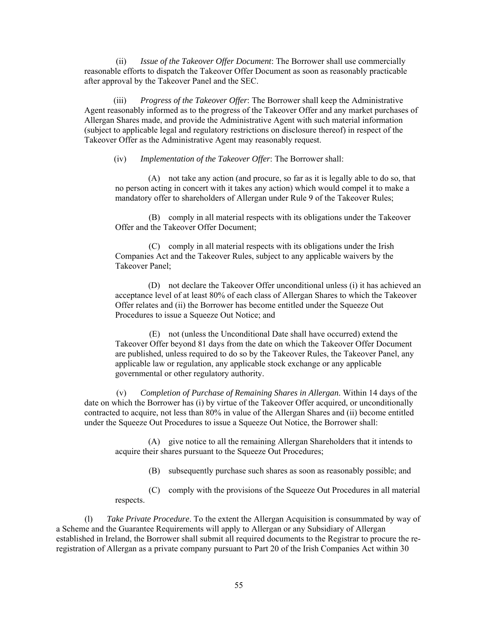(ii) *Issue of the Takeover Offer Document*: The Borrower shall use commercially reasonable efforts to dispatch the Takeover Offer Document as soon as reasonably practicable after approval by the Takeover Panel and the SEC.

(iii) *Progress of the Takeover Offer*: The Borrower shall keep the Administrative Agent reasonably informed as to the progress of the Takeover Offer and any market purchases of Allergan Shares made, and provide the Administrative Agent with such material information (subject to applicable legal and regulatory restrictions on disclosure thereof) in respect of the Takeover Offer as the Administrative Agent may reasonably request.

# (iv) *Implementation of the Takeover Offer*: The Borrower shall:

(A) not take any action (and procure, so far as it is legally able to do so, that no person acting in concert with it takes any action) which would compel it to make a mandatory offer to shareholders of Allergan under Rule 9 of the Takeover Rules;

(B) comply in all material respects with its obligations under the Takeover Offer and the Takeover Offer Document;

(C) comply in all material respects with its obligations under the Irish Companies Act and the Takeover Rules, subject to any applicable waivers by the Takeover Panel;

(D) not declare the Takeover Offer unconditional unless (i) it has achieved an acceptance level of at least 80% of each class of Allergan Shares to which the Takeover Offer relates and (ii) the Borrower has become entitled under the Squeeze Out Procedures to issue a Squeeze Out Notice; and

(E) not (unless the Unconditional Date shall have occurred) extend the Takeover Offer beyond 81 days from the date on which the Takeover Offer Document are published, unless required to do so by the Takeover Rules, the Takeover Panel, any applicable law or regulation, any applicable stock exchange or any applicable governmental or other regulatory authority.

(v) *Completion of Purchase of Remaining Shares in Allergan*. Within 14 days of the date on which the Borrower has (i) by virtue of the Takeover Offer acquired, or unconditionally contracted to acquire, not less than 80% in value of the Allergan Shares and (ii) become entitled under the Squeeze Out Procedures to issue a Squeeze Out Notice, the Borrower shall:

(A) give notice to all the remaining Allergan Shareholders that it intends to acquire their shares pursuant to the Squeeze Out Procedures;

(B) subsequently purchase such shares as soon as reasonably possible; and

(C) comply with the provisions of the Squeeze Out Procedures in all material respects.

(l) *Take Private Procedure*. To the extent the Allergan Acquisition is consummated by way of a Scheme and the Guarantee Requirements will apply to Allergan or any Subsidiary of Allergan established in Ireland, the Borrower shall submit all required documents to the Registrar to procure the reregistration of Allergan as a private company pursuant to Part 20 of the Irish Companies Act within 30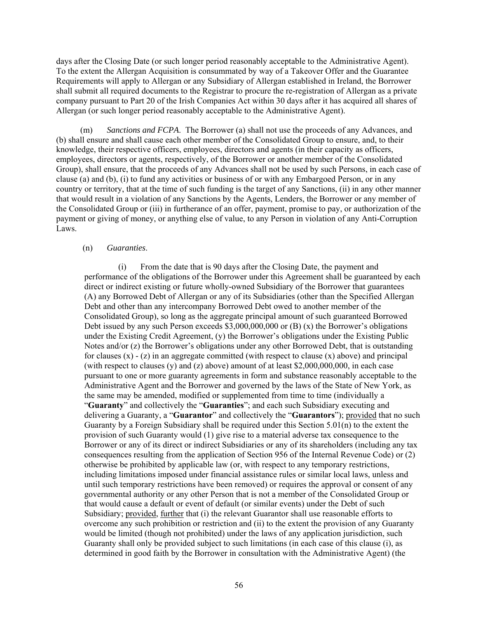days after the Closing Date (or such longer period reasonably acceptable to the Administrative Agent). To the extent the Allergan Acquisition is consummated by way of a Takeover Offer and the Guarantee Requirements will apply to Allergan or any Subsidiary of Allergan established in Ireland, the Borrower shall submit all required documents to the Registrar to procure the re-registration of Allergan as a private company pursuant to Part 20 of the Irish Companies Act within 30 days after it has acquired all shares of Allergan (or such longer period reasonably acceptable to the Administrative Agent).

(m) *Sanctions and FCPA*. The Borrower (a) shall not use the proceeds of any Advances, and (b) shall ensure and shall cause each other member of the Consolidated Group to ensure, and, to their knowledge, their respective officers, employees, directors and agents (in their capacity as officers, employees, directors or agents, respectively, of the Borrower or another member of the Consolidated Group), shall ensure, that the proceeds of any Advances shall not be used by such Persons, in each case of clause (a) and (b), (i) to fund any activities or business of or with any Embargoed Person, or in any country or territory, that at the time of such funding is the target of any Sanctions, (ii) in any other manner that would result in a violation of any Sanctions by the Agents, Lenders, the Borrower or any member of the Consolidated Group or (iii) in furtherance of an offer, payment, promise to pay, or authorization of the payment or giving of money, or anything else of value, to any Person in violation of any Anti-Corruption Laws.

# (n) *Guaranties*.

(i) From the date that is 90 days after the Closing Date, the payment and performance of the obligations of the Borrower under this Agreement shall be guaranteed by each direct or indirect existing or future wholly-owned Subsidiary of the Borrower that guarantees (A) any Borrowed Debt of Allergan or any of its Subsidiaries (other than the Specified Allergan Debt and other than any intercompany Borrowed Debt owed to another member of the Consolidated Group), so long as the aggregate principal amount of such guaranteed Borrowed Debt issued by any such Person exceeds \$3,000,000,000 or (B) (x) the Borrower's obligations under the Existing Credit Agreement, (y) the Borrower's obligations under the Existing Public Notes and/or (z) the Borrower's obligations under any other Borrowed Debt, that is outstanding for clauses  $(x) - (z)$  in an aggregate committed (with respect to clause  $(x)$  above) and principal (with respect to clauses  $(v)$  and  $(z)$  above) amount of at least \$2,000,000,000, in each case pursuant to one or more guaranty agreements in form and substance reasonably acceptable to the Administrative Agent and the Borrower and governed by the laws of the State of New York, as the same may be amended, modified or supplemented from time to time (individually a "**Guaranty**" and collectively the "**Guaranties**"; and each such Subsidiary executing and delivering a Guaranty, a "**Guarantor**" and collectively the "**Guarantors**"); provided that no such Guaranty by a Foreign Subsidiary shall be required under this Section 5.01(n) to the extent the provision of such Guaranty would (1) give rise to a material adverse tax consequence to the Borrower or any of its direct or indirect Subsidiaries or any of its shareholders (including any tax consequences resulting from the application of Section 956 of the Internal Revenue Code) or (2) otherwise be prohibited by applicable law (or, with respect to any temporary restrictions, including limitations imposed under financial assistance rules or similar local laws, unless and until such temporary restrictions have been removed) or requires the approval or consent of any governmental authority or any other Person that is not a member of the Consolidated Group or that would cause a default or event of default (or similar events) under the Debt of such Subsidiary; provided, further that (i) the relevant Guarantor shall use reasonable efforts to overcome any such prohibition or restriction and (ii) to the extent the provision of any Guaranty would be limited (though not prohibited) under the laws of any application jurisdiction, such Guaranty shall only be provided subject to such limitations (in each case of this clause (i), as determined in good faith by the Borrower in consultation with the Administrative Agent) (the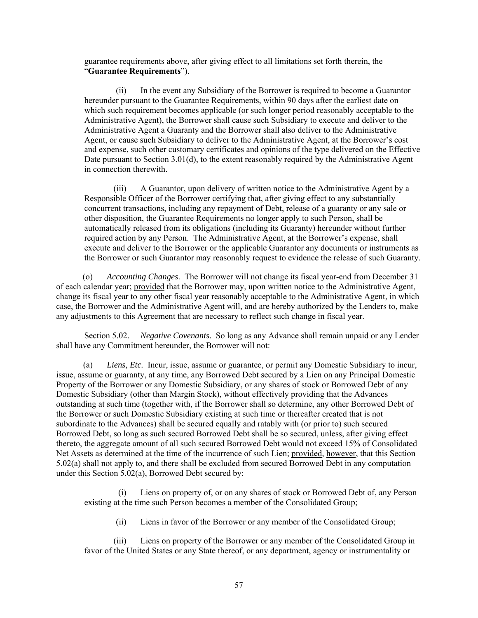guarantee requirements above, after giving effect to all limitations set forth therein, the "**Guarantee Requirements**").

(ii) In the event any Subsidiary of the Borrower is required to become a Guarantor hereunder pursuant to the Guarantee Requirements, within 90 days after the earliest date on which such requirement becomes applicable (or such longer period reasonably acceptable to the Administrative Agent), the Borrower shall cause such Subsidiary to execute and deliver to the Administrative Agent a Guaranty and the Borrower shall also deliver to the Administrative Agent, or cause such Subsidiary to deliver to the Administrative Agent, at the Borrower's cost and expense, such other customary certificates and opinions of the type delivered on the Effective Date pursuant to Section 3.01(d), to the extent reasonably required by the Administrative Agent in connection therewith.

(iii) A Guarantor, upon delivery of written notice to the Administrative Agent by a Responsible Officer of the Borrower certifying that, after giving effect to any substantially concurrent transactions, including any repayment of Debt, release of a guaranty or any sale or other disposition, the Guarantee Requirements no longer apply to such Person, shall be automatically released from its obligations (including its Guaranty) hereunder without further required action by any Person. The Administrative Agent, at the Borrower's expense, shall execute and deliver to the Borrower or the applicable Guarantor any documents or instruments as the Borrower or such Guarantor may reasonably request to evidence the release of such Guaranty.

(o) *Accounting Changes*. The Borrower will not change its fiscal year-end from December 31 of each calendar year; provided that the Borrower may, upon written notice to the Administrative Agent, change its fiscal year to any other fiscal year reasonably acceptable to the Administrative Agent, in which case, the Borrower and the Administrative Agent will, and are hereby authorized by the Lenders to, make any adjustments to this Agreement that are necessary to reflect such change in fiscal year.

Section 5.02. *Negative Covenants*. So long as any Advance shall remain unpaid or any Lender shall have any Commitment hereunder, the Borrower will not:

(a) *Liens, Etc.* Incur, issue, assume or guarantee, or permit any Domestic Subsidiary to incur, issue, assume or guaranty, at any time, any Borrowed Debt secured by a Lien on any Principal Domestic Property of the Borrower or any Domestic Subsidiary, or any shares of stock or Borrowed Debt of any Domestic Subsidiary (other than Margin Stock), without effectively providing that the Advances outstanding at such time (together with, if the Borrower shall so determine, any other Borrowed Debt of the Borrower or such Domestic Subsidiary existing at such time or thereafter created that is not subordinate to the Advances) shall be secured equally and ratably with (or prior to) such secured Borrowed Debt, so long as such secured Borrowed Debt shall be so secured, unless, after giving effect thereto, the aggregate amount of all such secured Borrowed Debt would not exceed 15% of Consolidated Net Assets as determined at the time of the incurrence of such Lien; provided, however, that this Section 5.02(a) shall not apply to, and there shall be excluded from secured Borrowed Debt in any computation under this Section 5.02(a), Borrowed Debt secured by:

(i) Liens on property of, or on any shares of stock or Borrowed Debt of, any Person existing at the time such Person becomes a member of the Consolidated Group;

(ii) Liens in favor of the Borrower or any member of the Consolidated Group;

(iii) Liens on property of the Borrower or any member of the Consolidated Group in favor of the United States or any State thereof, or any department, agency or instrumentality or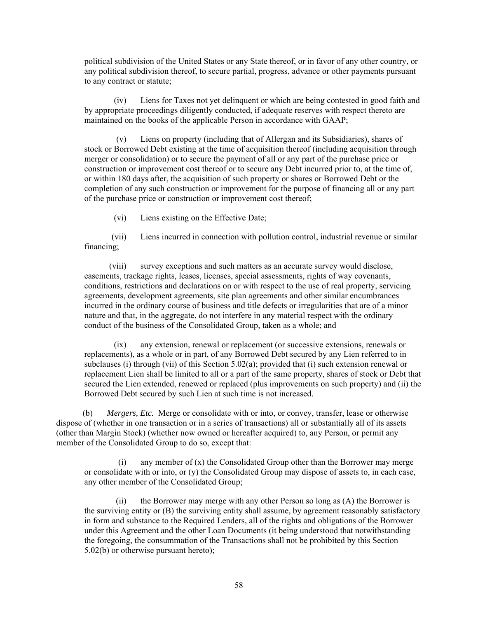political subdivision of the United States or any State thereof, or in favor of any other country, or any political subdivision thereof, to secure partial, progress, advance or other payments pursuant to any contract or statute;

(iv) Liens for Taxes not yet delinquent or which are being contested in good faith and by appropriate proceedings diligently conducted, if adequate reserves with respect thereto are maintained on the books of the applicable Person in accordance with GAAP;

(v) Liens on property (including that of Allergan and its Subsidiaries), shares of stock or Borrowed Debt existing at the time of acquisition thereof (including acquisition through merger or consolidation) or to secure the payment of all or any part of the purchase price or construction or improvement cost thereof or to secure any Debt incurred prior to, at the time of, or within 180 days after, the acquisition of such property or shares or Borrowed Debt or the completion of any such construction or improvement for the purpose of financing all or any part of the purchase price or construction or improvement cost thereof;

(vi) Liens existing on the Effective Date;

(vii) Liens incurred in connection with pollution control, industrial revenue or similar financing;

(viii) survey exceptions and such matters as an accurate survey would disclose, easements, trackage rights, leases, licenses, special assessments, rights of way covenants, conditions, restrictions and declarations on or with respect to the use of real property, servicing agreements, development agreements, site plan agreements and other similar encumbrances incurred in the ordinary course of business and title defects or irregularities that are of a minor nature and that, in the aggregate, do not interfere in any material respect with the ordinary conduct of the business of the Consolidated Group, taken as a whole; and

(ix) any extension, renewal or replacement (or successive extensions, renewals or replacements), as a whole or in part, of any Borrowed Debt secured by any Lien referred to in subclauses (i) through (vii) of this Section 5.02(a); provided that (i) such extension renewal or replacement Lien shall be limited to all or a part of the same property, shares of stock or Debt that secured the Lien extended, renewed or replaced (plus improvements on such property) and (ii) the Borrowed Debt secured by such Lien at such time is not increased.

(b) *Mergers, Etc.* Merge or consolidate with or into, or convey, transfer, lease or otherwise dispose of (whether in one transaction or in a series of transactions) all or substantially all of its assets (other than Margin Stock) (whether now owned or hereafter acquired) to, any Person, or permit any member of the Consolidated Group to do so, except that:

(i) any member of  $(x)$  the Consolidated Group other than the Borrower may merge or consolidate with or into, or (y) the Consolidated Group may dispose of assets to, in each case, any other member of the Consolidated Group;

(ii) the Borrower may merge with any other Person so long as (A) the Borrower is the surviving entity or (B) the surviving entity shall assume, by agreement reasonably satisfactory in form and substance to the Required Lenders, all of the rights and obligations of the Borrower under this Agreement and the other Loan Documents (it being understood that notwithstanding the foregoing, the consummation of the Transactions shall not be prohibited by this Section 5.02(b) or otherwise pursuant hereto);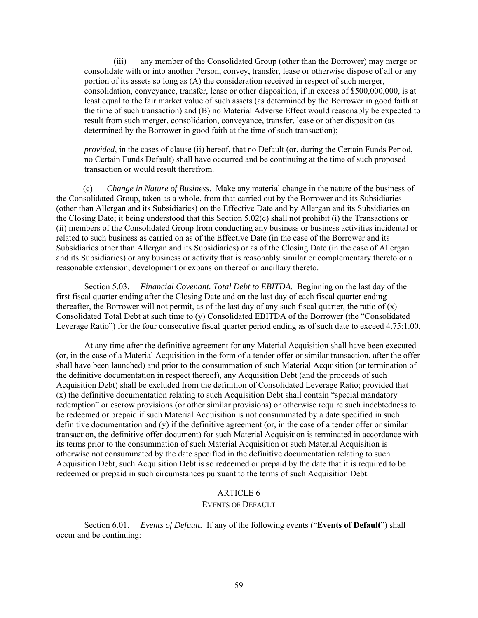(iii) any member of the Consolidated Group (other than the Borrower) may merge or consolidate with or into another Person, convey, transfer, lease or otherwise dispose of all or any portion of its assets so long as (A) the consideration received in respect of such merger, consolidation, conveyance, transfer, lease or other disposition, if in excess of \$500,000,000, is at least equal to the fair market value of such assets (as determined by the Borrower in good faith at the time of such transaction) and (B) no Material Adverse Effect would reasonably be expected to result from such merger, consolidation, conveyance, transfer, lease or other disposition (as determined by the Borrower in good faith at the time of such transaction);

*provided*, in the cases of clause (ii) hereof, that no Default (or, during the Certain Funds Period, no Certain Funds Default) shall have occurred and be continuing at the time of such proposed transaction or would result therefrom.

(c) *Change in Nature of Business*. Make any material change in the nature of the business of the Consolidated Group, taken as a whole, from that carried out by the Borrower and its Subsidiaries (other than Allergan and its Subsidiaries) on the Effective Date and by Allergan and its Subsidiaries on the Closing Date; it being understood that this Section 5.02(c) shall not prohibit (i) the Transactions or (ii) members of the Consolidated Group from conducting any business or business activities incidental or related to such business as carried on as of the Effective Date (in the case of the Borrower and its Subsidiaries other than Allergan and its Subsidiaries) or as of the Closing Date (in the case of Allergan and its Subsidiaries) or any business or activity that is reasonably similar or complementary thereto or a reasonable extension, development or expansion thereof or ancillary thereto.

Section 5.03. *Financial Covenant. Total Debt to EBITDA*. Beginning on the last day of the first fiscal quarter ending after the Closing Date and on the last day of each fiscal quarter ending thereafter, the Borrower will not permit, as of the last day of any such fiscal quarter, the ratio of  $(x)$ Consolidated Total Debt at such time to (y) Consolidated EBITDA of the Borrower (the "Consolidated Leverage Ratio") for the four consecutive fiscal quarter period ending as of such date to exceed 4.75:1.00.

At any time after the definitive agreement for any Material Acquisition shall have been executed (or, in the case of a Material Acquisition in the form of a tender offer or similar transaction, after the offer shall have been launched) and prior to the consummation of such Material Acquisition (or termination of the definitive documentation in respect thereof), any Acquisition Debt (and the proceeds of such Acquisition Debt) shall be excluded from the definition of Consolidated Leverage Ratio; provided that (x) the definitive documentation relating to such Acquisition Debt shall contain "special mandatory redemption" or escrow provisions (or other similar provisions) or otherwise require such indebtedness to be redeemed or prepaid if such Material Acquisition is not consummated by a date specified in such definitive documentation and (y) if the definitive agreement (or, in the case of a tender offer or similar transaction, the definitive offer document) for such Material Acquisition is terminated in accordance with its terms prior to the consummation of such Material Acquisition or such Material Acquisition is otherwise not consummated by the date specified in the definitive documentation relating to such Acquisition Debt, such Acquisition Debt is so redeemed or prepaid by the date that it is required to be redeemed or prepaid in such circumstances pursuant to the terms of such Acquisition Debt.

#### ARTICLE 6

#### EVENTS OF DEFAULT

Section 6.01. *Events of Default.* If any of the following events ("**Events of Default**") shall occur and be continuing: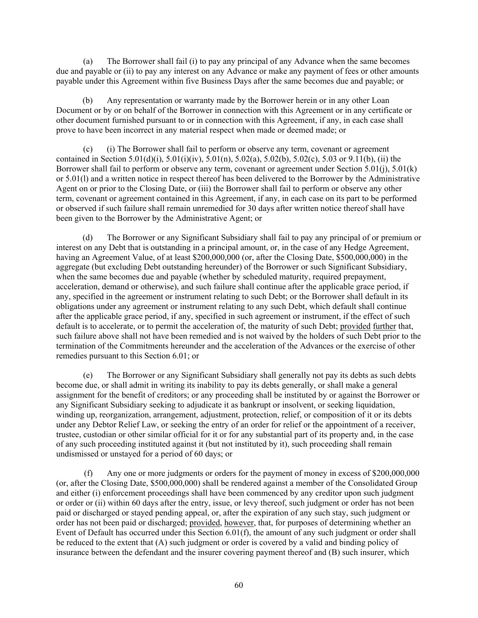(a) The Borrower shall fail (i) to pay any principal of any Advance when the same becomes due and payable or (ii) to pay any interest on any Advance or make any payment of fees or other amounts payable under this Agreement within five Business Days after the same becomes due and payable; or

(b) Any representation or warranty made by the Borrower herein or in any other Loan Document or by or on behalf of the Borrower in connection with this Agreement or in any certificate or other document furnished pursuant to or in connection with this Agreement, if any, in each case shall prove to have been incorrect in any material respect when made or deemed made; or

(c) (i) The Borrower shall fail to perform or observe any term, covenant or agreement contained in Section 5.01(d)(i), 5.01(i)(iv), 5.01(n), 5.02(a), 5.02(b), 5.02(c), 5.03 or 9.11(b), (ii) the Borrower shall fail to perform or observe any term, covenant or agreement under Section 5.01(j), 5.01(k) or 5.01(l) and a written notice in respect thereof has been delivered to the Borrower by the Administrative Agent on or prior to the Closing Date, or (iii) the Borrower shall fail to perform or observe any other term, covenant or agreement contained in this Agreement, if any, in each case on its part to be performed or observed if such failure shall remain unremedied for 30 days after written notice thereof shall have been given to the Borrower by the Administrative Agent; or

(d) The Borrower or any Significant Subsidiary shall fail to pay any principal of or premium or interest on any Debt that is outstanding in a principal amount, or, in the case of any Hedge Agreement, having an Agreement Value, of at least \$200,000,000 (or, after the Closing Date, \$500,000,000) in the aggregate (but excluding Debt outstanding hereunder) of the Borrower or such Significant Subsidiary, when the same becomes due and payable (whether by scheduled maturity, required prepayment, acceleration, demand or otherwise), and such failure shall continue after the applicable grace period, if any, specified in the agreement or instrument relating to such Debt; or the Borrower shall default in its obligations under any agreement or instrument relating to any such Debt, which default shall continue after the applicable grace period, if any, specified in such agreement or instrument, if the effect of such default is to accelerate, or to permit the acceleration of, the maturity of such Debt; provided further that, such failure above shall not have been remedied and is not waived by the holders of such Debt prior to the termination of the Commitments hereunder and the acceleration of the Advances or the exercise of other remedies pursuant to this Section 6.01; or

(e) The Borrower or any Significant Subsidiary shall generally not pay its debts as such debts become due, or shall admit in writing its inability to pay its debts generally, or shall make a general assignment for the benefit of creditors; or any proceeding shall be instituted by or against the Borrower or any Significant Subsidiary seeking to adjudicate it as bankrupt or insolvent, or seeking liquidation, winding up, reorganization, arrangement, adjustment, protection, relief, or composition of it or its debts under any Debtor Relief Law, or seeking the entry of an order for relief or the appointment of a receiver, trustee, custodian or other similar official for it or for any substantial part of its property and, in the case of any such proceeding instituted against it (but not instituted by it), such proceeding shall remain undismissed or unstayed for a period of 60 days; or

Any one or more judgments or orders for the payment of money in excess of \$200,000,000 (or, after the Closing Date, \$500,000,000) shall be rendered against a member of the Consolidated Group and either (i) enforcement proceedings shall have been commenced by any creditor upon such judgment or order or (ii) within 60 days after the entry, issue, or levy thereof, such judgment or order has not been paid or discharged or stayed pending appeal, or, after the expiration of any such stay, such judgment or order has not been paid or discharged; provided, however, that, for purposes of determining whether an Event of Default has occurred under this Section 6.01(f), the amount of any such judgment or order shall be reduced to the extent that (A) such judgment or order is covered by a valid and binding policy of insurance between the defendant and the insurer covering payment thereof and (B) such insurer, which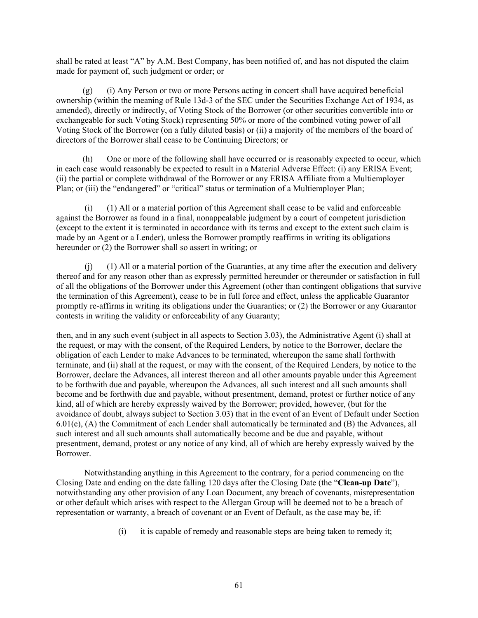shall be rated at least "A" by A.M. Best Company, has been notified of, and has not disputed the claim made for payment of, such judgment or order; or

(g) (i) Any Person or two or more Persons acting in concert shall have acquired beneficial ownership (within the meaning of Rule 13d-3 of the SEC under the Securities Exchange Act of 1934, as amended), directly or indirectly, of Voting Stock of the Borrower (or other securities convertible into or exchangeable for such Voting Stock) representing 50% or more of the combined voting power of all Voting Stock of the Borrower (on a fully diluted basis) or (ii) a majority of the members of the board of directors of the Borrower shall cease to be Continuing Directors; or

(h) One or more of the following shall have occurred or is reasonably expected to occur, which in each case would reasonably be expected to result in a Material Adverse Effect: (i) any ERISA Event; (ii) the partial or complete withdrawal of the Borrower or any ERISA Affiliate from a Multiemployer Plan; or (iii) the "endangered" or "critical" status or termination of a Multiemployer Plan;

(i) (1) All or a material portion of this Agreement shall cease to be valid and enforceable against the Borrower as found in a final, nonappealable judgment by a court of competent jurisdiction (except to the extent it is terminated in accordance with its terms and except to the extent such claim is made by an Agent or a Lender), unless the Borrower promptly reaffirms in writing its obligations hereunder or (2) the Borrower shall so assert in writing; or

(j) (1) All or a material portion of the Guaranties, at any time after the execution and delivery thereof and for any reason other than as expressly permitted hereunder or thereunder or satisfaction in full of all the obligations of the Borrower under this Agreement (other than contingent obligations that survive the termination of this Agreement), cease to be in full force and effect, unless the applicable Guarantor promptly re-affirms in writing its obligations under the Guaranties; or (2) the Borrower or any Guarantor contests in writing the validity or enforceability of any Guaranty;

then, and in any such event (subject in all aspects to Section 3.03), the Administrative Agent (i) shall at the request, or may with the consent, of the Required Lenders, by notice to the Borrower, declare the obligation of each Lender to make Advances to be terminated, whereupon the same shall forthwith terminate, and (ii) shall at the request, or may with the consent, of the Required Lenders, by notice to the Borrower, declare the Advances, all interest thereon and all other amounts payable under this Agreement to be forthwith due and payable, whereupon the Advances, all such interest and all such amounts shall become and be forthwith due and payable, without presentment, demand, protest or further notice of any kind, all of which are hereby expressly waived by the Borrower; provided, however, (but for the avoidance of doubt, always subject to Section 3.03) that in the event of an Event of Default under Section 6.01(e), (A) the Commitment of each Lender shall automatically be terminated and (B) the Advances, all such interest and all such amounts shall automatically become and be due and payable, without presentment, demand, protest or any notice of any kind, all of which are hereby expressly waived by the Borrower.

Notwithstanding anything in this Agreement to the contrary, for a period commencing on the Closing Date and ending on the date falling 120 days after the Closing Date (the "**Clean-up Date**"), notwithstanding any other provision of any Loan Document, any breach of covenants, misrepresentation or other default which arises with respect to the Allergan Group will be deemed not to be a breach of representation or warranty, a breach of covenant or an Event of Default, as the case may be, if:

(i) it is capable of remedy and reasonable steps are being taken to remedy it;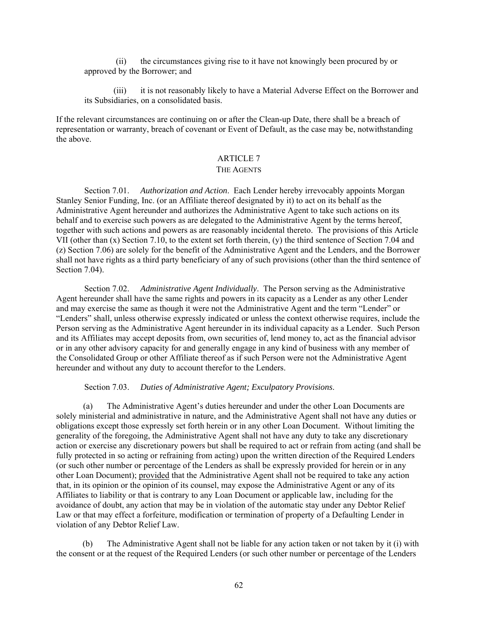(ii) the circumstances giving rise to it have not knowingly been procured by or approved by the Borrower; and

(iii) it is not reasonably likely to have a Material Adverse Effect on the Borrower and its Subsidiaries, on a consolidated basis.

If the relevant circumstances are continuing on or after the Clean-up Date, there shall be a breach of representation or warranty, breach of covenant or Event of Default, as the case may be, notwithstanding the above.

# ARTICLE 7

## THE AGENTS

Section 7.01. *Authorization and Action*. Each Lender hereby irrevocably appoints Morgan Stanley Senior Funding, Inc. (or an Affiliate thereof designated by it) to act on its behalf as the Administrative Agent hereunder and authorizes the Administrative Agent to take such actions on its behalf and to exercise such powers as are delegated to the Administrative Agent by the terms hereof, together with such actions and powers as are reasonably incidental thereto. The provisions of this Article VII (other than (x) Section 7.10, to the extent set forth therein, (y) the third sentence of Section 7.04 and (z) Section 7.06) are solely for the benefit of the Administrative Agent and the Lenders, and the Borrower shall not have rights as a third party beneficiary of any of such provisions (other than the third sentence of Section 7.04).

Section 7.02. *Administrative Agent Individually*. The Person serving as the Administrative Agent hereunder shall have the same rights and powers in its capacity as a Lender as any other Lender and may exercise the same as though it were not the Administrative Agent and the term "Lender" or "Lenders" shall, unless otherwise expressly indicated or unless the context otherwise requires, include the Person serving as the Administrative Agent hereunder in its individual capacity as a Lender. Such Person and its Affiliates may accept deposits from, own securities of, lend money to, act as the financial advisor or in any other advisory capacity for and generally engage in any kind of business with any member of the Consolidated Group or other Affiliate thereof as if such Person were not the Administrative Agent hereunder and without any duty to account therefor to the Lenders.

Section 7.03. *Duties of Administrative Agent; Exculpatory Provisions*.

(a) The Administrative Agent's duties hereunder and under the other Loan Documents are solely ministerial and administrative in nature, and the Administrative Agent shall not have any duties or obligations except those expressly set forth herein or in any other Loan Document. Without limiting the generality of the foregoing, the Administrative Agent shall not have any duty to take any discretionary action or exercise any discretionary powers but shall be required to act or refrain from acting (and shall be fully protected in so acting or refraining from acting) upon the written direction of the Required Lenders (or such other number or percentage of the Lenders as shall be expressly provided for herein or in any other Loan Document); provided that the Administrative Agent shall not be required to take any action that, in its opinion or the opinion of its counsel, may expose the Administrative Agent or any of its Affiliates to liability or that is contrary to any Loan Document or applicable law, including for the avoidance of doubt, any action that may be in violation of the automatic stay under any Debtor Relief Law or that may effect a forfeiture, modification or termination of property of a Defaulting Lender in violation of any Debtor Relief Law.

(b) The Administrative Agent shall not be liable for any action taken or not taken by it (i) with the consent or at the request of the Required Lenders (or such other number or percentage of the Lenders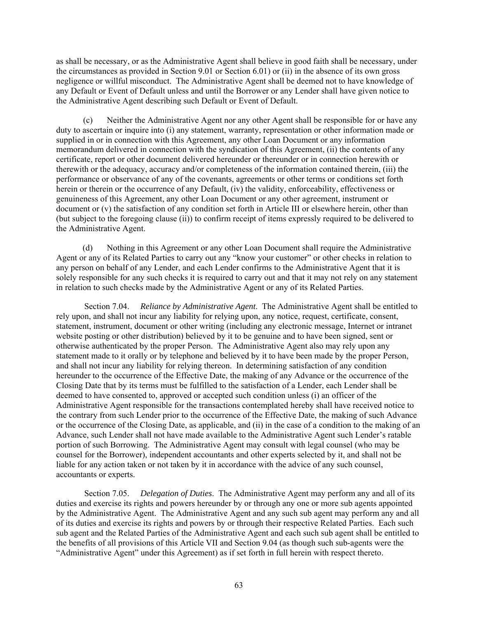as shall be necessary, or as the Administrative Agent shall believe in good faith shall be necessary, under the circumstances as provided in Section 9.01 or Section 6.01) or (ii) in the absence of its own gross negligence or willful misconduct. The Administrative Agent shall be deemed not to have knowledge of any Default or Event of Default unless and until the Borrower or any Lender shall have given notice to the Administrative Agent describing such Default or Event of Default.

(c) Neither the Administrative Agent nor any other Agent shall be responsible for or have any duty to ascertain or inquire into (i) any statement, warranty, representation or other information made or supplied in or in connection with this Agreement, any other Loan Document or any information memorandum delivered in connection with the syndication of this Agreement, (ii) the contents of any certificate, report or other document delivered hereunder or thereunder or in connection herewith or therewith or the adequacy, accuracy and/or completeness of the information contained therein, (iii) the performance or observance of any of the covenants, agreements or other terms or conditions set forth herein or therein or the occurrence of any Default, (iv) the validity, enforceability, effectiveness or genuineness of this Agreement, any other Loan Document or any other agreement, instrument or document or (v) the satisfaction of any condition set forth in Article III or elsewhere herein, other than (but subject to the foregoing clause (ii)) to confirm receipt of items expressly required to be delivered to the Administrative Agent.

(d) Nothing in this Agreement or any other Loan Document shall require the Administrative Agent or any of its Related Parties to carry out any "know your customer" or other checks in relation to any person on behalf of any Lender, and each Lender confirms to the Administrative Agent that it is solely responsible for any such checks it is required to carry out and that it may not rely on any statement in relation to such checks made by the Administrative Agent or any of its Related Parties.

Section 7.04. *Reliance by Administrative Agent*. The Administrative Agent shall be entitled to rely upon, and shall not incur any liability for relying upon, any notice, request, certificate, consent, statement, instrument, document or other writing (including any electronic message, Internet or intranet website posting or other distribution) believed by it to be genuine and to have been signed, sent or otherwise authenticated by the proper Person. The Administrative Agent also may rely upon any statement made to it orally or by telephone and believed by it to have been made by the proper Person, and shall not incur any liability for relying thereon. In determining satisfaction of any condition hereunder to the occurrence of the Effective Date, the making of any Advance or the occurrence of the Closing Date that by its terms must be fulfilled to the satisfaction of a Lender, each Lender shall be deemed to have consented to, approved or accepted such condition unless (i) an officer of the Administrative Agent responsible for the transactions contemplated hereby shall have received notice to the contrary from such Lender prior to the occurrence of the Effective Date, the making of such Advance or the occurrence of the Closing Date, as applicable, and (ii) in the case of a condition to the making of an Advance, such Lender shall not have made available to the Administrative Agent such Lender's ratable portion of such Borrowing. The Administrative Agent may consult with legal counsel (who may be counsel for the Borrower), independent accountants and other experts selected by it, and shall not be liable for any action taken or not taken by it in accordance with the advice of any such counsel, accountants or experts.

Section 7.05. *Delegation of Duties*. The Administrative Agent may perform any and all of its duties and exercise its rights and powers hereunder by or through any one or more sub agents appointed by the Administrative Agent. The Administrative Agent and any such sub agent may perform any and all of its duties and exercise its rights and powers by or through their respective Related Parties. Each such sub agent and the Related Parties of the Administrative Agent and each such sub agent shall be entitled to the benefits of all provisions of this Article VII and Section 9.04 (as though such sub-agents were the "Administrative Agent" under this Agreement) as if set forth in full herein with respect thereto.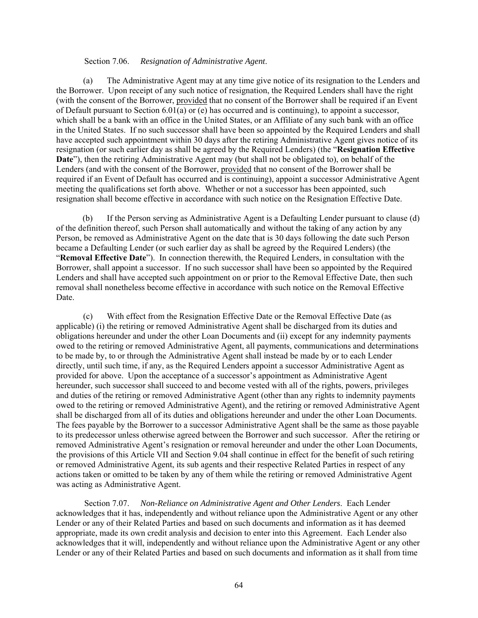#### Section 7.06. *Resignation of Administrative Agent*.

(a) The Administrative Agent may at any time give notice of its resignation to the Lenders and the Borrower. Upon receipt of any such notice of resignation, the Required Lenders shall have the right (with the consent of the Borrower, provided that no consent of the Borrower shall be required if an Event of Default pursuant to Section  $6.01(a)$  or (e) has occurred and is continuing), to appoint a successor, which shall be a bank with an office in the United States, or an Affiliate of any such bank with an office in the United States. If no such successor shall have been so appointed by the Required Lenders and shall have accepted such appointment within 30 days after the retiring Administrative Agent gives notice of its resignation (or such earlier day as shall be agreed by the Required Lenders) (the "**Resignation Effective Date**"), then the retiring Administrative Agent may (but shall not be obligated to), on behalf of the Lenders (and with the consent of the Borrower, provided that no consent of the Borrower shall be required if an Event of Default has occurred and is continuing), appoint a successor Administrative Agent meeting the qualifications set forth above. Whether or not a successor has been appointed, such resignation shall become effective in accordance with such notice on the Resignation Effective Date.

(b) If the Person serving as Administrative Agent is a Defaulting Lender pursuant to clause (d) of the definition thereof, such Person shall automatically and without the taking of any action by any Person, be removed as Administrative Agent on the date that is 30 days following the date such Person became a Defaulting Lender (or such earlier day as shall be agreed by the Required Lenders) (the "**Removal Effective Date**"). In connection therewith, the Required Lenders, in consultation with the Borrower, shall appoint a successor. If no such successor shall have been so appointed by the Required Lenders and shall have accepted such appointment on or prior to the Removal Effective Date, then such removal shall nonetheless become effective in accordance with such notice on the Removal Effective Date.

(c) With effect from the Resignation Effective Date or the Removal Effective Date (as applicable) (i) the retiring or removed Administrative Agent shall be discharged from its duties and obligations hereunder and under the other Loan Documents and (ii) except for any indemnity payments owed to the retiring or removed Administrative Agent, all payments, communications and determinations to be made by, to or through the Administrative Agent shall instead be made by or to each Lender directly, until such time, if any, as the Required Lenders appoint a successor Administrative Agent as provided for above. Upon the acceptance of a successor's appointment as Administrative Agent hereunder, such successor shall succeed to and become vested with all of the rights, powers, privileges and duties of the retiring or removed Administrative Agent (other than any rights to indemnity payments owed to the retiring or removed Administrative Agent), and the retiring or removed Administrative Agent shall be discharged from all of its duties and obligations hereunder and under the other Loan Documents. The fees payable by the Borrower to a successor Administrative Agent shall be the same as those payable to its predecessor unless otherwise agreed between the Borrower and such successor. After the retiring or removed Administrative Agent's resignation or removal hereunder and under the other Loan Documents, the provisions of this Article VII and Section 9.04 shall continue in effect for the benefit of such retiring or removed Administrative Agent, its sub agents and their respective Related Parties in respect of any actions taken or omitted to be taken by any of them while the retiring or removed Administrative Agent was acting as Administrative Agent.

Section 7.07. *Non-Reliance on Administrative Agent and Other Lenders*. Each Lender acknowledges that it has, independently and without reliance upon the Administrative Agent or any other Lender or any of their Related Parties and based on such documents and information as it has deemed appropriate, made its own credit analysis and decision to enter into this Agreement. Each Lender also acknowledges that it will, independently and without reliance upon the Administrative Agent or any other Lender or any of their Related Parties and based on such documents and information as it shall from time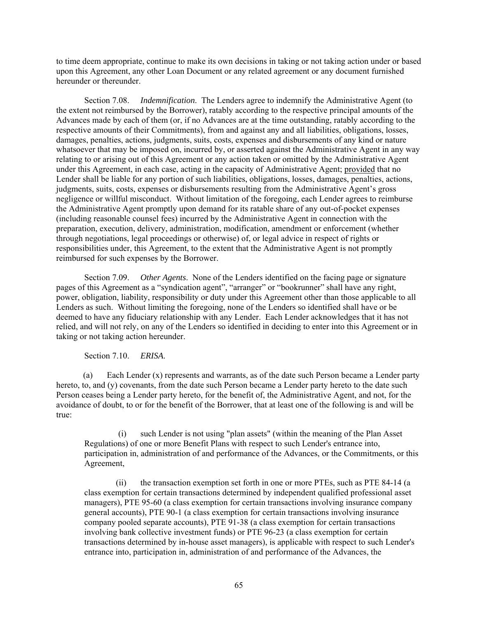to time deem appropriate, continue to make its own decisions in taking or not taking action under or based upon this Agreement, any other Loan Document or any related agreement or any document furnished hereunder or thereunder.

Section 7.08. *Indemnification*. The Lenders agree to indemnify the Administrative Agent (to the extent not reimbursed by the Borrower), ratably according to the respective principal amounts of the Advances made by each of them (or, if no Advances are at the time outstanding, ratably according to the respective amounts of their Commitments), from and against any and all liabilities, obligations, losses, damages, penalties, actions, judgments, suits, costs, expenses and disbursements of any kind or nature whatsoever that may be imposed on, incurred by, or asserted against the Administrative Agent in any way relating to or arising out of this Agreement or any action taken or omitted by the Administrative Agent under this Agreement, in each case, acting in the capacity of Administrative Agent; provided that no Lender shall be liable for any portion of such liabilities, obligations, losses, damages, penalties, actions, judgments, suits, costs, expenses or disbursements resulting from the Administrative Agent's gross negligence or willful misconduct. Without limitation of the foregoing, each Lender agrees to reimburse the Administrative Agent promptly upon demand for its ratable share of any out-of-pocket expenses (including reasonable counsel fees) incurred by the Administrative Agent in connection with the preparation, execution, delivery, administration, modification, amendment or enforcement (whether through negotiations, legal proceedings or otherwise) of, or legal advice in respect of rights or responsibilities under, this Agreement, to the extent that the Administrative Agent is not promptly reimbursed for such expenses by the Borrower.

Section 7.09. *Other Agents*. None of the Lenders identified on the facing page or signature pages of this Agreement as a "syndication agent", "arranger" or "bookrunner" shall have any right, power, obligation, liability, responsibility or duty under this Agreement other than those applicable to all Lenders as such. Without limiting the foregoing, none of the Lenders so identified shall have or be deemed to have any fiduciary relationship with any Lender. Each Lender acknowledges that it has not relied, and will not rely, on any of the Lenders so identified in deciding to enter into this Agreement or in taking or not taking action hereunder.

Section 7.10. *ERISA*.

(a) Each Lender (x) represents and warrants, as of the date such Person became a Lender party hereto, to, and (y) covenants, from the date such Person became a Lender party hereto to the date such Person ceases being a Lender party hereto, for the benefit of, the Administrative Agent, and not, for the avoidance of doubt, to or for the benefit of the Borrower, that at least one of the following is and will be true:

(i) such Lender is not using "plan assets" (within the meaning of the Plan Asset Regulations) of one or more Benefit Plans with respect to such Lender's entrance into, participation in, administration of and performance of the Advances, or the Commitments, or this Agreement,

(ii) the transaction exemption set forth in one or more PTEs, such as PTE 84-14 (a class exemption for certain transactions determined by independent qualified professional asset managers), PTE 95-60 (a class exemption for certain transactions involving insurance company general accounts), PTE 90-1 (a class exemption for certain transactions involving insurance company pooled separate accounts), PTE 91-38 (a class exemption for certain transactions involving bank collective investment funds) or PTE 96-23 (a class exemption for certain transactions determined by in-house asset managers), is applicable with respect to such Lender's entrance into, participation in, administration of and performance of the Advances, the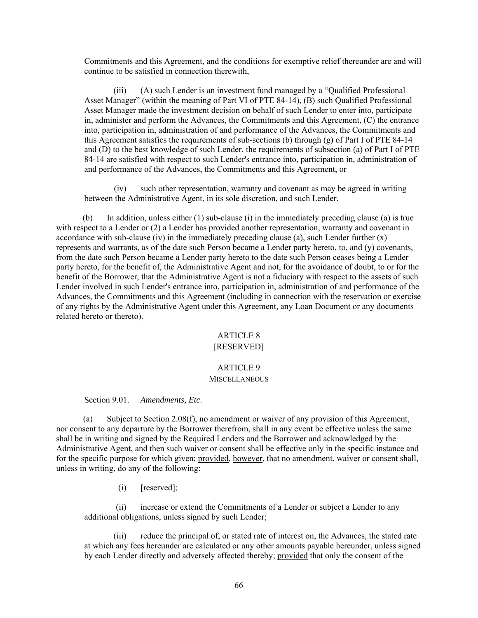Commitments and this Agreement, and the conditions for exemptive relief thereunder are and will continue to be satisfied in connection therewith,

(iii) (A) such Lender is an investment fund managed by a "Qualified Professional Asset Manager" (within the meaning of Part VI of PTE 84-14), (B) such Qualified Professional Asset Manager made the investment decision on behalf of such Lender to enter into, participate in, administer and perform the Advances, the Commitments and this Agreement, (C) the entrance into, participation in, administration of and performance of the Advances, the Commitments and this Agreement satisfies the requirements of sub-sections (b) through (g) of Part I of PTE 84-14 and (D) to the best knowledge of such Lender, the requirements of subsection (a) of Part I of PTE 84-14 are satisfied with respect to such Lender's entrance into, participation in, administration of and performance of the Advances, the Commitments and this Agreement, or

(iv) such other representation, warranty and covenant as may be agreed in writing between the Administrative Agent, in its sole discretion, and such Lender.

(b) In addition, unless either (1) sub-clause (i) in the immediately preceding clause (a) is true with respect to a Lender or (2) a Lender has provided another representation, warranty and covenant in accordance with sub-clause (iv) in the immediately preceding clause (a), such Lender further  $(x)$ represents and warrants, as of the date such Person became a Lender party hereto, to, and (y) covenants, from the date such Person became a Lender party hereto to the date such Person ceases being a Lender party hereto, for the benefit of, the Administrative Agent and not, for the avoidance of doubt, to or for the benefit of the Borrower, that the Administrative Agent is not a fiduciary with respect to the assets of such Lender involved in such Lender's entrance into, participation in, administration of and performance of the Advances, the Commitments and this Agreement (including in connection with the reservation or exercise of any rights by the Administrative Agent under this Agreement, any Loan Document or any documents related hereto or thereto).

# ARTICLE 8

# [RESERVED]

# ARTICLE 9

#### **MISCELLANEOUS**

Section 9.01. *Amendments, Etc*.

(a) Subject to Section 2.08(f), no amendment or waiver of any provision of this Agreement, nor consent to any departure by the Borrower therefrom, shall in any event be effective unless the same shall be in writing and signed by the Required Lenders and the Borrower and acknowledged by the Administrative Agent, and then such waiver or consent shall be effective only in the specific instance and for the specific purpose for which given; provided, however, that no amendment, waiver or consent shall, unless in writing, do any of the following:

 $(i)$  [reserved];

(ii) increase or extend the Commitments of a Lender or subject a Lender to any additional obligations, unless signed by such Lender;

(iii) reduce the principal of, or stated rate of interest on, the Advances, the stated rate at which any fees hereunder are calculated or any other amounts payable hereunder, unless signed by each Lender directly and adversely affected thereby; provided that only the consent of the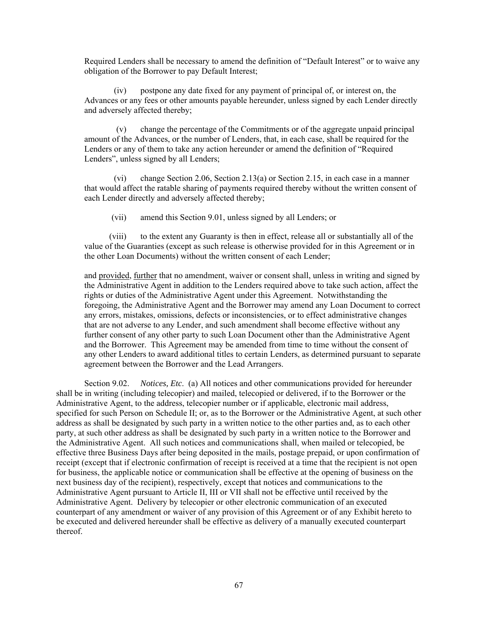Required Lenders shall be necessary to amend the definition of "Default Interest" or to waive any obligation of the Borrower to pay Default Interest;

(iv) postpone any date fixed for any payment of principal of, or interest on, the Advances or any fees or other amounts payable hereunder, unless signed by each Lender directly and adversely affected thereby;

(v) change the percentage of the Commitments or of the aggregate unpaid principal amount of the Advances, or the number of Lenders, that, in each case, shall be required for the Lenders or any of them to take any action hereunder or amend the definition of "Required Lenders", unless signed by all Lenders;

(vi) change Section 2.06, Section 2.13(a) or Section 2.15, in each case in a manner that would affect the ratable sharing of payments required thereby without the written consent of each Lender directly and adversely affected thereby;

(vii) amend this Section 9.01, unless signed by all Lenders; or

(viii) to the extent any Guaranty is then in effect, release all or substantially all of the value of the Guaranties (except as such release is otherwise provided for in this Agreement or in the other Loan Documents) without the written consent of each Lender;

and provided, further that no amendment, waiver or consent shall, unless in writing and signed by the Administrative Agent in addition to the Lenders required above to take such action, affect the rights or duties of the Administrative Agent under this Agreement. Notwithstanding the foregoing, the Administrative Agent and the Borrower may amend any Loan Document to correct any errors, mistakes, omissions, defects or inconsistencies, or to effect administrative changes that are not adverse to any Lender, and such amendment shall become effective without any further consent of any other party to such Loan Document other than the Administrative Agent and the Borrower. This Agreement may be amended from time to time without the consent of any other Lenders to award additional titles to certain Lenders, as determined pursuant to separate agreement between the Borrower and the Lead Arrangers.

Section 9.02. *Notices, Etc*. (a) All notices and other communications provided for hereunder shall be in writing (including telecopier) and mailed, telecopied or delivered, if to the Borrower or the Administrative Agent, to the address, telecopier number or if applicable, electronic mail address, specified for such Person on Schedule II; or, as to the Borrower or the Administrative Agent, at such other address as shall be designated by such party in a written notice to the other parties and, as to each other party, at such other address as shall be designated by such party in a written notice to the Borrower and the Administrative Agent. All such notices and communications shall, when mailed or telecopied, be effective three Business Days after being deposited in the mails, postage prepaid, or upon confirmation of receipt (except that if electronic confirmation of receipt is received at a time that the recipient is not open for business, the applicable notice or communication shall be effective at the opening of business on the next business day of the recipient), respectively, except that notices and communications to the Administrative Agent pursuant to Article II, III or VII shall not be effective until received by the Administrative Agent. Delivery by telecopier or other electronic communication of an executed counterpart of any amendment or waiver of any provision of this Agreement or of any Exhibit hereto to be executed and delivered hereunder shall be effective as delivery of a manually executed counterpart thereof.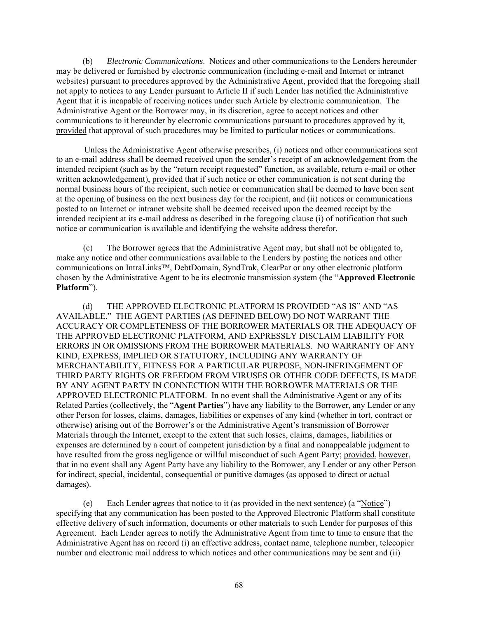(b) *Electronic Communications*. Notices and other communications to the Lenders hereunder may be delivered or furnished by electronic communication (including e-mail and Internet or intranet websites) pursuant to procedures approved by the Administrative Agent, provided that the foregoing shall not apply to notices to any Lender pursuant to Article II if such Lender has notified the Administrative Agent that it is incapable of receiving notices under such Article by electronic communication. The Administrative Agent or the Borrower may, in its discretion, agree to accept notices and other communications to it hereunder by electronic communications pursuant to procedures approved by it, provided that approval of such procedures may be limited to particular notices or communications.

Unless the Administrative Agent otherwise prescribes, (i) notices and other communications sent to an e-mail address shall be deemed received upon the sender's receipt of an acknowledgement from the intended recipient (such as by the "return receipt requested" function, as available, return e-mail or other written acknowledgement), provided that if such notice or other communication is not sent during the normal business hours of the recipient, such notice or communication shall be deemed to have been sent at the opening of business on the next business day for the recipient, and (ii) notices or communications posted to an Internet or intranet website shall be deemed received upon the deemed receipt by the intended recipient at its e-mail address as described in the foregoing clause (i) of notification that such notice or communication is available and identifying the website address therefor.

(c) The Borrower agrees that the Administrative Agent may, but shall not be obligated to, make any notice and other communications available to the Lenders by posting the notices and other communications on IntraLinks™, DebtDomain, SyndTrak, ClearPar or any other electronic platform chosen by the Administrative Agent to be its electronic transmission system (the "**Approved Electronic Platform**").

(d) THE APPROVED ELECTRONIC PLATFORM IS PROVIDED "AS IS" AND "AS AVAILABLE." THE AGENT PARTIES (AS DEFINED BELOW) DO NOT WARRANT THE ACCURACY OR COMPLETENESS OF THE BORROWER MATERIALS OR THE ADEQUACY OF THE APPROVED ELECTRONIC PLATFORM, AND EXPRESSLY DISCLAIM LIABILITY FOR ERRORS IN OR OMISSIONS FROM THE BORROWER MATERIALS. NO WARRANTY OF ANY KIND, EXPRESS, IMPLIED OR STATUTORY, INCLUDING ANY WARRANTY OF MERCHANTABILITY, FITNESS FOR A PARTICULAR PURPOSE, NON-INFRINGEMENT OF THIRD PARTY RIGHTS OR FREEDOM FROM VIRUSES OR OTHER CODE DEFECTS, IS MADE BY ANY AGENT PARTY IN CONNECTION WITH THE BORROWER MATERIALS OR THE APPROVED ELECTRONIC PLATFORM. In no event shall the Administrative Agent or any of its Related Parties (collectively, the "**Agent Parties**") have any liability to the Borrower, any Lender or any other Person for losses, claims, damages, liabilities or expenses of any kind (whether in tort, contract or otherwise) arising out of the Borrower's or the Administrative Agent's transmission of Borrower Materials through the Internet, except to the extent that such losses, claims, damages, liabilities or expenses are determined by a court of competent jurisdiction by a final and nonappealable judgment to have resulted from the gross negligence or willful misconduct of such Agent Party; provided, however, that in no event shall any Agent Party have any liability to the Borrower, any Lender or any other Person for indirect, special, incidental, consequential or punitive damages (as opposed to direct or actual damages).

(e) Each Lender agrees that notice to it (as provided in the next sentence) (a "Notice") specifying that any communication has been posted to the Approved Electronic Platform shall constitute effective delivery of such information, documents or other materials to such Lender for purposes of this Agreement. Each Lender agrees to notify the Administrative Agent from time to time to ensure that the Administrative Agent has on record (i) an effective address, contact name, telephone number, telecopier number and electronic mail address to which notices and other communications may be sent and (ii)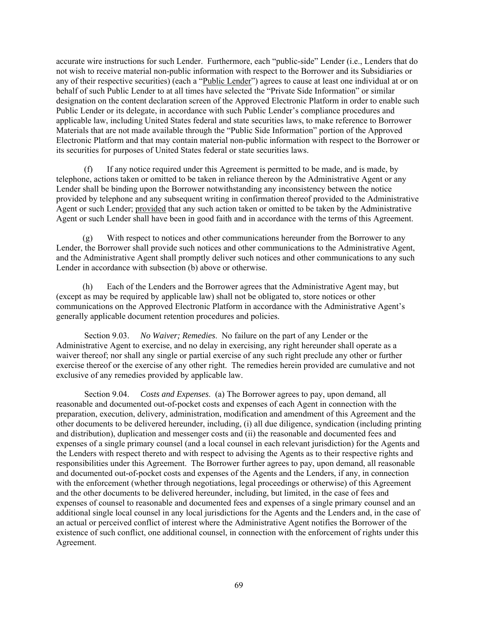accurate wire instructions for such Lender. Furthermore, each "public-side" Lender (i.e., Lenders that do not wish to receive material non-public information with respect to the Borrower and its Subsidiaries or any of their respective securities) (each a "Public Lender") agrees to cause at least one individual at or on behalf of such Public Lender to at all times have selected the "Private Side Information" or similar designation on the content declaration screen of the Approved Electronic Platform in order to enable such Public Lender or its delegate, in accordance with such Public Lender's compliance procedures and applicable law, including United States federal and state securities laws, to make reference to Borrower Materials that are not made available through the "Public Side Information" portion of the Approved Electronic Platform and that may contain material non-public information with respect to the Borrower or its securities for purposes of United States federal or state securities laws.

(f) If any notice required under this Agreement is permitted to be made, and is made, by telephone, actions taken or omitted to be taken in reliance thereon by the Administrative Agent or any Lender shall be binding upon the Borrower notwithstanding any inconsistency between the notice provided by telephone and any subsequent writing in confirmation thereof provided to the Administrative Agent or such Lender; provided that any such action taken or omitted to be taken by the Administrative Agent or such Lender shall have been in good faith and in accordance with the terms of this Agreement.

(g) With respect to notices and other communications hereunder from the Borrower to any Lender, the Borrower shall provide such notices and other communications to the Administrative Agent, and the Administrative Agent shall promptly deliver such notices and other communications to any such Lender in accordance with subsection (b) above or otherwise.

(h) Each of the Lenders and the Borrower agrees that the Administrative Agent may, but (except as may be required by applicable law) shall not be obligated to, store notices or other communications on the Approved Electronic Platform in accordance with the Administrative Agent's generally applicable document retention procedures and policies.

Section 9.03. *No Waiver; Remedies*. No failure on the part of any Lender or the Administrative Agent to exercise, and no delay in exercising, any right hereunder shall operate as a waiver thereof; nor shall any single or partial exercise of any such right preclude any other or further exercise thereof or the exercise of any other right. The remedies herein provided are cumulative and not exclusive of any remedies provided by applicable law.

Section 9.04. *Costs and Expenses*. (a) The Borrower agrees to pay, upon demand, all reasonable and documented out-of-pocket costs and expenses of each Agent in connection with the preparation, execution, delivery, administration, modification and amendment of this Agreement and the other documents to be delivered hereunder, including, (i) all due diligence, syndication (including printing and distribution), duplication and messenger costs and (ii) the reasonable and documented fees and expenses of a single primary counsel (and a local counsel in each relevant jurisdiction) for the Agents and the Lenders with respect thereto and with respect to advising the Agents as to their respective rights and responsibilities under this Agreement. The Borrower further agrees to pay, upon demand, all reasonable and documented out-of-pocket costs and expenses of the Agents and the Lenders, if any, in connection with the enforcement (whether through negotiations, legal proceedings or otherwise) of this Agreement and the other documents to be delivered hereunder, including, but limited, in the case of fees and expenses of counsel to reasonable and documented fees and expenses of a single primary counsel and an additional single local counsel in any local jurisdictions for the Agents and the Lenders and, in the case of an actual or perceived conflict of interest where the Administrative Agent notifies the Borrower of the existence of such conflict, one additional counsel, in connection with the enforcement of rights under this Agreement.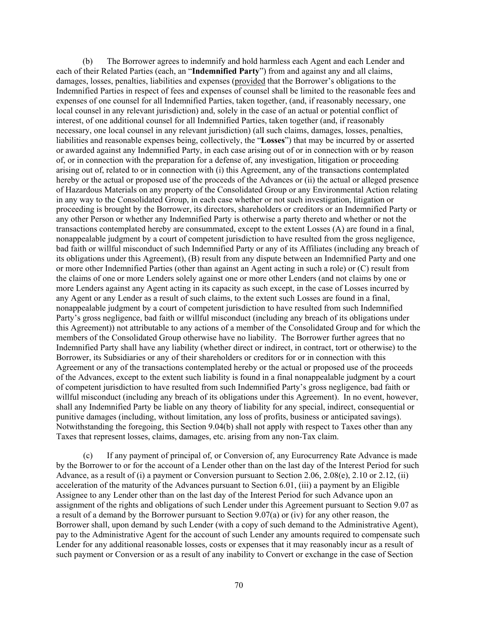(b) The Borrower agrees to indemnify and hold harmless each Agent and each Lender and each of their Related Parties (each, an "**Indemnified Party**") from and against any and all claims, damages, losses, penalties, liabilities and expenses (provided that the Borrower's obligations to the Indemnified Parties in respect of fees and expenses of counsel shall be limited to the reasonable fees and expenses of one counsel for all Indemnified Parties, taken together, (and, if reasonably necessary, one local counsel in any relevant jurisdiction) and, solely in the case of an actual or potential conflict of interest, of one additional counsel for all Indemnified Parties, taken together (and, if reasonably necessary, one local counsel in any relevant jurisdiction) (all such claims, damages, losses, penalties, liabilities and reasonable expenses being, collectively, the "**Losses**") that may be incurred by or asserted or awarded against any Indemnified Party, in each case arising out of or in connection with or by reason of, or in connection with the preparation for a defense of, any investigation, litigation or proceeding arising out of, related to or in connection with (i) this Agreement, any of the transactions contemplated hereby or the actual or proposed use of the proceeds of the Advances or (ii) the actual or alleged presence of Hazardous Materials on any property of the Consolidated Group or any Environmental Action relating in any way to the Consolidated Group, in each case whether or not such investigation, litigation or proceeding is brought by the Borrower, its directors, shareholders or creditors or an Indemnified Party or any other Person or whether any Indemnified Party is otherwise a party thereto and whether or not the transactions contemplated hereby are consummated, except to the extent Losses (A) are found in a final, nonappealable judgment by a court of competent jurisdiction to have resulted from the gross negligence, bad faith or willful misconduct of such Indemnified Party or any of its Affiliates (including any breach of its obligations under this Agreement), (B) result from any dispute between an Indemnified Party and one or more other Indemnified Parties (other than against an Agent acting in such a role) or (C) result from the claims of one or more Lenders solely against one or more other Lenders (and not claims by one or more Lenders against any Agent acting in its capacity as such except, in the case of Losses incurred by any Agent or any Lender as a result of such claims, to the extent such Losses are found in a final, nonappealable judgment by a court of competent jurisdiction to have resulted from such Indemnified Party's gross negligence, bad faith or willful misconduct (including any breach of its obligations under this Agreement)) not attributable to any actions of a member of the Consolidated Group and for which the members of the Consolidated Group otherwise have no liability. The Borrower further agrees that no Indemnified Party shall have any liability (whether direct or indirect, in contract, tort or otherwise) to the Borrower, its Subsidiaries or any of their shareholders or creditors for or in connection with this Agreement or any of the transactions contemplated hereby or the actual or proposed use of the proceeds of the Advances, except to the extent such liability is found in a final nonappealable judgment by a court of competent jurisdiction to have resulted from such Indemnified Party's gross negligence, bad faith or willful misconduct (including any breach of its obligations under this Agreement). In no event, however, shall any Indemnified Party be liable on any theory of liability for any special, indirect, consequential or punitive damages (including, without limitation, any loss of profits, business or anticipated savings). Notwithstanding the foregoing, this Section 9.04(b) shall not apply with respect to Taxes other than any Taxes that represent losses, claims, damages, etc. arising from any non-Tax claim.

(c) If any payment of principal of, or Conversion of, any Eurocurrency Rate Advance is made by the Borrower to or for the account of a Lender other than on the last day of the Interest Period for such Advance, as a result of (i) a payment or Conversion pursuant to Section 2.06, 2.08(e), 2.10 or 2.12, (ii) acceleration of the maturity of the Advances pursuant to Section 6.01, (iii) a payment by an Eligible Assignee to any Lender other than on the last day of the Interest Period for such Advance upon an assignment of the rights and obligations of such Lender under this Agreement pursuant to Section 9.07 as a result of a demand by the Borrower pursuant to Section 9.07(a) or (iv) for any other reason, the Borrower shall, upon demand by such Lender (with a copy of such demand to the Administrative Agent), pay to the Administrative Agent for the account of such Lender any amounts required to compensate such Lender for any additional reasonable losses, costs or expenses that it may reasonably incur as a result of such payment or Conversion or as a result of any inability to Convert or exchange in the case of Section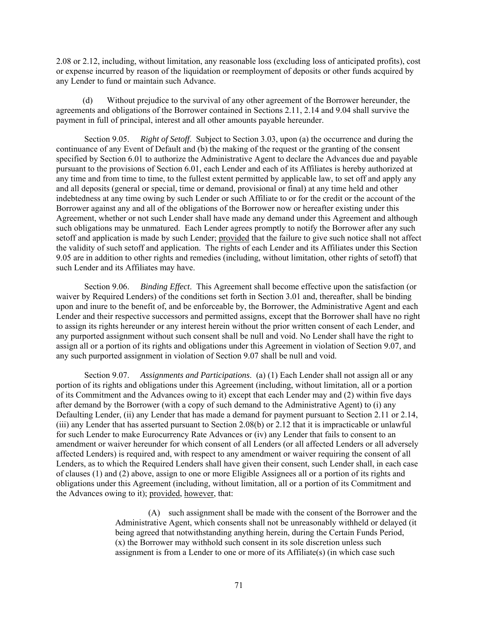2.08 or 2.12, including, without limitation, any reasonable loss (excluding loss of anticipated profits), cost or expense incurred by reason of the liquidation or reemployment of deposits or other funds acquired by any Lender to fund or maintain such Advance.

(d) Without prejudice to the survival of any other agreement of the Borrower hereunder, the agreements and obligations of the Borrower contained in Sections 2.11, 2.14 and 9.04 shall survive the payment in full of principal, interest and all other amounts payable hereunder.

Section 9.05. *Right of Setoff*. Subject to Section 3.03, upon (a) the occurrence and during the continuance of any Event of Default and (b) the making of the request or the granting of the consent specified by Section 6.01 to authorize the Administrative Agent to declare the Advances due and payable pursuant to the provisions of Section 6.01, each Lender and each of its Affiliates is hereby authorized at any time and from time to time, to the fullest extent permitted by applicable law, to set off and apply any and all deposits (general or special, time or demand, provisional or final) at any time held and other indebtedness at any time owing by such Lender or such Affiliate to or for the credit or the account of the Borrower against any and all of the obligations of the Borrower now or hereafter existing under this Agreement, whether or not such Lender shall have made any demand under this Agreement and although such obligations may be unmatured. Each Lender agrees promptly to notify the Borrower after any such setoff and application is made by such Lender; provided that the failure to give such notice shall not affect the validity of such setoff and application. The rights of each Lender and its Affiliates under this Section 9.05 are in addition to other rights and remedies (including, without limitation, other rights of setoff) that such Lender and its Affiliates may have.

Section 9.06. *Binding Effect*. This Agreement shall become effective upon the satisfaction (or waiver by Required Lenders) of the conditions set forth in Section 3.01 and, thereafter, shall be binding upon and inure to the benefit of, and be enforceable by, the Borrower, the Administrative Agent and each Lender and their respective successors and permitted assigns, except that the Borrower shall have no right to assign its rights hereunder or any interest herein without the prior written consent of each Lender, and any purported assignment without such consent shall be null and void. No Lender shall have the right to assign all or a portion of its rights and obligations under this Agreement in violation of Section 9.07, and any such purported assignment in violation of Section 9.07 shall be null and void.

Section 9.07. *Assignments and Participations*. (a) (1) Each Lender shall not assign all or any portion of its rights and obligations under this Agreement (including, without limitation, all or a portion of its Commitment and the Advances owing to it) except that each Lender may and (2) within five days after demand by the Borrower (with a copy of such demand to the Administrative Agent) to (i) any Defaulting Lender, (ii) any Lender that has made a demand for payment pursuant to Section 2.11 or 2.14, (iii) any Lender that has asserted pursuant to Section 2.08(b) or 2.12 that it is impracticable or unlawful for such Lender to make Eurocurrency Rate Advances or (iv) any Lender that fails to consent to an amendment or waiver hereunder for which consent of all Lenders (or all affected Lenders or all adversely affected Lenders) is required and, with respect to any amendment or waiver requiring the consent of all Lenders, as to which the Required Lenders shall have given their consent, such Lender shall, in each case of clauses (1) and (2) above, assign to one or more Eligible Assignees all or a portion of its rights and obligations under this Agreement (including, without limitation, all or a portion of its Commitment and the Advances owing to it); provided, however, that:

> (A) such assignment shall be made with the consent of the Borrower and the Administrative Agent, which consents shall not be unreasonably withheld or delayed (it being agreed that notwithstanding anything herein, during the Certain Funds Period, (x) the Borrower may withhold such consent in its sole discretion unless such assignment is from a Lender to one or more of its Affiliate(s) (in which case such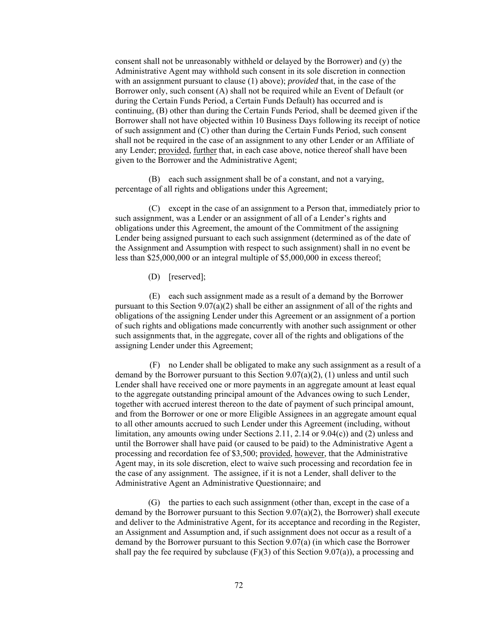consent shall not be unreasonably withheld or delayed by the Borrower) and (y) the Administrative Agent may withhold such consent in its sole discretion in connection with an assignment pursuant to clause (1) above); *provided* that, in the case of the Borrower only, such consent (A) shall not be required while an Event of Default (or during the Certain Funds Period, a Certain Funds Default) has occurred and is continuing, (B) other than during the Certain Funds Period, shall be deemed given if the Borrower shall not have objected within 10 Business Days following its receipt of notice of such assignment and (C) other than during the Certain Funds Period, such consent shall not be required in the case of an assignment to any other Lender or an Affiliate of any Lender; provided, further that, in each case above, notice thereof shall have been given to the Borrower and the Administrative Agent;

(B) each such assignment shall be of a constant, and not a varying, percentage of all rights and obligations under this Agreement;

(C) except in the case of an assignment to a Person that, immediately prior to such assignment, was a Lender or an assignment of all of a Lender's rights and obligations under this Agreement, the amount of the Commitment of the assigning Lender being assigned pursuant to each such assignment (determined as of the date of the Assignment and Assumption with respect to such assignment) shall in no event be less than \$25,000,000 or an integral multiple of \$5,000,000 in excess thereof;

(D) [reserved];

(E) each such assignment made as a result of a demand by the Borrower pursuant to this Section  $9.07(a)(2)$  shall be either an assignment of all of the rights and obligations of the assigning Lender under this Agreement or an assignment of a portion of such rights and obligations made concurrently with another such assignment or other such assignments that, in the aggregate, cover all of the rights and obligations of the assigning Lender under this Agreement;

(F) no Lender shall be obligated to make any such assignment as a result of a demand by the Borrower pursuant to this Section  $9.07(a)(2)$ , (1) unless and until such Lender shall have received one or more payments in an aggregate amount at least equal to the aggregate outstanding principal amount of the Advances owing to such Lender, together with accrued interest thereon to the date of payment of such principal amount, and from the Borrower or one or more Eligible Assignees in an aggregate amount equal to all other amounts accrued to such Lender under this Agreement (including, without limitation, any amounts owing under Sections 2.11, 2.14 or 9.04(c)) and (2) unless and until the Borrower shall have paid (or caused to be paid) to the Administrative Agent a processing and recordation fee of \$3,500; provided, however, that the Administrative Agent may, in its sole discretion, elect to waive such processing and recordation fee in the case of any assignment. The assignee, if it is not a Lender, shall deliver to the Administrative Agent an Administrative Questionnaire; and

(G) the parties to each such assignment (other than, except in the case of a demand by the Borrower pursuant to this Section  $9.07(a)(2)$ , the Borrower) shall execute and deliver to the Administrative Agent, for its acceptance and recording in the Register, an Assignment and Assumption and, if such assignment does not occur as a result of a demand by the Borrower pursuant to this Section 9.07(a) (in which case the Borrower shall pay the fee required by subclause  $(F)(3)$  of this Section 9.07(a)), a processing and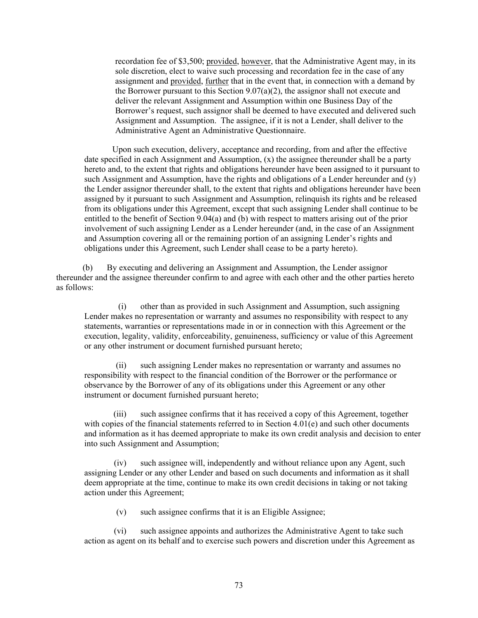recordation fee of \$3,500; provided, however, that the Administrative Agent may, in its sole discretion, elect to waive such processing and recordation fee in the case of any assignment and provided, further that in the event that, in connection with a demand by the Borrower pursuant to this Section 9.07(a)(2), the assignor shall not execute and deliver the relevant Assignment and Assumption within one Business Day of the Borrower's request, such assignor shall be deemed to have executed and delivered such Assignment and Assumption. The assignee, if it is not a Lender, shall deliver to the Administrative Agent an Administrative Questionnaire.

Upon such execution, delivery, acceptance and recording, from and after the effective date specified in each Assignment and Assumption,  $(x)$  the assignee thereunder shall be a party hereto and, to the extent that rights and obligations hereunder have been assigned to it pursuant to such Assignment and Assumption, have the rights and obligations of a Lender hereunder and (y) the Lender assignor thereunder shall, to the extent that rights and obligations hereunder have been assigned by it pursuant to such Assignment and Assumption, relinquish its rights and be released from its obligations under this Agreement, except that such assigning Lender shall continue to be entitled to the benefit of Section 9.04(a) and (b) with respect to matters arising out of the prior involvement of such assigning Lender as a Lender hereunder (and, in the case of an Assignment and Assumption covering all or the remaining portion of an assigning Lender's rights and obligations under this Agreement, such Lender shall cease to be a party hereto).

(b) By executing and delivering an Assignment and Assumption, the Lender assignor thereunder and the assignee thereunder confirm to and agree with each other and the other parties hereto as follows:

(i) other than as provided in such Assignment and Assumption, such assigning Lender makes no representation or warranty and assumes no responsibility with respect to any statements, warranties or representations made in or in connection with this Agreement or the execution, legality, validity, enforceability, genuineness, sufficiency or value of this Agreement or any other instrument or document furnished pursuant hereto;

(ii) such assigning Lender makes no representation or warranty and assumes no responsibility with respect to the financial condition of the Borrower or the performance or observance by the Borrower of any of its obligations under this Agreement or any other instrument or document furnished pursuant hereto;

(iii) such assignee confirms that it has received a copy of this Agreement, together with copies of the financial statements referred to in Section 4.01(e) and such other documents and information as it has deemed appropriate to make its own credit analysis and decision to enter into such Assignment and Assumption;

(iv) such assignee will, independently and without reliance upon any Agent, such assigning Lender or any other Lender and based on such documents and information as it shall deem appropriate at the time, continue to make its own credit decisions in taking or not taking action under this Agreement;

(v) such assignee confirms that it is an Eligible Assignee;

(vi) such assignee appoints and authorizes the Administrative Agent to take such action as agent on its behalf and to exercise such powers and discretion under this Agreement as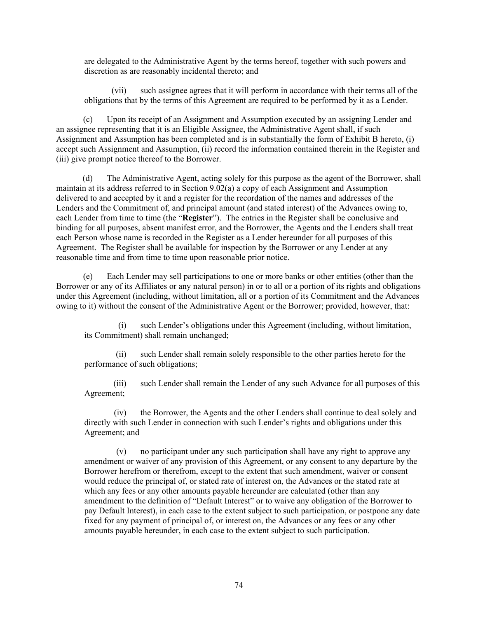are delegated to the Administrative Agent by the terms hereof, together with such powers and discretion as are reasonably incidental thereto; and

(vii) such assignee agrees that it will perform in accordance with their terms all of the obligations that by the terms of this Agreement are required to be performed by it as a Lender.

(c) Upon its receipt of an Assignment and Assumption executed by an assigning Lender and an assignee representing that it is an Eligible Assignee, the Administrative Agent shall, if such Assignment and Assumption has been completed and is in substantially the form of Exhibit B hereto, (i) accept such Assignment and Assumption, (ii) record the information contained therein in the Register and (iii) give prompt notice thereof to the Borrower.

(d) The Administrative Agent, acting solely for this purpose as the agent of the Borrower, shall maintain at its address referred to in Section 9.02(a) a copy of each Assignment and Assumption delivered to and accepted by it and a register for the recordation of the names and addresses of the Lenders and the Commitment of, and principal amount (and stated interest) of the Advances owing to, each Lender from time to time (the "**Register**"). The entries in the Register shall be conclusive and binding for all purposes, absent manifest error, and the Borrower, the Agents and the Lenders shall treat each Person whose name is recorded in the Register as a Lender hereunder for all purposes of this Agreement. The Register shall be available for inspection by the Borrower or any Lender at any reasonable time and from time to time upon reasonable prior notice.

(e) Each Lender may sell participations to one or more banks or other entities (other than the Borrower or any of its Affiliates or any natural person) in or to all or a portion of its rights and obligations under this Agreement (including, without limitation, all or a portion of its Commitment and the Advances owing to it) without the consent of the Administrative Agent or the Borrower; provided, however, that:

(i) such Lender's obligations under this Agreement (including, without limitation, its Commitment) shall remain unchanged;

(ii) such Lender shall remain solely responsible to the other parties hereto for the performance of such obligations;

(iii) such Lender shall remain the Lender of any such Advance for all purposes of this Agreement;

(iv) the Borrower, the Agents and the other Lenders shall continue to deal solely and directly with such Lender in connection with such Lender's rights and obligations under this Agreement; and

(v) no participant under any such participation shall have any right to approve any amendment or waiver of any provision of this Agreement, or any consent to any departure by the Borrower herefrom or therefrom, except to the extent that such amendment, waiver or consent would reduce the principal of, or stated rate of interest on, the Advances or the stated rate at which any fees or any other amounts payable hereunder are calculated (other than any amendment to the definition of "Default Interest" or to waive any obligation of the Borrower to pay Default Interest), in each case to the extent subject to such participation, or postpone any date fixed for any payment of principal of, or interest on, the Advances or any fees or any other amounts payable hereunder, in each case to the extent subject to such participation.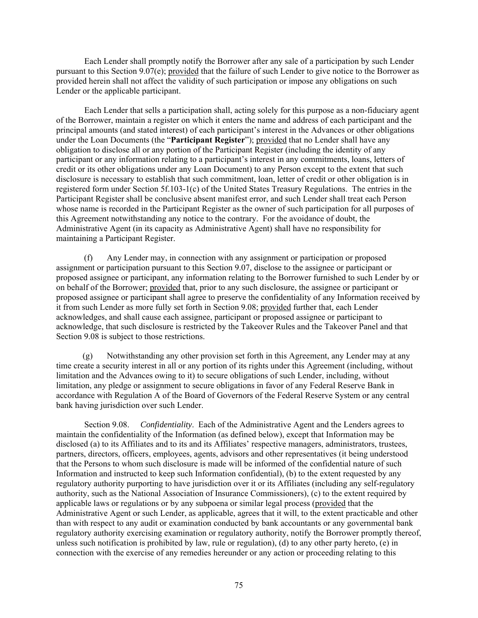Each Lender shall promptly notify the Borrower after any sale of a participation by such Lender pursuant to this Section 9.07(e); provided that the failure of such Lender to give notice to the Borrower as provided herein shall not affect the validity of such participation or impose any obligations on such Lender or the applicable participant.

Each Lender that sells a participation shall, acting solely for this purpose as a non-fiduciary agent of the Borrower, maintain a register on which it enters the name and address of each participant and the principal amounts (and stated interest) of each participant's interest in the Advances or other obligations under the Loan Documents (the "**Participant Register**"); provided that no Lender shall have any obligation to disclose all or any portion of the Participant Register (including the identity of any participant or any information relating to a participant's interest in any commitments, loans, letters of credit or its other obligations under any Loan Document) to any Person except to the extent that such disclosure is necessary to establish that such commitment, loan, letter of credit or other obligation is in registered form under Section 5f.103-1(c) of the United States Treasury Regulations. The entries in the Participant Register shall be conclusive absent manifest error, and such Lender shall treat each Person whose name is recorded in the Participant Register as the owner of such participation for all purposes of this Agreement notwithstanding any notice to the contrary. For the avoidance of doubt, the Administrative Agent (in its capacity as Administrative Agent) shall have no responsibility for maintaining a Participant Register.

(f) Any Lender may, in connection with any assignment or participation or proposed assignment or participation pursuant to this Section 9.07, disclose to the assignee or participant or proposed assignee or participant, any information relating to the Borrower furnished to such Lender by or on behalf of the Borrower; provided that, prior to any such disclosure, the assignee or participant or proposed assignee or participant shall agree to preserve the confidentiality of any Information received by it from such Lender as more fully set forth in Section 9.08; provided further that, each Lender acknowledges, and shall cause each assignee, participant or proposed assignee or participant to acknowledge, that such disclosure is restricted by the Takeover Rules and the Takeover Panel and that Section 9.08 is subject to those restrictions.

(g) Notwithstanding any other provision set forth in this Agreement, any Lender may at any time create a security interest in all or any portion of its rights under this Agreement (including, without limitation and the Advances owing to it) to secure obligations of such Lender, including, without limitation, any pledge or assignment to secure obligations in favor of any Federal Reserve Bank in accordance with Regulation A of the Board of Governors of the Federal Reserve System or any central bank having jurisdiction over such Lender.

Section 9.08. *Confidentiality*. Each of the Administrative Agent and the Lenders agrees to maintain the confidentiality of the Information (as defined below), except that Information may be disclosed (a) to its Affiliates and to its and its Affiliates' respective managers, administrators, trustees, partners, directors, officers, employees, agents, advisors and other representatives (it being understood that the Persons to whom such disclosure is made will be informed of the confidential nature of such Information and instructed to keep such Information confidential), (b) to the extent requested by any regulatory authority purporting to have jurisdiction over it or its Affiliates (including any self-regulatory authority, such as the National Association of Insurance Commissioners), (c) to the extent required by applicable laws or regulations or by any subpoena or similar legal process (provided that the Administrative Agent or such Lender, as applicable, agrees that it will, to the extent practicable and other than with respect to any audit or examination conducted by bank accountants or any governmental bank regulatory authority exercising examination or regulatory authority, notify the Borrower promptly thereof, unless such notification is prohibited by law, rule or regulation), (d) to any other party hereto, (e) in connection with the exercise of any remedies hereunder or any action or proceeding relating to this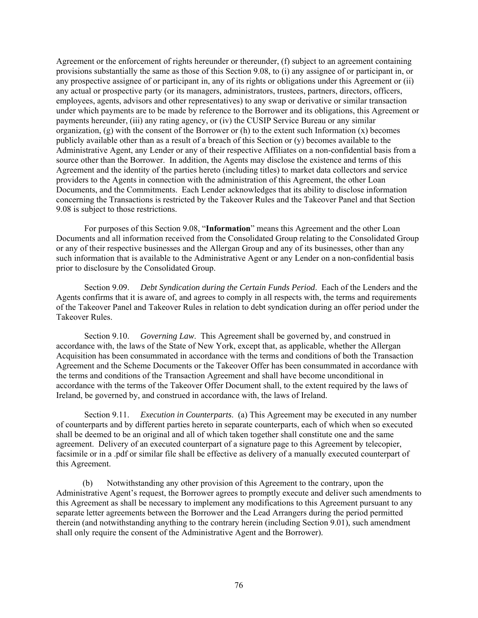Agreement or the enforcement of rights hereunder or thereunder, (f) subject to an agreement containing provisions substantially the same as those of this Section 9.08, to (i) any assignee of or participant in, or any prospective assignee of or participant in, any of its rights or obligations under this Agreement or (ii) any actual or prospective party (or its managers, administrators, trustees, partners, directors, officers, employees, agents, advisors and other representatives) to any swap or derivative or similar transaction under which payments are to be made by reference to the Borrower and its obligations, this Agreement or payments hereunder, (iii) any rating agency, or (iv) the CUSIP Service Bureau or any similar organization,  $(g)$  with the consent of the Borrower or  $(h)$  to the extent such Information  $(x)$  becomes publicly available other than as a result of a breach of this Section or (y) becomes available to the Administrative Agent, any Lender or any of their respective Affiliates on a non-confidential basis from a source other than the Borrower. In addition, the Agents may disclose the existence and terms of this Agreement and the identity of the parties hereto (including titles) to market data collectors and service providers to the Agents in connection with the administration of this Agreement, the other Loan Documents, and the Commitments. Each Lender acknowledges that its ability to disclose information concerning the Transactions is restricted by the Takeover Rules and the Takeover Panel and that Section 9.08 is subject to those restrictions.

For purposes of this Section 9.08, "**Information**" means this Agreement and the other Loan Documents and all information received from the Consolidated Group relating to the Consolidated Group or any of their respective businesses and the Allergan Group and any of its businesses, other than any such information that is available to the Administrative Agent or any Lender on a non-confidential basis prior to disclosure by the Consolidated Group.

Section 9.09. *Debt Syndication during the Certain Funds Period*. Each of the Lenders and the Agents confirms that it is aware of, and agrees to comply in all respects with, the terms and requirements of the Takeover Panel and Takeover Rules in relation to debt syndication during an offer period under the Takeover Rules.

Section 9.10. *Governing Law*. This Agreement shall be governed by, and construed in accordance with, the laws of the State of New York, except that, as applicable, whether the Allergan Acquisition has been consummated in accordance with the terms and conditions of both the Transaction Agreement and the Scheme Documents or the Takeover Offer has been consummated in accordance with the terms and conditions of the Transaction Agreement and shall have become unconditional in accordance with the terms of the Takeover Offer Document shall, to the extent required by the laws of Ireland, be governed by, and construed in accordance with, the laws of Ireland.

Section 9.11. *Execution in Counterparts*. (a) This Agreement may be executed in any number of counterparts and by different parties hereto in separate counterparts, each of which when so executed shall be deemed to be an original and all of which taken together shall constitute one and the same agreement. Delivery of an executed counterpart of a signature page to this Agreement by telecopier, facsimile or in a .pdf or similar file shall be effective as delivery of a manually executed counterpart of this Agreement.

(b) Notwithstanding any other provision of this Agreement to the contrary, upon the Administrative Agent's request, the Borrower agrees to promptly execute and deliver such amendments to this Agreement as shall be necessary to implement any modifications to this Agreement pursuant to any separate letter agreements between the Borrower and the Lead Arrangers during the period permitted therein (and notwithstanding anything to the contrary herein (including Section 9.01), such amendment shall only require the consent of the Administrative Agent and the Borrower).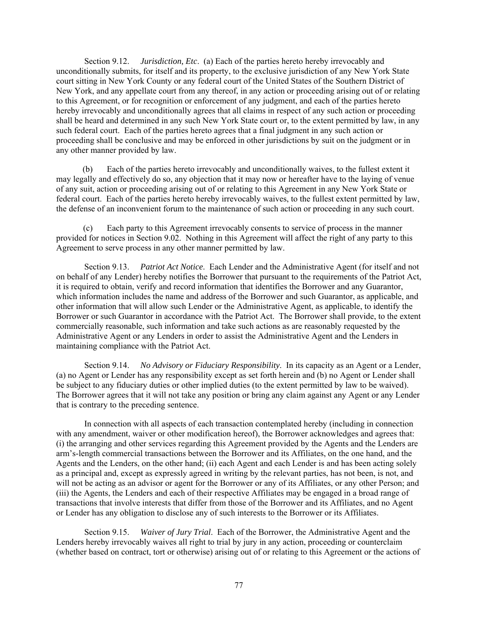Section 9.12. *Jurisdiction, Etc*. (a) Each of the parties hereto hereby irrevocably and unconditionally submits, for itself and its property, to the exclusive jurisdiction of any New York State court sitting in New York County or any federal court of the United States of the Southern District of New York, and any appellate court from any thereof, in any action or proceeding arising out of or relating to this Agreement, or for recognition or enforcement of any judgment, and each of the parties hereto hereby irrevocably and unconditionally agrees that all claims in respect of any such action or proceeding shall be heard and determined in any such New York State court or, to the extent permitted by law, in any such federal court. Each of the parties hereto agrees that a final judgment in any such action or proceeding shall be conclusive and may be enforced in other jurisdictions by suit on the judgment or in any other manner provided by law.

(b) Each of the parties hereto irrevocably and unconditionally waives, to the fullest extent it may legally and effectively do so, any objection that it may now or hereafter have to the laying of venue of any suit, action or proceeding arising out of or relating to this Agreement in any New York State or federal court. Each of the parties hereto hereby irrevocably waives, to the fullest extent permitted by law, the defense of an inconvenient forum to the maintenance of such action or proceeding in any such court.

Each party to this Agreement irrevocably consents to service of process in the manner provided for notices in Section 9.02. Nothing in this Agreement will affect the right of any party to this Agreement to serve process in any other manner permitted by law.

Section 9.13. *Patriot Act Notice*. Each Lender and the Administrative Agent (for itself and not on behalf of any Lender) hereby notifies the Borrower that pursuant to the requirements of the Patriot Act, it is required to obtain, verify and record information that identifies the Borrower and any Guarantor, which information includes the name and address of the Borrower and such Guarantor, as applicable, and other information that will allow such Lender or the Administrative Agent, as applicable, to identify the Borrower or such Guarantor in accordance with the Patriot Act. The Borrower shall provide, to the extent commercially reasonable, such information and take such actions as are reasonably requested by the Administrative Agent or any Lenders in order to assist the Administrative Agent and the Lenders in maintaining compliance with the Patriot Act.

Section 9.14. *No Advisory or Fiduciary Responsibility*. In its capacity as an Agent or a Lender, (a) no Agent or Lender has any responsibility except as set forth herein and (b) no Agent or Lender shall be subject to any fiduciary duties or other implied duties (to the extent permitted by law to be waived). The Borrower agrees that it will not take any position or bring any claim against any Agent or any Lender that is contrary to the preceding sentence.

In connection with all aspects of each transaction contemplated hereby (including in connection with any amendment, waiver or other modification hereof), the Borrower acknowledges and agrees that: (i) the arranging and other services regarding this Agreement provided by the Agents and the Lenders are arm's-length commercial transactions between the Borrower and its Affiliates, on the one hand, and the Agents and the Lenders, on the other hand; (ii) each Agent and each Lender is and has been acting solely as a principal and, except as expressly agreed in writing by the relevant parties, has not been, is not, and will not be acting as an advisor or agent for the Borrower or any of its Affiliates, or any other Person; and (iii) the Agents, the Lenders and each of their respective Affiliates may be engaged in a broad range of transactions that involve interests that differ from those of the Borrower and its Affiliates, and no Agent or Lender has any obligation to disclose any of such interests to the Borrower or its Affiliates.

Section 9.15. *Waiver of Jury Trial*. Each of the Borrower, the Administrative Agent and the Lenders hereby irrevocably waives all right to trial by jury in any action, proceeding or counterclaim (whether based on contract, tort or otherwise) arising out of or relating to this Agreement or the actions of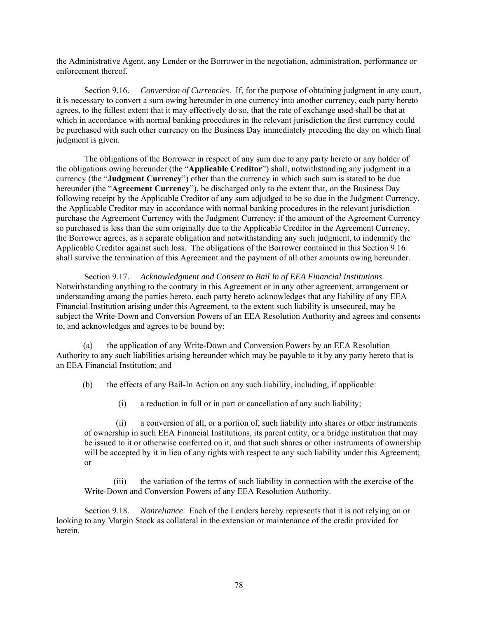the Administrative Agent, any Lender or the Borrower in the negotiation, administration, performance or enforcement thereof.

Section 9.16. *Conversion of Currencies*. If, for the purpose of obtaining judgment in any court, it is necessary to convert a sum owing hereunder in one currency into another currency, each party hereto agrees, to the fullest extent that it may effectively do so, that the rate of exchange used shall be that at which in accordance with normal banking procedures in the relevant jurisdiction the first currency could be purchased with such other currency on the Business Day immediately preceding the day on which final judgment is given.

The obligations of the Borrower in respect of any sum due to any party hereto or any holder of the obligations owing hereunder (the "**Applicable Creditor**") shall, notwithstanding any judgment in a currency (the "**Judgment Currency**") other than the currency in which such sum is stated to be due hereunder (the "**Agreement Currency**"), be discharged only to the extent that, on the Business Day following receipt by the Applicable Creditor of any sum adjudged to be so due in the Judgment Currency, the Applicable Creditor may in accordance with normal banking procedures in the relevant jurisdiction purchase the Agreement Currency with the Judgment Currency; if the amount of the Agreement Currency so purchased is less than the sum originally due to the Applicable Creditor in the Agreement Currency, the Borrower agrees, as a separate obligation and notwithstanding any such judgment, to indemnify the Applicable Creditor against such loss. The obligations of the Borrower contained in this Section 9.16 shall survive the termination of this Agreement and the payment of all other amounts owing hereunder.

Section 9.17. *Acknowledgment and Consent to Bail In of EEA Financial Institutions*. Notwithstanding anything to the contrary in this Agreement or in any other agreement, arrangement or understanding among the parties hereto, each party hereto acknowledges that any liability of any EEA Financial Institution arising under this Agreement, to the extent such liability is unsecured, may be subject the Write-Down and Conversion Powers of an EEA Resolution Authority and agrees and consents to, and acknowledges and agrees to be bound by:

(a) the application of any Write-Down and Conversion Powers by an EEA Resolution Authority to any such liabilities arising hereunder which may be payable to it by any party hereto that is an EEA Financial Institution; and

- (b) the effects of any Bail-In Action on any such liability, including, if applicable:
	- (i) a reduction in full or in part or cancellation of any such liability;

(ii) a conversion of all, or a portion of, such liability into shares or other instruments of ownership in such EEA Financial Institutions, its parent entity, or a bridge institution that may be issued to it or otherwise conferred on it, and that such shares or other instruments of ownership will be accepted by it in lieu of any rights with respect to any such liability under this Agreement; or

(iii) the variation of the terms of such liability in connection with the exercise of the Write-Down and Conversion Powers of any EEA Resolution Authority.

Section 9.18. *Nonreliance*. Each of the Lenders hereby represents that it is not relying on or looking to any Margin Stock as collateral in the extension or maintenance of the credit provided for herein.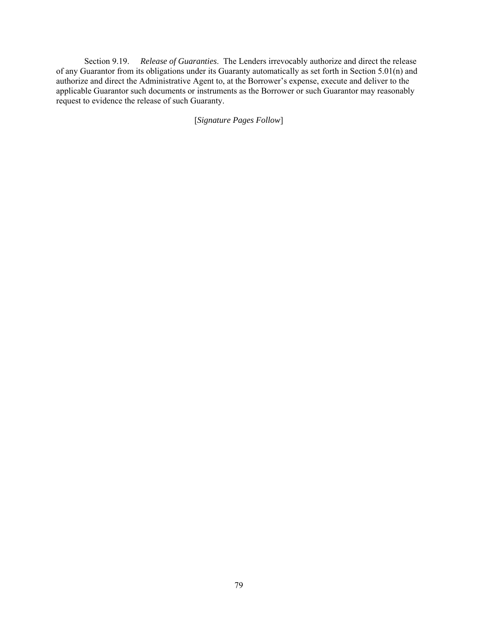Section 9.19. *Release of Guaranties*. The Lenders irrevocably authorize and direct the release of any Guarantor from its obligations under its Guaranty automatically as set forth in Section 5.01(n) and authorize and direct the Administrative Agent to, at the Borrower's expense, execute and deliver to the applicable Guarantor such documents or instruments as the Borrower or such Guarantor may reasonably request to evidence the release of such Guaranty.

[*Signature Pages Follow*]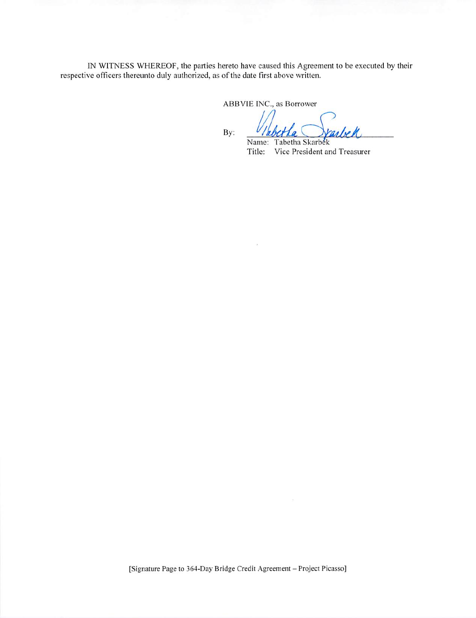IN WITNESS WHEREOF, the parties hereto have caused this Agreement to be executed by their respective officers thereunto duly authorized, as of the date first above written.

ABBVIE INC., as Borrower

By:

ubell, Name: Tabetha Skarbék

Title: Vice President and Treasurer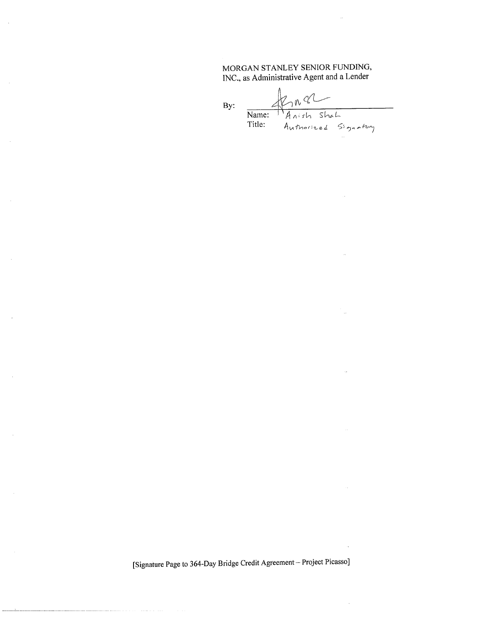# MORGAN STANLEY SENIOR FUNDING, INC., as Administrative Agent and a Lender

Name: Anish Shah<br>Title: Authorized Signatory  $By:$ 

[Signature Page to 364-Day Bridge Credit Agreement - Project Picasso]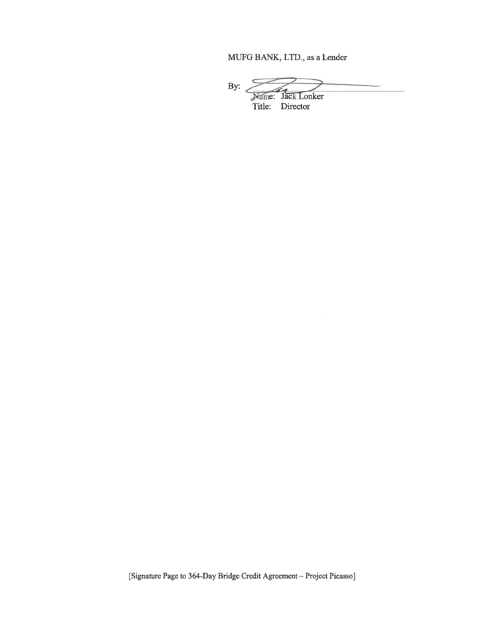MUFG BANK, LTD., as a Lender

By: Name: Jack Lonker Title: Director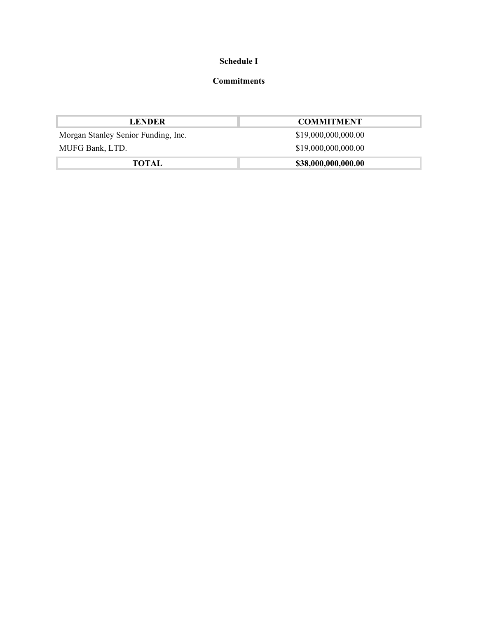## **Schedule I**

### **Commitments**

| LENDER                              | <b>COMMITMENT</b>   |
|-------------------------------------|---------------------|
| Morgan Stanley Senior Funding, Inc. | \$19,000,000,000.00 |
| MUFG Bank, LTD.                     | \$19,000,000,000.00 |
| TOTAL.                              | \$38,000,000,000.00 |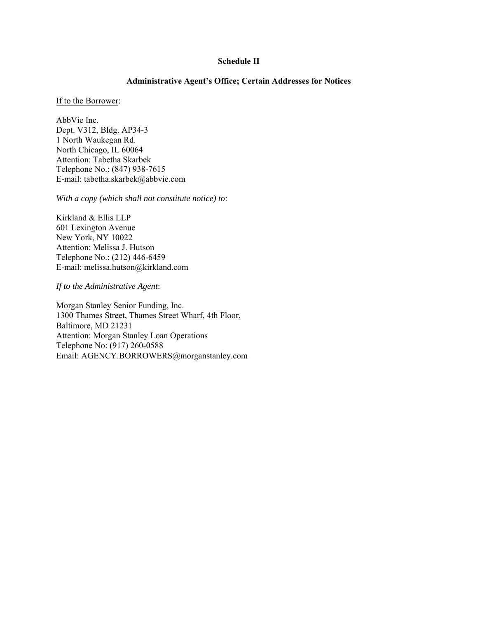#### **Schedule II**

#### **Administrative Agent's Office; Certain Addresses for Notices**

If to the Borrower:

AbbVie Inc. Dept. V312, Bldg. AP34-3 1 North Waukegan Rd. North Chicago, IL 60064 Attention: Tabetha Skarbek Telephone No.: (847) 938-7615 E-mail: tabetha.skarbek@abbvie.com

*With a copy (which shall not constitute notice) to*:

Kirkland & Ellis LLP 601 Lexington Avenue New York, NY 10022 Attention: Melissa J. Hutson Telephone No.: (212) 446-6459 E-mail: melissa.hutson@kirkland.com

*If to the Administrative Agent*:

Morgan Stanley Senior Funding, Inc. 1300 Thames Street, Thames Street Wharf, 4th Floor, Baltimore, MD 21231 Attention: Morgan Stanley Loan Operations Telephone No: (917) 260-0588 Email: AGENCY.BORROWERS@morganstanley.com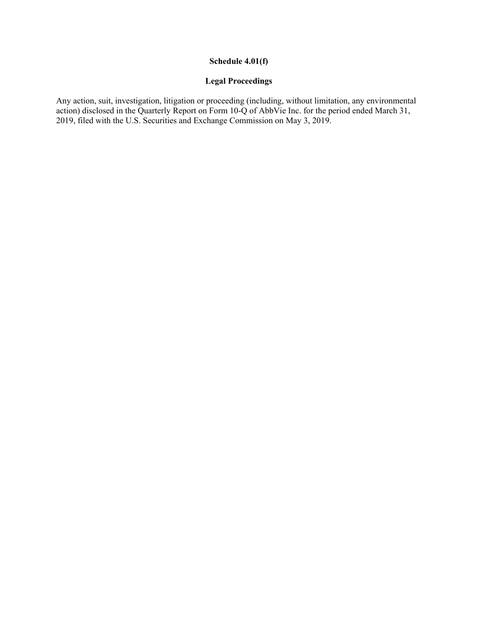## **Schedule 4.01(f)**

### **Legal Proceedings**

Any action, suit, investigation, litigation or proceeding (including, without limitation, any environmental action) disclosed in the Quarterly Report on Form 10-Q of AbbVie Inc. for the period ended March 31, 2019, filed with the U.S. Securities and Exchange Commission on May 3, 2019.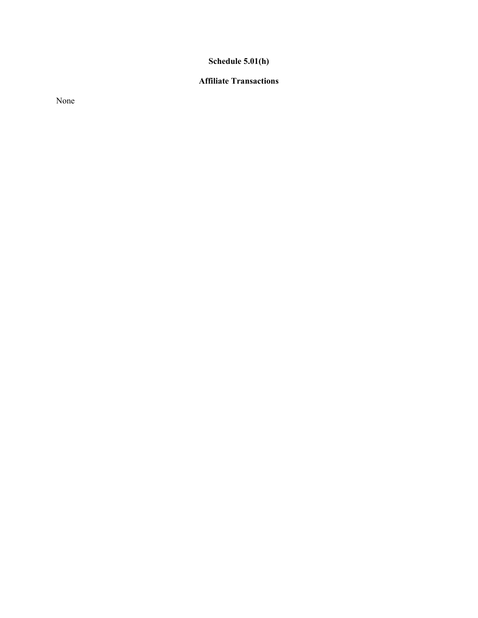# **Schedule 5.01(h)**

### **Affiliate Transactions**

None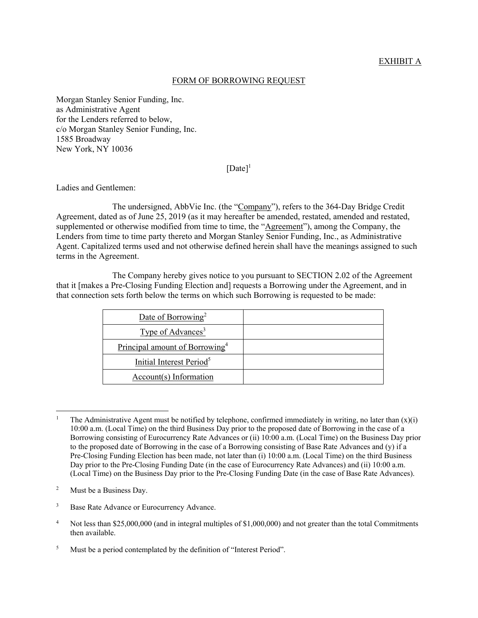#### FORM OF BORROWING REQUEST

Morgan Stanley Senior Funding, Inc. as Administrative Agent for the Lenders referred to below, c/o Morgan Stanley Senior Funding, Inc. 1585 Broadway New York, NY 10036

### $[Date]$ <sup>1</sup>

Ladies and Gentlemen:

The undersigned, AbbVie Inc. (the "Company"), refers to the 364-Day Bridge Credit Agreement, dated as of June 25, 2019 (as it may hereafter be amended, restated, amended and restated, supplemented or otherwise modified from time to time, the "Agreement"), among the Company, the Lenders from time to time party thereto and Morgan Stanley Senior Funding, Inc., as Administrative Agent. Capitalized terms used and not otherwise defined herein shall have the meanings assigned to such terms in the Agreement.

The Company hereby gives notice to you pursuant to SECTION 2.02 of the Agreement that it [makes a Pre-Closing Funding Election and] requests a Borrowing under the Agreement, and in that connection sets forth below the terms on which such Borrowing is requested to be made:

| Date of Borrowing <sup>2</sup>             |  |
|--------------------------------------------|--|
| Type of Advances <sup>3</sup>              |  |
| Principal amount of Borrowing <sup>4</sup> |  |
| Initial Interest Period <sup>5</sup>       |  |
| Account(s) Information                     |  |

The Administrative Agent must be notified by telephone, confirmed immediately in writing, no later than  $(x)(i)$ 10:00 a.m. (Local Time) on the third Business Day prior to the proposed date of Borrowing in the case of a Borrowing consisting of Eurocurrency Rate Advances or (ii) 10:00 a.m. (Local Time) on the Business Day prior to the proposed date of Borrowing in the case of a Borrowing consisting of Base Rate Advances and (y) if a Pre-Closing Funding Election has been made, not later than (i) 10:00 a.m. (Local Time) on the third Business Day prior to the Pre-Closing Funding Date (in the case of Eurocurrency Rate Advances) and (ii) 10:00 a.m. (Local Time) on the Business Day prior to the Pre-Closing Funding Date (in the case of Base Rate Advances).

<sup>&</sup>lt;sup>2</sup> Must be a Business Day.

<sup>&</sup>lt;sup>3</sup> Base Rate Advance or Eurocurrency Advance.

<sup>&</sup>lt;sup>4</sup> Not less than \$25,000,000 (and in integral multiples of \$1,000,000) and not greater than the total Commitments then available.

<sup>&</sup>lt;sup>5</sup> Must be a period contemplated by the definition of "Interest Period".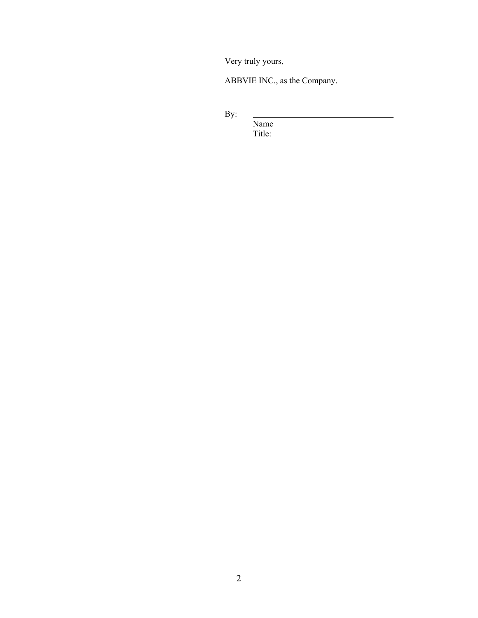Very truly yours,

ABBVIE INC., as the Company.

By:

Name Title: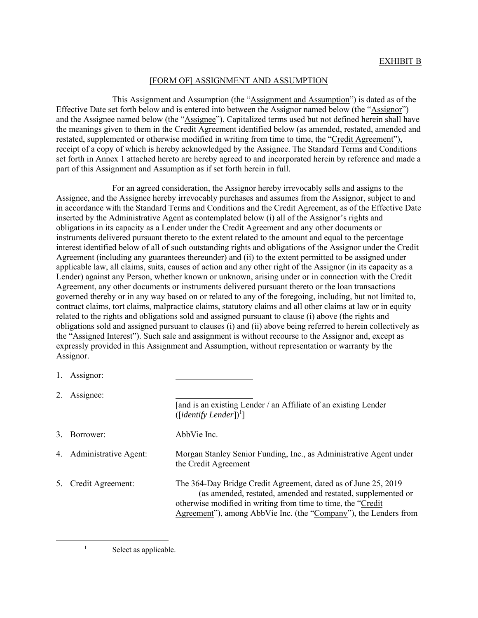## [FORM OF] ASSIGNMENT AND ASSUMPTION

This Assignment and Assumption (the "Assignment and Assumption") is dated as of the Effective Date set forth below and is entered into between the Assignor named below (the "Assignor") and the Assignee named below (the "Assignee"). Capitalized terms used but not defined herein shall have the meanings given to them in the Credit Agreement identified below (as amended, restated, amended and restated, supplemented or otherwise modified in writing from time to time, the "Credit Agreement"), receipt of a copy of which is hereby acknowledged by the Assignee. The Standard Terms and Conditions set forth in Annex 1 attached hereto are hereby agreed to and incorporated herein by reference and made a part of this Assignment and Assumption as if set forth herein in full.

For an agreed consideration, the Assignor hereby irrevocably sells and assigns to the Assignee, and the Assignee hereby irrevocably purchases and assumes from the Assignor, subject to and in accordance with the Standard Terms and Conditions and the Credit Agreement, as of the Effective Date inserted by the Administrative Agent as contemplated below (i) all of the Assignor's rights and obligations in its capacity as a Lender under the Credit Agreement and any other documents or instruments delivered pursuant thereto to the extent related to the amount and equal to the percentage interest identified below of all of such outstanding rights and obligations of the Assignor under the Credit Agreement (including any guarantees thereunder) and (ii) to the extent permitted to be assigned under applicable law, all claims, suits, causes of action and any other right of the Assignor (in its capacity as a Lender) against any Person, whether known or unknown, arising under or in connection with the Credit Agreement, any other documents or instruments delivered pursuant thereto or the loan transactions governed thereby or in any way based on or related to any of the foregoing, including, but not limited to, contract claims, tort claims, malpractice claims, statutory claims and all other claims at law or in equity related to the rights and obligations sold and assigned pursuant to clause (i) above (the rights and obligations sold and assigned pursuant to clauses (i) and (ii) above being referred to herein collectively as the "Assigned Interest"). Such sale and assignment is without recourse to the Assignor and, except as expressly provided in this Assignment and Assumption, without representation or warranty by the Assignor.

1. Assignor:

| 2.             | Assignee:                |                                                                                                                                                                                                 |
|----------------|--------------------------|-------------------------------------------------------------------------------------------------------------------------------------------------------------------------------------------------|
|                |                          | [and is an existing Lender / an Affiliate of an existing Lender<br>$([identity Lender])^1]$                                                                                                     |
| 3 <sub>1</sub> | Borrower:                | AbbVie Inc.                                                                                                                                                                                     |
|                | 4. Administrative Agent: | Morgan Stanley Senior Funding, Inc., as Administrative Agent under<br>the Credit Agreement                                                                                                      |
|                | 5. Credit Agreement:     | The 364-Day Bridge Credit Agreement, dated as of June 25, 2019<br>(as amended, restated, amended and restated, supplemented or<br>otherwise modified in writing from time to time, the "Credit" |

Agreement"), among AbbVie Inc. (the "Company"), the Lenders from

<sup>1</sup> Select as applicable.

<u>1</u>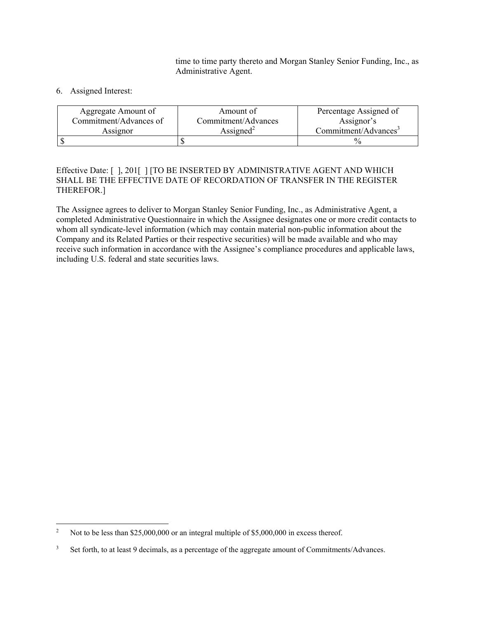time to time party thereto and Morgan Stanley Senior Funding, Inc., as Administrative Agent.

### 6. Assigned Interest:

 $\overline{a}$ 

| Aggregate Amount of    | Amount of           | Percentage Assigned of           |
|------------------------|---------------------|----------------------------------|
| Commitment/Advances of | Commitment/Advances | Assignor's                       |
| Assignor               | Assigned $\epsilon$ | Commitment/Advances <sup>3</sup> |
|                        |                     |                                  |

### Effective Date: [ ], 201[ ] [TO BE INSERTED BY ADMINISTRATIVE AGENT AND WHICH SHALL BE THE EFFECTIVE DATE OF RECORDATION OF TRANSFER IN THE REGISTER THEREFOR.]

The Assignee agrees to deliver to Morgan Stanley Senior Funding, Inc., as Administrative Agent, a completed Administrative Questionnaire in which the Assignee designates one or more credit contacts to whom all syndicate-level information (which may contain material non-public information about the Company and its Related Parties or their respective securities) will be made available and who may receive such information in accordance with the Assignee's compliance procedures and applicable laws, including U.S. federal and state securities laws.

<sup>2</sup> Not to be less than \$25,000,000 or an integral multiple of \$5,000,000 in excess thereof.

<sup>3</sup> Set forth, to at least 9 decimals, as a percentage of the aggregate amount of Commitments/Advances.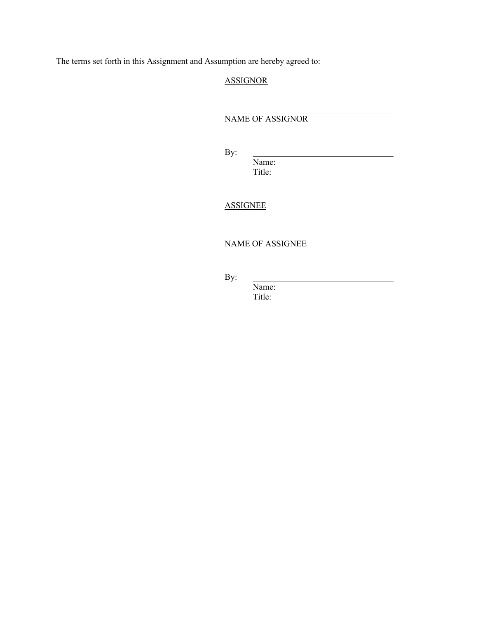The terms set forth in this Assignment and Assumption are hereby agreed to:

# ASSIGNOR

NAME OF ASSIGNOR

By:

l

Name: Title:

**ASSIGNEE** 

#### NAME OF ASSIGNEE

By:

l

Name: Title: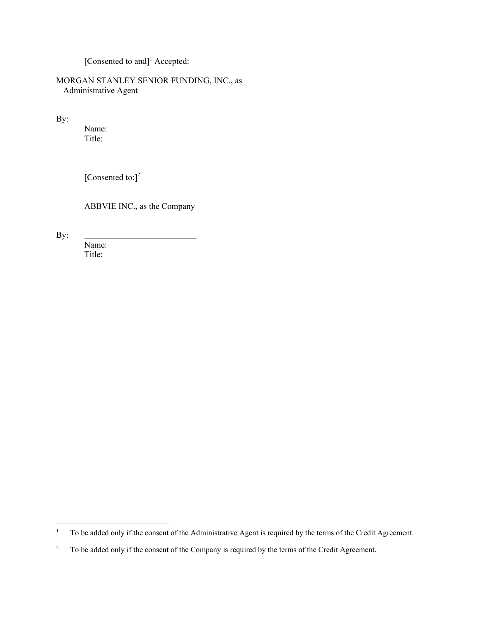[Consented to and]<sup>1</sup> Accepted:

MORGAN STANLEY SENIOR FUNDING, INC., as Administrative Agent

By:

Name: Title:

[Consented to:]<sup>2</sup>

ABBVIE INC., as the Company

By:

Name: Title:

 $\frac{1}{1}$ To be added only if the consent of the Administrative Agent is required by the terms of the Credit Agreement.

<sup>2</sup> To be added only if the consent of the Company is required by the terms of the Credit Agreement.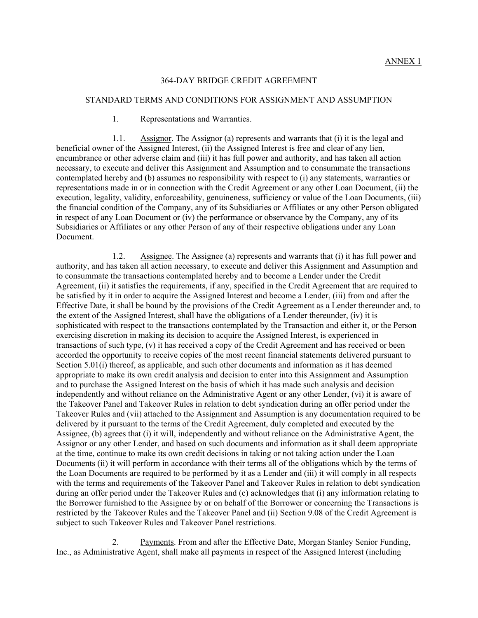#### 364-DAY BRIDGE CREDIT AGREEMENT

### STANDARD TERMS AND CONDITIONS FOR ASSIGNMENT AND ASSUMPTION

#### 1. Representations and Warranties.

1.1. Assignor. The Assignor (a) represents and warrants that (i) it is the legal and beneficial owner of the Assigned Interest, (ii) the Assigned Interest is free and clear of any lien, encumbrance or other adverse claim and (iii) it has full power and authority, and has taken all action necessary, to execute and deliver this Assignment and Assumption and to consummate the transactions contemplated hereby and (b) assumes no responsibility with respect to (i) any statements, warranties or representations made in or in connection with the Credit Agreement or any other Loan Document, (ii) the execution, legality, validity, enforceability, genuineness, sufficiency or value of the Loan Documents, (iii) the financial condition of the Company, any of its Subsidiaries or Affiliates or any other Person obligated in respect of any Loan Document or (iv) the performance or observance by the Company, any of its Subsidiaries or Affiliates or any other Person of any of their respective obligations under any Loan Document.

1.2. Assignee. The Assignee (a) represents and warrants that (i) it has full power and authority, and has taken all action necessary, to execute and deliver this Assignment and Assumption and to consummate the transactions contemplated hereby and to become a Lender under the Credit Agreement, (ii) it satisfies the requirements, if any, specified in the Credit Agreement that are required to be satisfied by it in order to acquire the Assigned Interest and become a Lender, (iii) from and after the Effective Date, it shall be bound by the provisions of the Credit Agreement as a Lender thereunder and, to the extent of the Assigned Interest, shall have the obligations of a Lender thereunder, (iv) it is sophisticated with respect to the transactions contemplated by the Transaction and either it, or the Person exercising discretion in making its decision to acquire the Assigned Interest, is experienced in transactions of such type, (v) it has received a copy of the Credit Agreement and has received or been accorded the opportunity to receive copies of the most recent financial statements delivered pursuant to Section 5.01(i) thereof, as applicable, and such other documents and information as it has deemed appropriate to make its own credit analysis and decision to enter into this Assignment and Assumption and to purchase the Assigned Interest on the basis of which it has made such analysis and decision independently and without reliance on the Administrative Agent or any other Lender, (vi) it is aware of the Takeover Panel and Takeover Rules in relation to debt syndication during an offer period under the Takeover Rules and (vii) attached to the Assignment and Assumption is any documentation required to be delivered by it pursuant to the terms of the Credit Agreement, duly completed and executed by the Assignee, (b) agrees that (i) it will, independently and without reliance on the Administrative Agent, the Assignor or any other Lender, and based on such documents and information as it shall deem appropriate at the time, continue to make its own credit decisions in taking or not taking action under the Loan Documents (ii) it will perform in accordance with their terms all of the obligations which by the terms of the Loan Documents are required to be performed by it as a Lender and (iii) it will comply in all respects with the terms and requirements of the Takeover Panel and Takeover Rules in relation to debt syndication during an offer period under the Takeover Rules and (c) acknowledges that (i) any information relating to the Borrower furnished to the Assignee by or on behalf of the Borrower or concerning the Transactions is restricted by the Takeover Rules and the Takeover Panel and (ii) Section 9.08 of the Credit Agreement is subject to such Takeover Rules and Takeover Panel restrictions.

2. Payments. From and after the Effective Date, Morgan Stanley Senior Funding, Inc., as Administrative Agent, shall make all payments in respect of the Assigned Interest (including